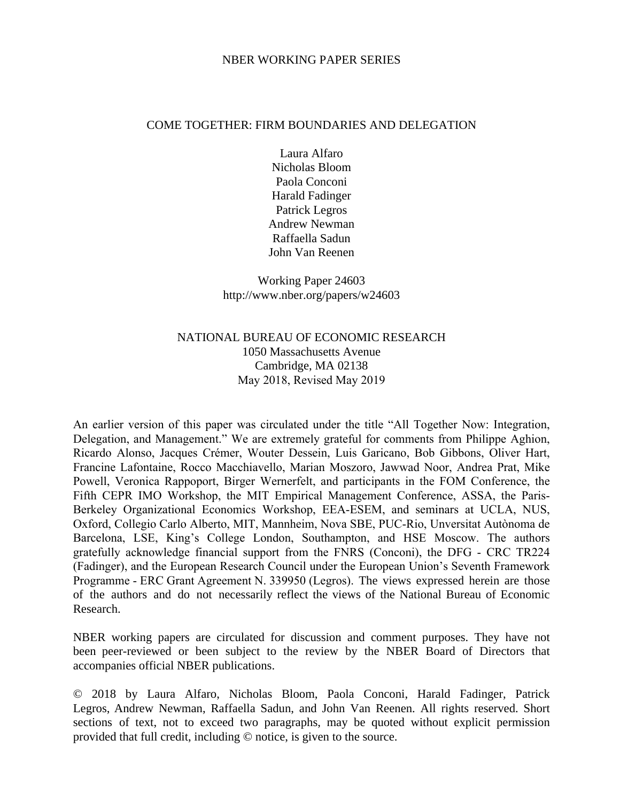#### NBER WORKING PAPER SERIES

#### COME TOGETHER: FIRM BOUNDARIES AND DELEGATION

Laura Alfaro Nicholas Bloom Paola Conconi Harald Fadinger Patrick Legros Andrew Newman Raffaella Sadun John Van Reenen

Working Paper 24603 http://www.nber.org/papers/w24603

## NATIONAL BUREAU OF ECONOMIC RESEARCH 1050 Massachusetts Avenue Cambridge, MA 02138 May 2018, Revised May 2019

An earlier version of this paper was circulated under the title "All Together Now: Integration, Delegation, and Management." We are extremely grateful for comments from Philippe Aghion, Ricardo Alonso, Jacques Crémer, Wouter Dessein, Luis Garicano, Bob Gibbons, Oliver Hart, Francine Lafontaine, Rocco Macchiavello, Marian Moszoro, Jawwad Noor, Andrea Prat, Mike Powell, Veronica Rappoport, Birger Wernerfelt, and participants in the FOM Conference, the Fifth CEPR IMO Workshop, the MIT Empirical Management Conference, ASSA, the Paris-Berkeley Organizational Economics Workshop, EEA-ESEM, and seminars at UCLA, NUS, Oxford, Collegio Carlo Alberto, MIT, Mannheim, Nova SBE, PUC-Rio, Unversitat Autònoma de Barcelona, LSE, King's College London, Southampton, and HSE Moscow. The authors gratefully acknowledge financial support from the FNRS (Conconi), the DFG - CRC TR224 (Fadinger), and the European Research Council under the European Union's Seventh Framework Programme - ERC Grant Agreement N. 339950 (Legros). The views expressed herein are those of the authors and do not necessarily reflect the views of the National Bureau of Economic Research.

NBER working papers are circulated for discussion and comment purposes. They have not been peer-reviewed or been subject to the review by the NBER Board of Directors that accompanies official NBER publications.

© 2018 by Laura Alfaro, Nicholas Bloom, Paola Conconi, Harald Fadinger, Patrick Legros, Andrew Newman, Raffaella Sadun, and John Van Reenen. All rights reserved. Short sections of text, not to exceed two paragraphs, may be quoted without explicit permission provided that full credit, including © notice, is given to the source.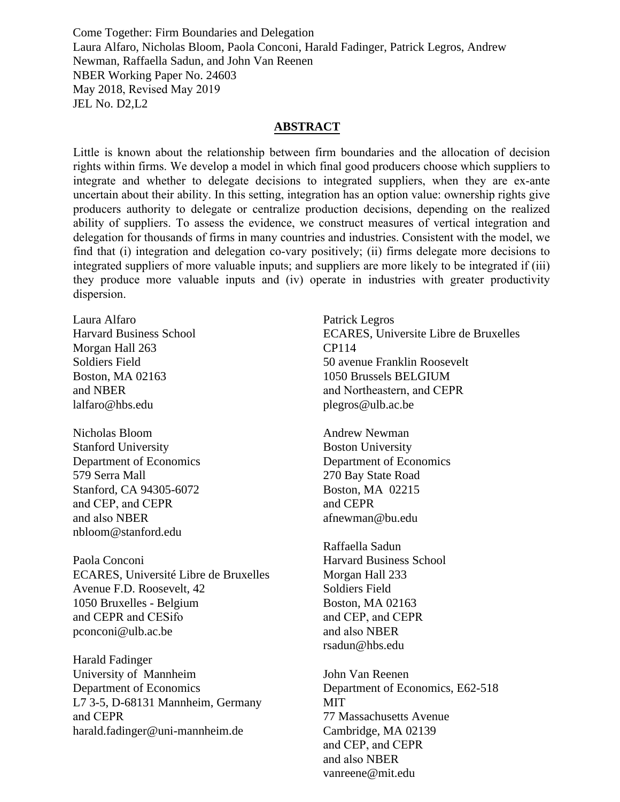Come Together: Firm Boundaries and Delegation Laura Alfaro, Nicholas Bloom, Paola Conconi, Harald Fadinger, Patrick Legros, Andrew Newman, Raffaella Sadun, and John Van Reenen NBER Working Paper No. 24603 May 2018, Revised May 2019 JEL No. D2,L2

#### **ABSTRACT**

Little is known about the relationship between firm boundaries and the allocation of decision rights within firms. We develop a model in which final good producers choose which suppliers to integrate and whether to delegate decisions to integrated suppliers, when they are ex-ante uncertain about their ability. In this setting, integration has an option value: ownership rights give producers authority to delegate or centralize production decisions, depending on the realized ability of suppliers. To assess the evidence, we construct measures of vertical integration and delegation for thousands of firms in many countries and industries. Consistent with the model, we find that (i) integration and delegation co-vary positively; (ii) firms delegate more decisions to integrated suppliers of more valuable inputs; and suppliers are more likely to be integrated if (iii) they produce more valuable inputs and (iv) operate in industries with greater productivity dispersion.

Laura Alfaro Harvard Business School Morgan Hall 263 Soldiers Field Boston, MA 02163 and NBER lalfaro@hbs.edu

Nicholas Bloom Stanford University Department of Economics 579 Serra Mall Stanford, CA 94305-6072 and CEP, and CEPR and also NBER nbloom@stanford.edu

Paola Conconi ECARES, Université Libre de Bruxelles Avenue F.D. Roosevelt, 42 1050 Bruxelles - Belgium and CEPR and CESifo pconconi@ulb.ac.be

Harald Fadinger University of Mannheim Department of Economics L7 3-5, D-68131 Mannheim, Germany and CEPR harald.fadinger@uni-mannheim.de

Patrick Legros ECARES, Universite Libre de Bruxelles CP114 50 avenue Franklin Roosevelt 1050 Brussels BELGIUM and Northeastern, and CEPR plegros@ulb.ac.be

Andrew Newman Boston University Department of Economics 270 Bay State Road Boston, MA 02215 and CEPR afnewman@bu.edu

Raffaella Sadun Harvard Business School Morgan Hall 233 Soldiers Field Boston, MA 02163 and CEP, and CEPR and also NBER rsadun@hbs.edu

John Van Reenen Department of Economics, E62-518 MIT 77 Massachusetts Avenue Cambridge, MA 02139 and CEP, and CEPR and also NBER vanreene@mit.edu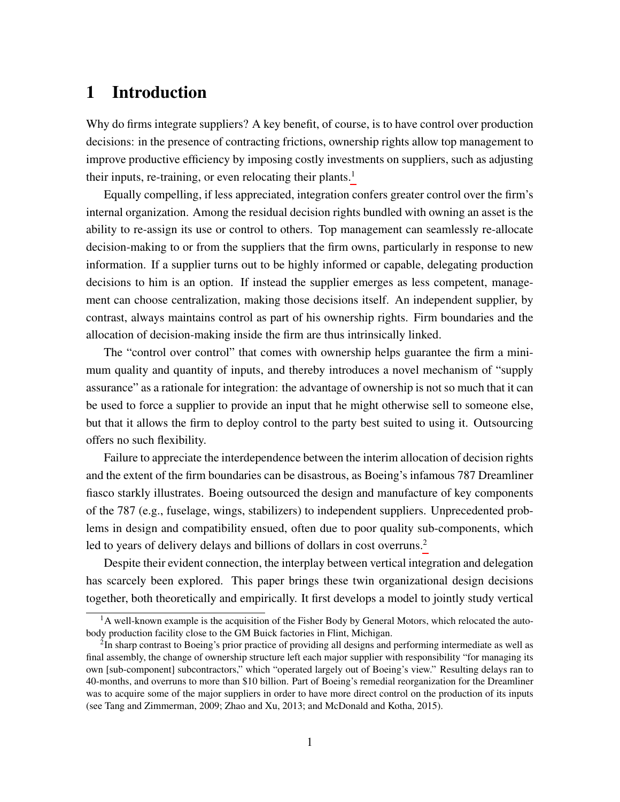# 1 Introduction

Why do firms integrate suppliers? A key benefit, of course, is to have control over production decisions: in the presence of contracting frictions, ownership rights allow top management to improve productive efficiency by imposing costly investments on suppliers, such as adjusting their inputs, re-training, or even relocating their plants.<sup>[1](#page-2-0)</sup>

Equally compelling, if less appreciated, integration confers greater control over the firm's internal organization. Among the residual decision rights bundled with owning an asset is the ability to re-assign its use or control to others. Top management can seamlessly re-allocate decision-making to or from the suppliers that the firm owns, particularly in response to new information. If a supplier turns out to be highly informed or capable, delegating production decisions to him is an option. If instead the supplier emerges as less competent, management can choose centralization, making those decisions itself. An independent supplier, by contrast, always maintains control as part of his ownership rights. Firm boundaries and the allocation of decision-making inside the firm are thus intrinsically linked.

The "control over control" that comes with ownership helps guarantee the firm a minimum quality and quantity of inputs, and thereby introduces a novel mechanism of "supply assurance" as a rationale for integration: the advantage of ownership is not so much that it can be used to force a supplier to provide an input that he might otherwise sell to someone else, but that it allows the firm to deploy control to the party best suited to using it. Outsourcing offers no such flexibility.

Failure to appreciate the interdependence between the interim allocation of decision rights and the extent of the firm boundaries can be disastrous, as Boeing's infamous 787 Dreamliner fiasco starkly illustrates. Boeing outsourced the design and manufacture of key components of the 787 (e.g., fuselage, wings, stabilizers) to independent suppliers. Unprecedented problems in design and compatibility ensued, often due to poor quality sub-components, which led to years of delivery delays and billions of dollars in cost overruns.<sup>[2](#page-2-1)</sup>

Despite their evident connection, the interplay between vertical integration and delegation has scarcely been explored. This paper brings these twin organizational design decisions together, both theoretically and empirically. It first develops a model to jointly study vertical

<span id="page-2-0"></span> $<sup>1</sup>A$  well-known example is the acquisition of the Fisher Body by General Motors, which relocated the auto-</sup> body production facility close to the GM Buick factories in Flint, Michigan.

<span id="page-2-1"></span> $2$ In sharp contrast to Boeing's prior practice of providing all designs and performing intermediate as well as final assembly, the change of ownership structure left each major supplier with responsibility "for managing its own [sub-component] subcontractors," which "operated largely out of Boeing's view." Resulting delays ran to 40-months, and overruns to more than \$10 billion. Part of Boeing's remedial reorganization for the Dreamliner was to acquire some of the major suppliers in order to have more direct control on the production of its inputs (see Tang and Zimmerman, 2009; Zhao and Xu, 2013; and McDonald and Kotha, 2015).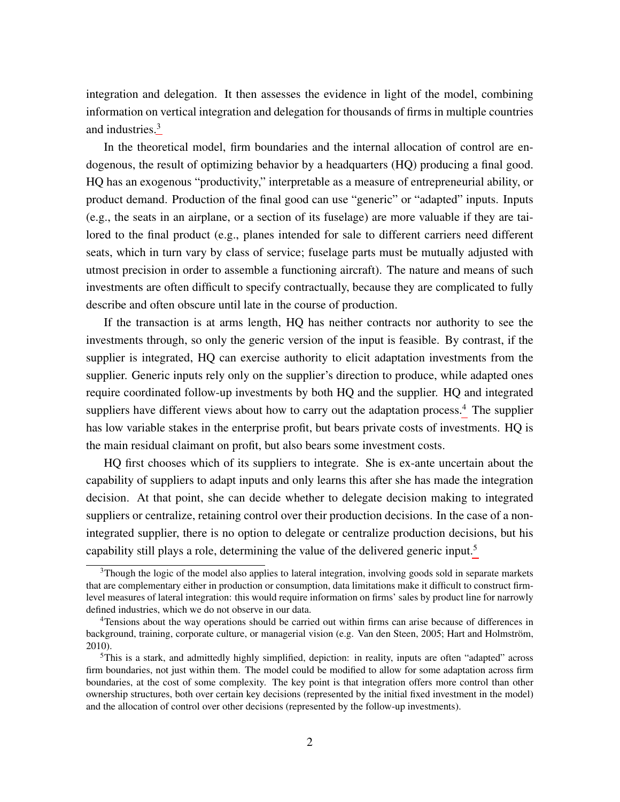integration and delegation. It then assesses the evidence in light of the model, combining information on vertical integration and delegation for thousands of firms in multiple countries and industries.[3](#page-3-0)

In the theoretical model, firm boundaries and the internal allocation of control are endogenous, the result of optimizing behavior by a headquarters (HQ) producing a final good. HQ has an exogenous "productivity," interpretable as a measure of entrepreneurial ability, or product demand. Production of the final good can use "generic" or "adapted" inputs. Inputs (e.g., the seats in an airplane, or a section of its fuselage) are more valuable if they are tailored to the final product (e.g., planes intended for sale to different carriers need different seats, which in turn vary by class of service; fuselage parts must be mutually adjusted with utmost precision in order to assemble a functioning aircraft). The nature and means of such investments are often difficult to specify contractually, because they are complicated to fully describe and often obscure until late in the course of production.

If the transaction is at arms length, HQ has neither contracts nor authority to see the investments through, so only the generic version of the input is feasible. By contrast, if the supplier is integrated, HQ can exercise authority to elicit adaptation investments from the supplier. Generic inputs rely only on the supplier's direction to produce, while adapted ones require coordinated follow-up investments by both HQ and the supplier. HQ and integrated suppliers have different views about how to carry out the adaptation process.<sup>[4](#page-3-1)</sup> The supplier has low variable stakes in the enterprise profit, but bears private costs of investments. HQ is the main residual claimant on profit, but also bears some investment costs.

HQ first chooses which of its suppliers to integrate. She is ex-ante uncertain about the capability of suppliers to adapt inputs and only learns this after she has made the integration decision. At that point, she can decide whether to delegate decision making to integrated suppliers or centralize, retaining control over their production decisions. In the case of a nonintegrated supplier, there is no option to delegate or centralize production decisions, but his capability still plays a role, determining the value of the delivered generic input.[5](#page-3-2)

<span id="page-3-0"></span><sup>3</sup>Though the logic of the model also applies to lateral integration, involving goods sold in separate markets that are complementary either in production or consumption, data limitations make it difficult to construct firmlevel measures of lateral integration: this would require information on firms' sales by product line for narrowly defined industries, which we do not observe in our data.

<span id="page-3-1"></span><sup>4</sup>Tensions about the way operations should be carried out within firms can arise because of differences in background, training, corporate culture, or managerial vision (e.g. Van den Steen, 2005; Hart and Holmström, 2010).

<span id="page-3-2"></span><sup>5</sup>This is a stark, and admittedly highly simplified, depiction: in reality, inputs are often "adapted" across firm boundaries, not just within them. The model could be modified to allow for some adaptation across firm boundaries, at the cost of some complexity. The key point is that integration offers more control than other ownership structures, both over certain key decisions (represented by the initial fixed investment in the model) and the allocation of control over other decisions (represented by the follow-up investments).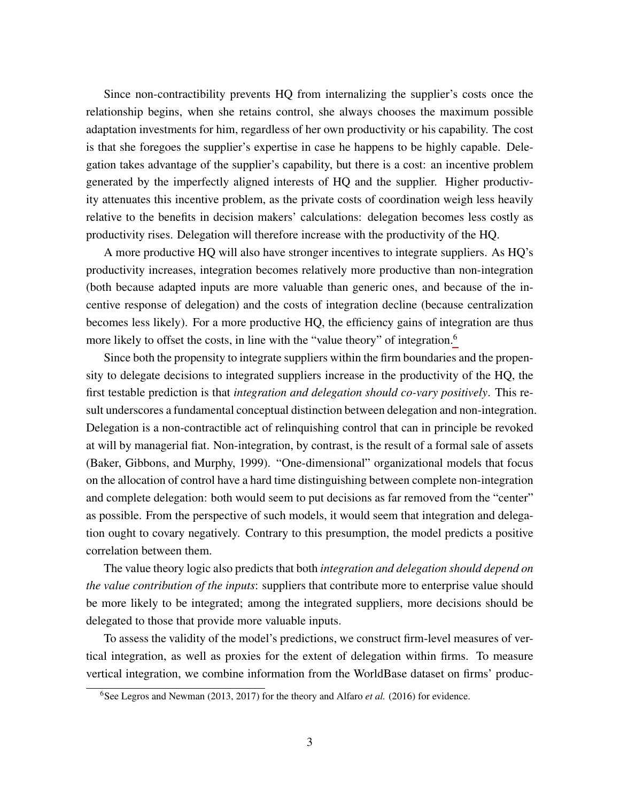Since non-contractibility prevents HQ from internalizing the supplier's costs once the relationship begins, when she retains control, she always chooses the maximum possible adaptation investments for him, regardless of her own productivity or his capability. The cost is that she foregoes the supplier's expertise in case he happens to be highly capable. Delegation takes advantage of the supplier's capability, but there is a cost: an incentive problem generated by the imperfectly aligned interests of HQ and the supplier. Higher productivity attenuates this incentive problem, as the private costs of coordination weigh less heavily relative to the benefits in decision makers' calculations: delegation becomes less costly as productivity rises. Delegation will therefore increase with the productivity of the HQ.

A more productive HQ will also have stronger incentives to integrate suppliers. As HQ's productivity increases, integration becomes relatively more productive than non-integration (both because adapted inputs are more valuable than generic ones, and because of the incentive response of delegation) and the costs of integration decline (because centralization becomes less likely). For a more productive HQ, the efficiency gains of integration are thus more likely to offset the costs, in line with the "value theory" of integration.<sup>[6](#page-4-0)</sup>

Since both the propensity to integrate suppliers within the firm boundaries and the propensity to delegate decisions to integrated suppliers increase in the productivity of the HQ, the first testable prediction is that *integration and delegation should co-vary positively*. This result underscores a fundamental conceptual distinction between delegation and non-integration. Delegation is a non-contractible act of relinquishing control that can in principle be revoked at will by managerial fiat. Non-integration, by contrast, is the result of a formal sale of assets (Baker, Gibbons, and Murphy, 1999). "One-dimensional" organizational models that focus on the allocation of control have a hard time distinguishing between complete non-integration and complete delegation: both would seem to put decisions as far removed from the "center" as possible. From the perspective of such models, it would seem that integration and delegation ought to covary negatively. Contrary to this presumption, the model predicts a positive correlation between them.

The value theory logic also predicts that both *integration and delegation should depend on the value contribution of the inputs*: suppliers that contribute more to enterprise value should be more likely to be integrated; among the integrated suppliers, more decisions should be delegated to those that provide more valuable inputs.

To assess the validity of the model's predictions, we construct firm-level measures of vertical integration, as well as proxies for the extent of delegation within firms. To measure vertical integration, we combine information from the WorldBase dataset on firms' produc-

<span id="page-4-0"></span><sup>&</sup>lt;sup>6</sup>See Legros and Newman (2013, 2017) for the theory and Alfaro *et al.* (2016) for evidence.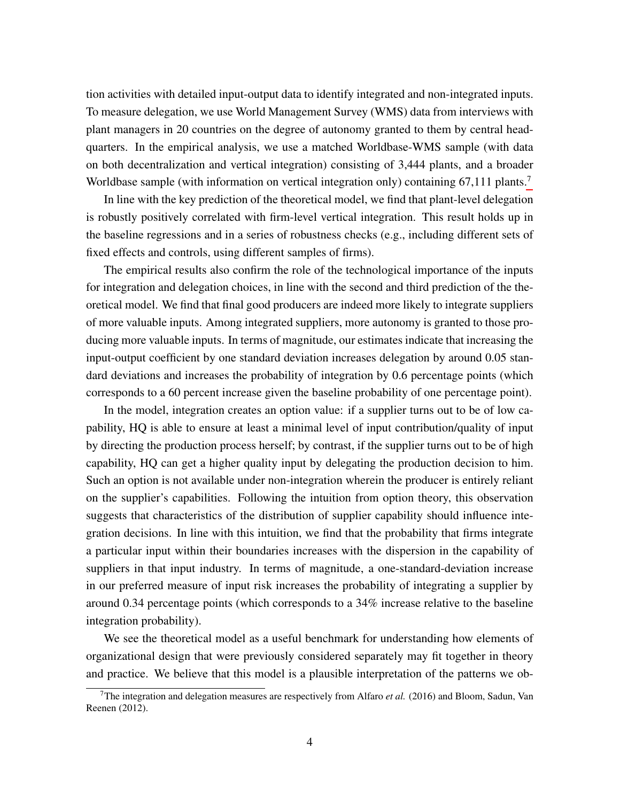tion activities with detailed input-output data to identify integrated and non-integrated inputs. To measure delegation, we use World Management Survey (WMS) data from interviews with plant managers in 20 countries on the degree of autonomy granted to them by central headquarters. In the empirical analysis, we use a matched Worldbase-WMS sample (with data on both decentralization and vertical integration) consisting of 3,444 plants, and a broader Worldbase sample (with information on vertical integration only) containing 6[7](#page-5-0),111 plants.<sup>7</sup>

In line with the key prediction of the theoretical model, we find that plant-level delegation is robustly positively correlated with firm-level vertical integration. This result holds up in the baseline regressions and in a series of robustness checks (e.g., including different sets of fixed effects and controls, using different samples of firms).

The empirical results also confirm the role of the technological importance of the inputs for integration and delegation choices, in line with the second and third prediction of the theoretical model. We find that final good producers are indeed more likely to integrate suppliers of more valuable inputs. Among integrated suppliers, more autonomy is granted to those producing more valuable inputs. In terms of magnitude, our estimates indicate that increasing the input-output coefficient by one standard deviation increases delegation by around 0.05 standard deviations and increases the probability of integration by 0.6 percentage points (which corresponds to a 60 percent increase given the baseline probability of one percentage point).

In the model, integration creates an option value: if a supplier turns out to be of low capability, HQ is able to ensure at least a minimal level of input contribution/quality of input by directing the production process herself; by contrast, if the supplier turns out to be of high capability, HQ can get a higher quality input by delegating the production decision to him. Such an option is not available under non-integration wherein the producer is entirely reliant on the supplier's capabilities. Following the intuition from option theory, this observation suggests that characteristics of the distribution of supplier capability should influence integration decisions. In line with this intuition, we find that the probability that firms integrate a particular input within their boundaries increases with the dispersion in the capability of suppliers in that input industry. In terms of magnitude, a one-standard-deviation increase in our preferred measure of input risk increases the probability of integrating a supplier by around 0.34 percentage points (which corresponds to a 34% increase relative to the baseline integration probability).

We see the theoretical model as a useful benchmark for understanding how elements of organizational design that were previously considered separately may fit together in theory and practice. We believe that this model is a plausible interpretation of the patterns we ob-

<span id="page-5-0"></span><sup>7</sup>The integration and delegation measures are respectively from Alfaro *et al.* (2016) and Bloom, Sadun, Van Reenen (2012).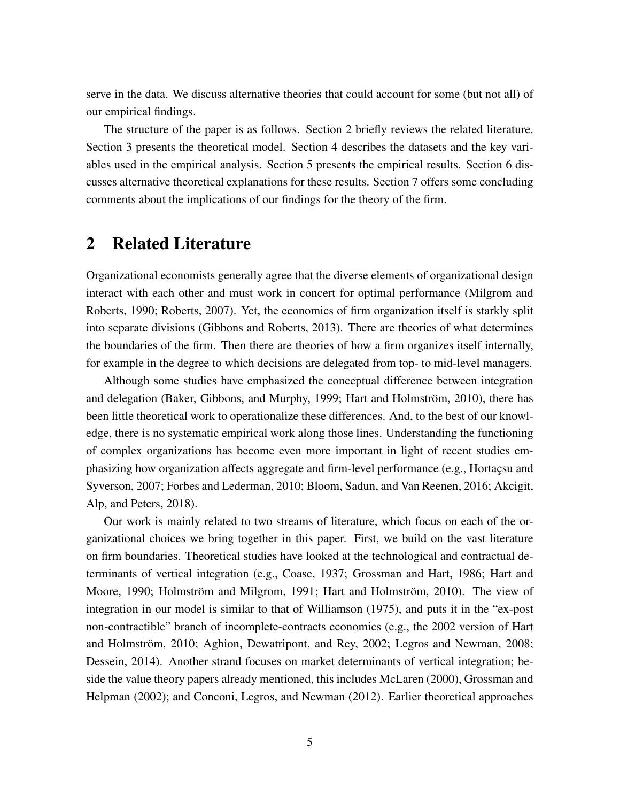serve in the data. We discuss alternative theories that could account for some (but not all) of our empirical findings.

The structure of the paper is as follows. Section 2 briefly reviews the related literature. Section 3 presents the theoretical model. Section 4 describes the datasets and the key variables used in the empirical analysis. Section 5 presents the empirical results. Section 6 discusses alternative theoretical explanations for these results. Section 7 offers some concluding comments about the implications of our findings for the theory of the firm.

# 2 Related Literature

Organizational economists generally agree that the diverse elements of organizational design interact with each other and must work in concert for optimal performance (Milgrom and Roberts, 1990; Roberts, 2007). Yet, the economics of firm organization itself is starkly split into separate divisions (Gibbons and Roberts, 2013). There are theories of what determines the boundaries of the firm. Then there are theories of how a firm organizes itself internally, for example in the degree to which decisions are delegated from top- to mid-level managers.

Although some studies have emphasized the conceptual difference between integration and delegation (Baker, Gibbons, and Murphy, 1999; Hart and Holmström, 2010), there has been little theoretical work to operationalize these differences. And, to the best of our knowledge, there is no systematic empirical work along those lines. Understanding the functioning of complex organizations has become even more important in light of recent studies emphasizing how organization affects aggregate and firm-level performance (e.g., Hortaçsu and Syverson, 2007; Forbes and Lederman, 2010; Bloom, Sadun, and Van Reenen, 2016; Akcigit, Alp, and Peters, 2018).

Our work is mainly related to two streams of literature, which focus on each of the organizational choices we bring together in this paper. First, we build on the vast literature on firm boundaries. Theoretical studies have looked at the technological and contractual determinants of vertical integration (e.g., Coase, 1937; Grossman and Hart, 1986; Hart and Moore, 1990; Holmström and Milgrom, 1991; Hart and Holmström, 2010). The view of integration in our model is similar to that of Williamson (1975), and puts it in the "ex-post non-contractible" branch of incomplete-contracts economics (e.g., the 2002 version of Hart and Holmström, 2010; Aghion, Dewatripont, and Rey, 2002; Legros and Newman, 2008; Dessein, 2014). Another strand focuses on market determinants of vertical integration; beside the value theory papers already mentioned, this includes McLaren (2000), Grossman and Helpman (2002); and Conconi, Legros, and Newman (2012). Earlier theoretical approaches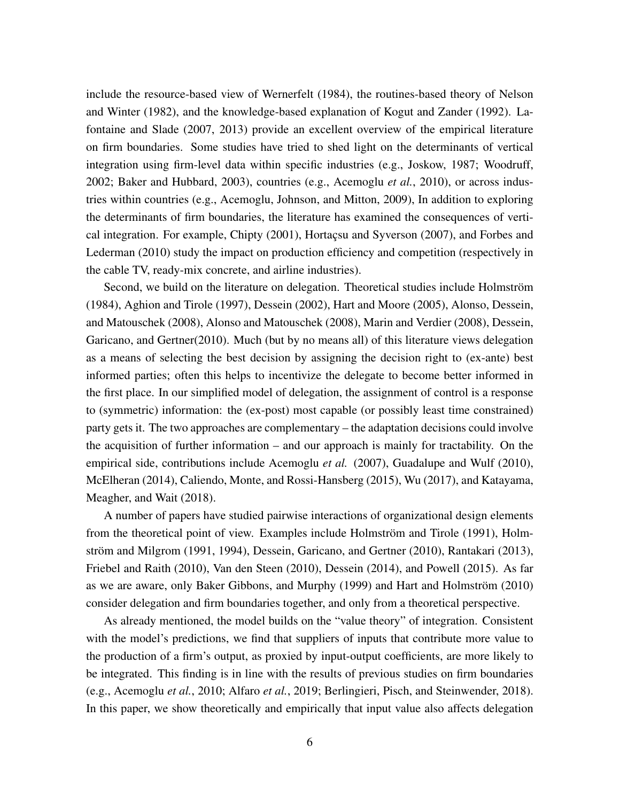include the resource-based view of Wernerfelt (1984), the routines-based theory of Nelson and Winter (1982), and the knowledge-based explanation of Kogut and Zander (1992). Lafontaine and Slade (2007, 2013) provide an excellent overview of the empirical literature on firm boundaries. Some studies have tried to shed light on the determinants of vertical integration using firm-level data within specific industries (e.g., Joskow, 1987; Woodruff, 2002; Baker and Hubbard, 2003), countries (e.g., Acemoglu *et al.*, 2010), or across industries within countries (e.g., Acemoglu, Johnson, and Mitton, 2009), In addition to exploring the determinants of firm boundaries, the literature has examined the consequences of vertical integration. For example, Chipty (2001), Hortaçsu and Syverson (2007), and Forbes and Lederman (2010) study the impact on production efficiency and competition (respectively in the cable TV, ready-mix concrete, and airline industries).

Second, we build on the literature on delegation. Theoretical studies include Holmström (1984), Aghion and Tirole (1997), Dessein (2002), Hart and Moore (2005), Alonso, Dessein, and Matouschek (2008), Alonso and Matouschek (2008), Marin and Verdier (2008), Dessein, Garicano, and Gertner(2010). Much (but by no means all) of this literature views delegation as a means of selecting the best decision by assigning the decision right to (ex-ante) best informed parties; often this helps to incentivize the delegate to become better informed in the first place. In our simplified model of delegation, the assignment of control is a response to (symmetric) information: the (ex-post) most capable (or possibly least time constrained) party gets it. The two approaches are complementary – the adaptation decisions could involve the acquisition of further information – and our approach is mainly for tractability. On the empirical side, contributions include Acemoglu *et al.* (2007), Guadalupe and Wulf (2010), McElheran (2014), Caliendo, Monte, and Rossi-Hansberg (2015), Wu (2017), and Katayama, Meagher, and Wait (2018).

A number of papers have studied pairwise interactions of organizational design elements from the theoretical point of view. Examples include Holmström and Tirole (1991), Holmström and Milgrom (1991, 1994), Dessein, Garicano, and Gertner (2010), Rantakari (2013), Friebel and Raith (2010), Van den Steen (2010), Dessein (2014), and Powell (2015). As far as we are aware, only Baker Gibbons, and Murphy (1999) and Hart and Holmström (2010) consider delegation and firm boundaries together, and only from a theoretical perspective.

As already mentioned, the model builds on the "value theory" of integration. Consistent with the model's predictions, we find that suppliers of inputs that contribute more value to the production of a firm's output, as proxied by input-output coefficients, are more likely to be integrated. This finding is in line with the results of previous studies on firm boundaries (e.g., Acemoglu *et al.*, 2010; Alfaro *et al.*, 2019; Berlingieri, Pisch, and Steinwender, 2018). In this paper, we show theoretically and empirically that input value also affects delegation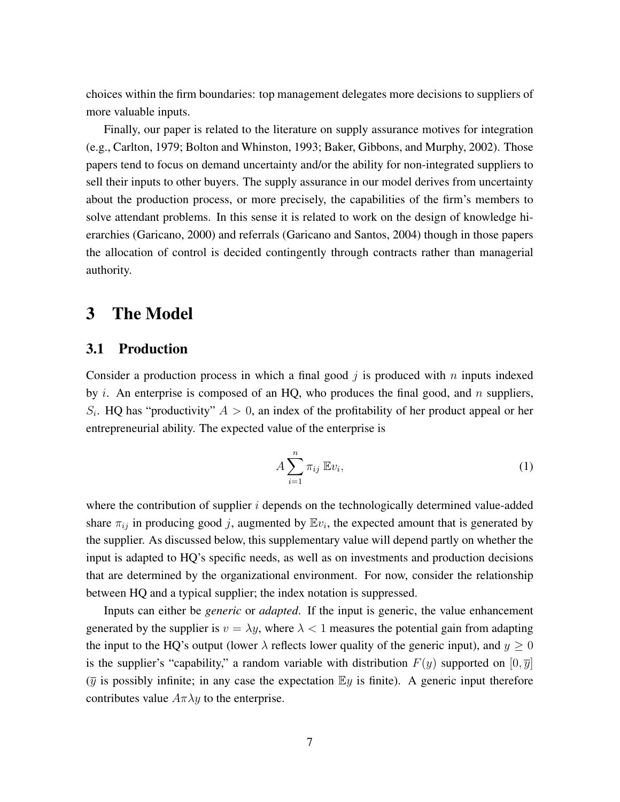choices within the firm boundaries: top management delegates more decisions to suppliers of more valuable inputs.

Finally, our paper is related to the literature on supply assurance motives for integration (e.g., Carlton, 1979; Bolton and Whinston, 1993; Baker, Gibbons, and Murphy, 2002). Those papers tend to focus on demand uncertainty and/or the ability for non-integrated suppliers to sell their inputs to other buyers. The supply assurance in our model derives from uncertainty about the production process, or more precisely, the capabilities of the firm's members to solve attendant problems. In this sense it is related to work on the design of knowledge hierarchies (Garicano, 2000) and referrals (Garicano and Santos, 2004) though in those papers the allocation of control is decided contingently through contracts rather than managerial authority.

# 3 The Model

## 3.1 Production

Consider a production process in which a final good  $j$  is produced with  $n$  inputs indexed by i. An enterprise is composed of an HQ, who produces the final good, and n suppliers,  $S_i$ . HQ has "productivity"  $A > 0$ , an index of the profitability of her product appeal or her entrepreneurial ability. The expected value of the enterprise is

$$
A\sum_{i=1}^{n}\pi_{ij}\mathbb{E}v_{i},\tag{1}
$$

where the contribution of supplier  $i$  depends on the technologically determined value-added share  $\pi_{ij}$  in producing good j, augmented by  $\mathbb{E}v_i$ , the expected amount that is generated by the supplier. As discussed below, this supplementary value will depend partly on whether the input is adapted to HQ's specific needs, as well as on investments and production decisions that are determined by the organizational environment. For now, consider the relationship between HQ and a typical supplier; the index notation is suppressed.

Inputs can either be *generic* or *adapted*. If the input is generic, the value enhancement generated by the supplier is  $v = \lambda y$ , where  $\lambda < 1$  measures the potential gain from adapting the input to the HQ's output (lower  $\lambda$  reflects lower quality of the generic input), and  $y > 0$ is the supplier's "capability," a random variable with distribution  $F(y)$  supported on  $[0, \overline{y}]$  $(\overline{y})$  is possibly infinite; in any case the expectation  $\mathbb{E}y$  is finite). A generic input therefore contributes value  $A\pi\lambda y$  to the enterprise.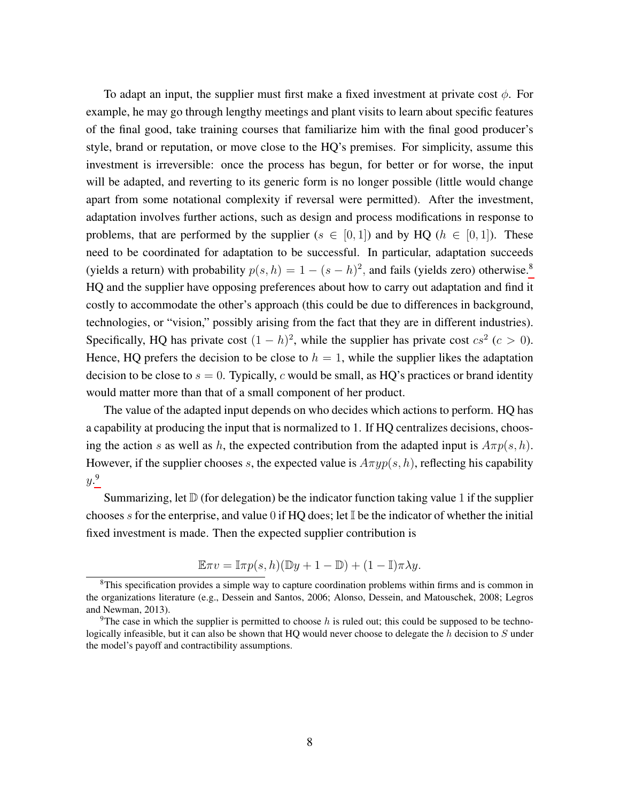To adapt an input, the supplier must first make a fixed investment at private cost  $\phi$ . For example, he may go through lengthy meetings and plant visits to learn about specific features of the final good, take training courses that familiarize him with the final good producer's style, brand or reputation, or move close to the HQ's premises. For simplicity, assume this investment is irreversible: once the process has begun, for better or for worse, the input will be adapted, and reverting to its generic form is no longer possible (little would change apart from some notational complexity if reversal were permitted). After the investment, adaptation involves further actions, such as design and process modifications in response to problems, that are performed by the supplier ( $s \in [0,1]$ ) and by HQ ( $h \in [0,1]$ ). These need to be coordinated for adaptation to be successful. In particular, adaptation succeeds (yields a return) with probability  $p(s, h) = 1 - (s - h)^2$ , and fails (yields zero) otherwise.<sup>[8](#page-9-0)</sup> HQ and the supplier have opposing preferences about how to carry out adaptation and find it costly to accommodate the other's approach (this could be due to differences in background, technologies, or "vision," possibly arising from the fact that they are in different industries). Specifically, HQ has private cost  $(1-h)^2$ , while the supplier has private cost  $cs^2$  ( $c > 0$ ). Hence, HQ prefers the decision to be close to  $h = 1$ , while the supplier likes the adaptation decision to be close to  $s = 0$ . Typically, c would be small, as HQ's practices or brand identity would matter more than that of a small component of her product.

The value of the adapted input depends on who decides which actions to perform. HQ has a capability at producing the input that is normalized to 1. If HQ centralizes decisions, choosing the action s as well as h, the expected contribution from the adapted input is  $A\pi p(s, h)$ . However, if the supplier chooses s, the expected value is  $A\pi yp(s, h)$ , reflecting his capability y. [9](#page-9-1)

Summarizing, let  $\mathbb D$  (for delegation) be the indicator function taking value 1 if the supplier chooses s for the enterprise, and value 0 if HQ does; let  $\mathbb{I}$  be the indicator of whether the initial fixed investment is made. Then the expected supplier contribution is

$$
\mathbb{E}\pi v = \mathbb{I}\pi p(s, h)(\mathbb{D}y + 1 - \mathbb{D}) + (1 - \mathbb{I})\pi \lambda y.
$$

<span id="page-9-0"></span><sup>&</sup>lt;sup>8</sup>This specification provides a simple way to capture coordination problems within firms and is common in the organizations literature (e.g., Dessein and Santos, 2006; Alonso, Dessein, and Matouschek, 2008; Legros and Newman, 2013).

<span id="page-9-1"></span><sup>&</sup>lt;sup>9</sup>The case in which the supplier is permitted to choose h is ruled out; this could be supposed to be technologically infeasible, but it can also be shown that HQ would never choose to delegate the  $h$  decision to  $S$  under the model's payoff and contractibility assumptions.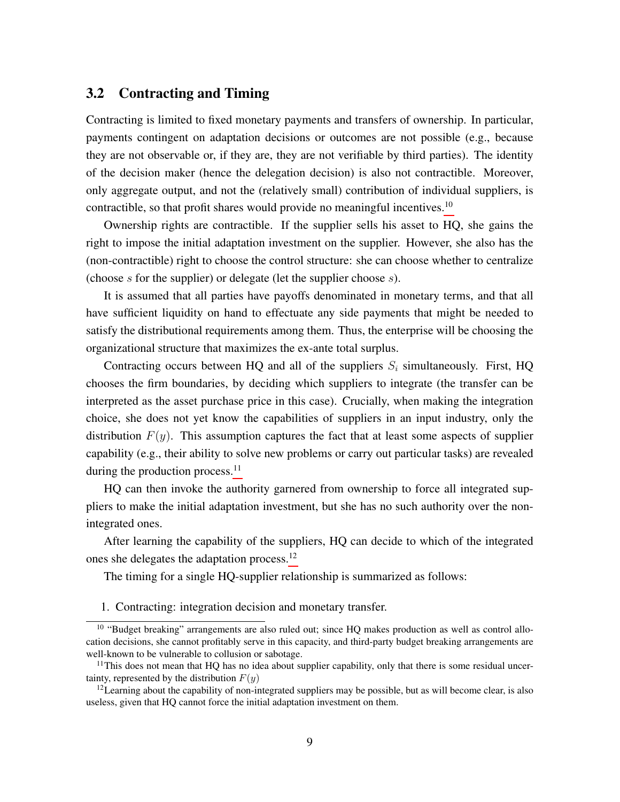## 3.2 Contracting and Timing

Contracting is limited to fixed monetary payments and transfers of ownership. In particular, payments contingent on adaptation decisions or outcomes are not possible (e.g., because they are not observable or, if they are, they are not verifiable by third parties). The identity of the decision maker (hence the delegation decision) is also not contractible. Moreover, only aggregate output, and not the (relatively small) contribution of individual suppliers, is contractible, so that profit shares would provide no meaningful incentives.<sup>[10](#page-10-0)</sup>

Ownership rights are contractible. If the supplier sells his asset to HQ, she gains the right to impose the initial adaptation investment on the supplier. However, she also has the (non-contractible) right to choose the control structure: she can choose whether to centralize (choose  $s$  for the supplier) or delegate (let the supplier choose  $s$ ).

It is assumed that all parties have payoffs denominated in monetary terms, and that all have sufficient liquidity on hand to effectuate any side payments that might be needed to satisfy the distributional requirements among them. Thus, the enterprise will be choosing the organizational structure that maximizes the ex-ante total surplus.

Contracting occurs between HQ and all of the suppliers  $S_i$  simultaneously. First, HQ chooses the firm boundaries, by deciding which suppliers to integrate (the transfer can be interpreted as the asset purchase price in this case). Crucially, when making the integration choice, she does not yet know the capabilities of suppliers in an input industry, only the distribution  $F(y)$ . This assumption captures the fact that at least some aspects of supplier capability (e.g., their ability to solve new problems or carry out particular tasks) are revealed during the production process.<sup>[11](#page-10-1)</sup>

HQ can then invoke the authority garnered from ownership to force all integrated suppliers to make the initial adaptation investment, but she has no such authority over the nonintegrated ones.

After learning the capability of the suppliers, HQ can decide to which of the integrated ones she delegates the adaptation process.[12](#page-10-2)

The timing for a single HQ-supplier relationship is summarized as follows:

1. Contracting: integration decision and monetary transfer.

<span id="page-10-0"></span><sup>&</sup>lt;sup>10</sup> "Budget breaking" arrangements are also ruled out; since HQ makes production as well as control allocation decisions, she cannot profitably serve in this capacity, and third-party budget breaking arrangements are well-known to be vulnerable to collusion or sabotage.

<span id="page-10-1"></span> $11$ This does not mean that HQ has no idea about supplier capability, only that there is some residual uncertainty, represented by the distribution  $F(y)$ 

<span id="page-10-2"></span> $12$ Learning about the capability of non-integrated suppliers may be possible, but as will become clear, is also useless, given that HQ cannot force the initial adaptation investment on them.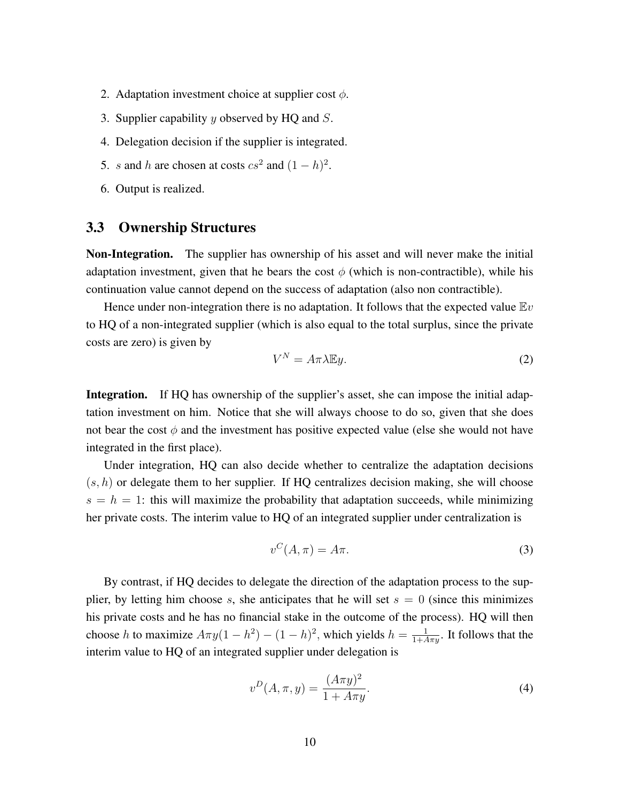- 2. Adaptation investment choice at supplier cost  $\phi$ .
- 3. Supplier capability  $y$  observed by HQ and  $S$ .
- 4. Delegation decision if the supplier is integrated.
- 5. s and h are chosen at costs  $cs^2$  and  $(1-h)^2$ .
- 6. Output is realized.

## 3.3 Ownership Structures

Non-Integration. The supplier has ownership of his asset and will never make the initial adaptation investment, given that he bears the cost  $\phi$  (which is non-contractible), while his continuation value cannot depend on the success of adaptation (also non contractible).

Hence under non-integration there is no adaptation. It follows that the expected value  $E_y$ to HQ of a non-integrated supplier (which is also equal to the total surplus, since the private costs are zero) is given by

<span id="page-11-2"></span>
$$
V^N = A\pi\lambda \mathbb{E}y.
$$
 (2)

Integration. If HQ has ownership of the supplier's asset, she can impose the initial adaptation investment on him. Notice that she will always choose to do so, given that she does not bear the cost  $\phi$  and the investment has positive expected value (else she would not have integrated in the first place).

Under integration, HQ can also decide whether to centralize the adaptation decisions  $(s, h)$  or delegate them to her supplier. If HQ centralizes decision making, she will choose  $s = h = 1$ : this will maximize the probability that adaptation succeeds, while minimizing her private costs. The interim value to HQ of an integrated supplier under centralization is

<span id="page-11-0"></span>
$$
v^C(A,\pi) = A\pi.
$$
 (3)

By contrast, if HQ decides to delegate the direction of the adaptation process to the supplier, by letting him choose s, she anticipates that he will set  $s = 0$  (since this minimizes his private costs and he has no financial stake in the outcome of the process). HQ will then choose h to maximize  $A\pi y(1-h^2) - (1-h)^2$ , which yields  $h = \frac{1}{1+A\pi y}$ . It follows that the interim value to HQ of an integrated supplier under delegation is

<span id="page-11-1"></span>
$$
v^{D}(A, \pi, y) = \frac{(A\pi y)^{2}}{1 + A\pi y}.
$$
\n(4)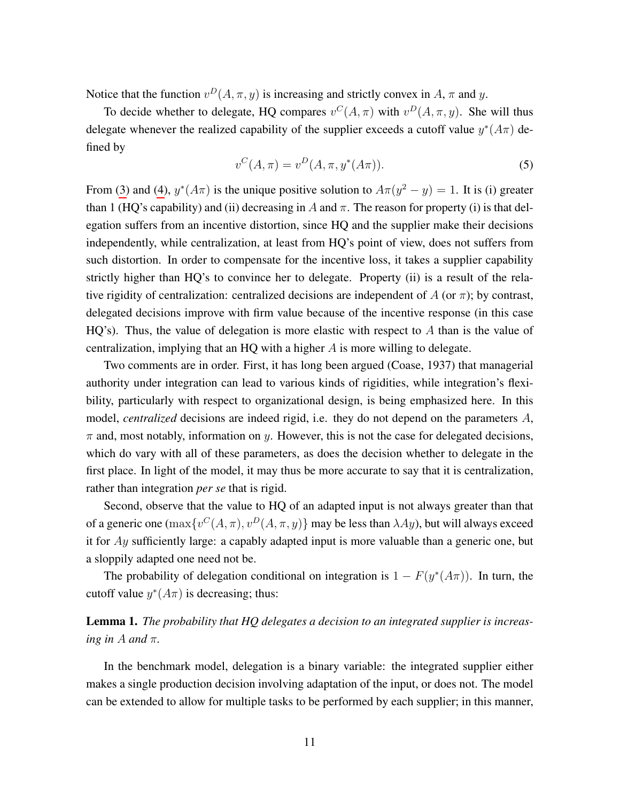Notice that the function  $v^D(A, \pi, y)$  is increasing and strictly convex in A,  $\pi$  and y.

To decide whether to delegate, HQ compares  $v^C(A, \pi)$  with  $v^D(A, \pi, y)$ . She will thus delegate whenever the realized capability of the supplier exceeds a cutoff value  $y^*(A\pi)$  defined by

$$
v^{C}(A,\pi) = v^{D}(A,\pi,y^{*}(A\pi)).
$$
\n(5)

From [\(3\)](#page-11-0) and [\(4\)](#page-11-1),  $y^*(A\pi)$  is the unique positive solution to  $A\pi(y^2 - y) = 1$ . It is (i) greater than 1 (HQ's capability) and (ii) decreasing in A and  $\pi$ . The reason for property (i) is that delegation suffers from an incentive distortion, since HQ and the supplier make their decisions independently, while centralization, at least from HQ's point of view, does not suffers from such distortion. In order to compensate for the incentive loss, it takes a supplier capability strictly higher than HQ's to convince her to delegate. Property (ii) is a result of the relative rigidity of centralization: centralized decisions are independent of A (or  $\pi$ ); by contrast, delegated decisions improve with firm value because of the incentive response (in this case HQ's). Thus, the value of delegation is more elastic with respect to  $A$  than is the value of centralization, implying that an HQ with a higher  $A$  is more willing to delegate.

Two comments are in order. First, it has long been argued (Coase, 1937) that managerial authority under integration can lead to various kinds of rigidities, while integration's flexibility, particularly with respect to organizational design, is being emphasized here. In this model, *centralized* decisions are indeed rigid, i.e. they do not depend on the parameters A,  $\pi$  and, most notably, information on y. However, this is not the case for delegated decisions, which do vary with all of these parameters, as does the decision whether to delegate in the first place. In light of the model, it may thus be more accurate to say that it is centralization, rather than integration *per se* that is rigid.

Second, observe that the value to HQ of an adapted input is not always greater than that of a generic one  $(\max\{v^C(A,\pi), v^D(A,\pi,y)\}\)$  may be less than  $\lambda Ay$ ), but will always exceed it for  $Ay$  sufficiently large: a capably adapted input is more valuable than a generic one, but a sloppily adapted one need not be.

The probability of delegation conditional on integration is  $1 - F(y^*(A\pi))$ . In turn, the cutoff value  $y^*(A\pi)$  is decreasing; thus:

## <span id="page-12-0"></span>Lemma 1. *The probability that HQ delegates a decision to an integrated supplier is increasing in A and*  $\pi$ *.*

In the benchmark model, delegation is a binary variable: the integrated supplier either makes a single production decision involving adaptation of the input, or does not. The model can be extended to allow for multiple tasks to be performed by each supplier; in this manner,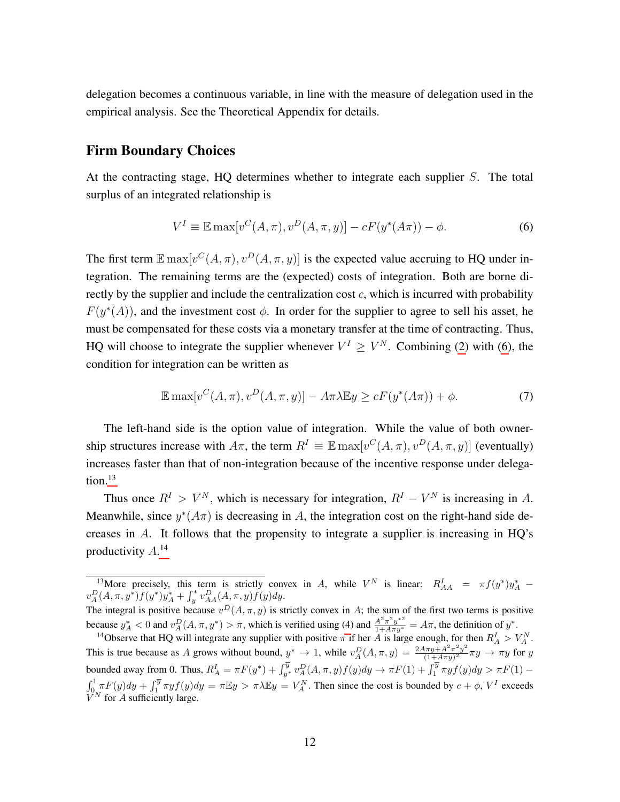delegation becomes a continuous variable, in line with the measure of delegation used in the empirical analysis. See the Theoretical Appendix for details.

### Firm Boundary Choices

At the contracting stage, HQ determines whether to integrate each supplier S. The total surplus of an integrated relationship is

<span id="page-13-0"></span>
$$
V^{I} \equiv \mathbb{E} \max[v^{C}(A,\pi), v^{D}(A,\pi,y)] - cF(y^{*}(A\pi)) - \phi.
$$
 (6)

The first term  $\mathbb{E} \max[v^C(A, \pi), v^D(A, \pi, y)]$  is the expected value accruing to HQ under integration. The remaining terms are the (expected) costs of integration. Both are borne directly by the supplier and include the centralization cost  $c$ , which is incurred with probability  $F(y^*(A))$ , and the investment cost  $\phi$ . In order for the supplier to agree to sell his asset, he must be compensated for these costs via a monetary transfer at the time of contracting. Thus, HQ will choose to integrate the supplier whenever  $V^I \geq V^N$ . Combining [\(2\)](#page-11-2) with [\(6\)](#page-13-0), the condition for integration can be written as

$$
\mathbb{E}\max[v^{C}(A,\pi),v^{D}(A,\pi,y)] - A\pi\lambda\mathbb{E}y \ge cF(y^{*}(A\pi)) + \phi.
$$
 (7)

The left-hand side is the option value of integration. While the value of both ownership structures increase with  $A\pi$ , the term  $R^I \equiv \mathbb{E} \max[v^C(A, \pi), v^D(A, \pi, y)]$  (eventually) increases faster than that of non-integration because of the incentive response under delegation. $13$ 

Thus once  $R^I > V^N$ , which is necessary for integration,  $R^I - V^N$  is increasing in A. Meanwhile, since  $y^*(A\pi)$  is decreasing in A, the integration cost on the right-hand side decreases in A. It follows that the propensity to integrate a supplier is increasing in HQ's productivity  $A^{14}$  $A^{14}$  $A^{14}$ 

<span id="page-13-1"></span><sup>&</sup>lt;sup>13</sup>More precisely, this term is strictly convex in A, while  $V^N$  is linear:  $R_{AA}^I = \pi f(y^*) y_A^*$  –  $v_A^D(A,\pi,y^*) f(y^*) y^*_A + \int_y^* v_{AA}^D(A,\pi,y) f(y) dy.$  $\overline{y}$ 

The integral is positive because  $v^D(A, \pi, y)$  is strictly convex in A; the sum of the first two terms is positive because  $y_A^* < 0$  and  $v_A^D(A, \pi, y^*) > \pi$ , which is verified using [\(4\)](#page-11-1) and  $\frac{A^2 \pi^2 y^{*2}}{1 + A \pi y^*} = A \pi$ , the definition of  $y^*$ .

<span id="page-13-2"></span><sup>&</sup>lt;sup>14</sup>Observe that HQ will integrate any supplier with positive  $\pi$  if her A is large enough, for then  $R_A^I > V_A^N$ . This is true because as A grows without bound,  $y^* \to 1$ , while  $v_A^D(A, \pi, y) = \frac{2A\pi y + A^2\pi^2 y^2}{(1 + A\pi y)^2}$  $\frac{(\pi y + A^2 \pi^2 y^2)}{(1 + A \pi y)^2} \pi y \to \pi y$  for y bounded away from 0. Thus,  $R_A^I = \pi F(y^*) + \int_{y^*}^{\overline{y}} v_A^D(A, \pi, y) f(y) dy \to \pi F(1) + \int_1^{\overline{y}} \pi y f(y) dy > \pi F(1) \int_{0}^{1} \pi F(y) dy + \int_{1}^{\overline{y}} \pi y f(y) dy = \pi \mathbb{E}y > \pi \lambda \mathbb{E}y = V_A^N$ . Then since the cost is bounded by  $c + \phi$ ,  $V^I$  exceeds  $\check{V}^N$  for A sufficiently large.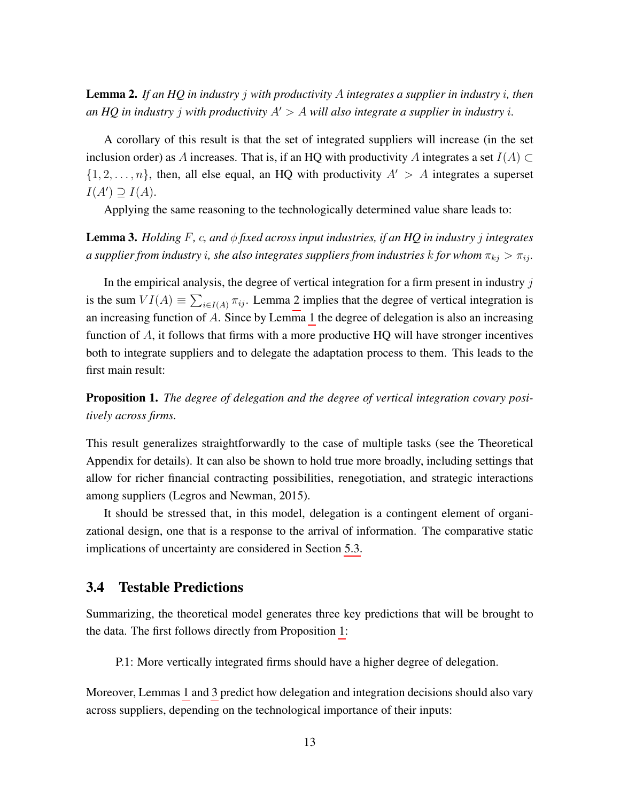<span id="page-14-0"></span>Lemma 2. *If an HQ in industry* j *with productivity* A *integrates a supplier in industry* i*, then an HQ in industry j with productivity*  $A' > A$  *will also integrate a supplier in industry i*.

A corollary of this result is that the set of integrated suppliers will increase (in the set inclusion order) as A increases. That is, if an HQ with productivity A integrates a set  $I(A) \subset$  $\{1, 2, \ldots, n\}$ , then, all else equal, an HQ with productivity  $A' > A$  integrates a superset  $I(A') \supseteq I(A)$ .

Applying the same reasoning to the technologically determined value share leads to:

<span id="page-14-2"></span>Lemma 3. *Holding* F*,* c*, and* φ *fixed across input industries, if an HQ in industry* j *integrates a supplier from industry i, she also integrates suppliers from industries* k *for whom*  $\pi_{kj} > \pi_{ij}$ *.* 

In the empirical analysis, the degree of vertical integration for a firm present in industry  $j$ is the sum  $VI(A) \equiv \sum_{i \in I(A)} \pi_{ij}$ . Lemma [2](#page-14-0) implies that the degree of vertical integration is an increasing function of A. Since by Lemma [1](#page-12-0) the degree of delegation is also an increasing function of A, it follows that firms with a more productive HQ will have stronger incentives both to integrate suppliers and to delegate the adaptation process to them. This leads to the first main result:

<span id="page-14-1"></span>Proposition 1. *The degree of delegation and the degree of vertical integration covary positively across firms.*

This result generalizes straightforwardly to the case of multiple tasks (see the Theoretical Appendix for details). It can also be shown to hold true more broadly, including settings that allow for richer financial contracting possibilities, renegotiation, and strategic interactions among suppliers (Legros and Newman, 2015).

It should be stressed that, in this model, delegation is a contingent element of organizational design, one that is a response to the arrival of information. The comparative static implications of uncertainty are considered in Section [5.3.](#page-32-0)

## 3.4 Testable Predictions

Summarizing, the theoretical model generates three key predictions that will be brought to the data. The first follows directly from Proposition [1:](#page-14-1)

P.1: More vertically integrated firms should have a higher degree of delegation.

Moreover, Lemmas [1](#page-12-0) and [3](#page-14-2) predict how delegation and integration decisions should also vary across suppliers, depending on the technological importance of their inputs: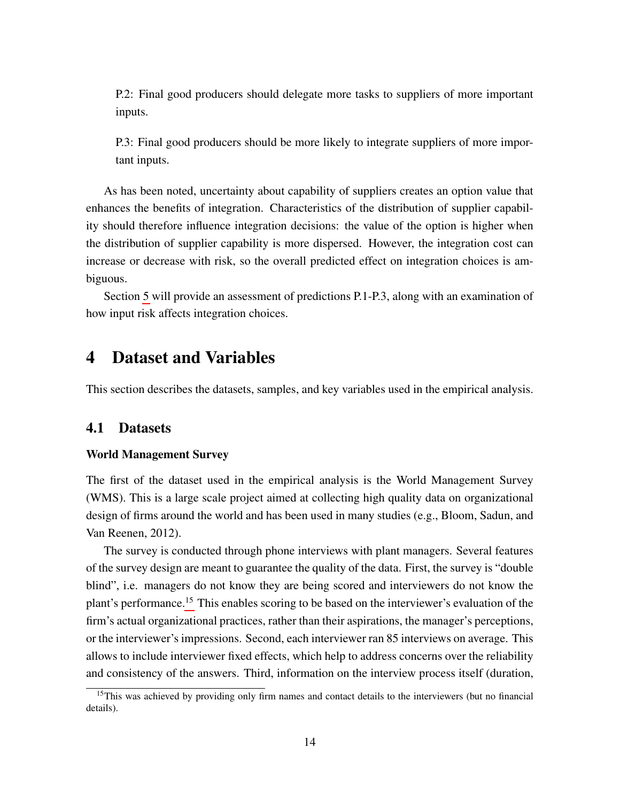P.2: Final good producers should delegate more tasks to suppliers of more important inputs.

P.3: Final good producers should be more likely to integrate suppliers of more important inputs.

As has been noted, uncertainty about capability of suppliers creates an option value that enhances the benefits of integration. Characteristics of the distribution of supplier capability should therefore influence integration decisions: the value of the option is higher when the distribution of supplier capability is more dispersed. However, the integration cost can increase or decrease with risk, so the overall predicted effect on integration choices is ambiguous.

Section [5](#page-23-0) will provide an assessment of predictions P.1-P.3, along with an examination of how input risk affects integration choices.

# <span id="page-15-1"></span>4 Dataset and Variables

This section describes the datasets, samples, and key variables used in the empirical analysis.

## 4.1 Datasets

#### World Management Survey

The first of the dataset used in the empirical analysis is the World Management Survey (WMS). This is a large scale project aimed at collecting high quality data on organizational design of firms around the world and has been used in many studies (e.g., Bloom, Sadun, and Van Reenen, 2012).

The survey is conducted through phone interviews with plant managers. Several features of the survey design are meant to guarantee the quality of the data. First, the survey is "double blind", i.e. managers do not know they are being scored and interviewers do not know the plant's performance.[15](#page-15-0) This enables scoring to be based on the interviewer's evaluation of the firm's actual organizational practices, rather than their aspirations, the manager's perceptions, or the interviewer's impressions. Second, each interviewer ran 85 interviews on average. This allows to include interviewer fixed effects, which help to address concerns over the reliability and consistency of the answers. Third, information on the interview process itself (duration,

<span id="page-15-0"></span><sup>&</sup>lt;sup>15</sup>This was achieved by providing only firm names and contact details to the interviewers (but no financial details).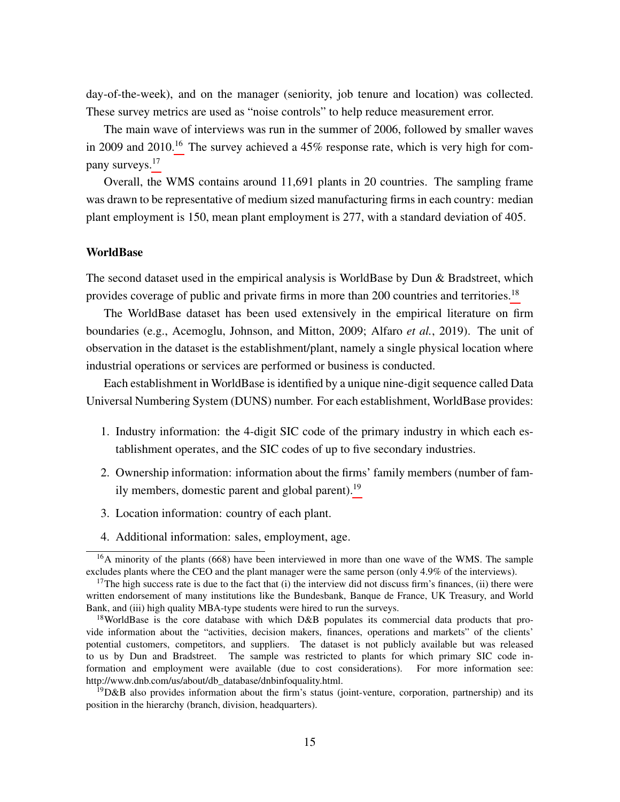day-of-the-week), and on the manager (seniority, job tenure and location) was collected. These survey metrics are used as "noise controls" to help reduce measurement error.

The main wave of interviews was run in the summer of 2006, followed by smaller waves in 2009 and 2010.<sup>[16](#page-16-0)</sup> The survey achieved a 45% response rate, which is very high for company surveys.[17](#page-16-1)

Overall, the WMS contains around 11,691 plants in 20 countries. The sampling frame was drawn to be representative of medium sized manufacturing firms in each country: median plant employment is 150, mean plant employment is 277, with a standard deviation of 405.

#### WorldBase

The second dataset used in the empirical analysis is WorldBase by Dun & Bradstreet, which provides coverage of public and private firms in more than 200 countries and territories.<sup>[18](#page-16-2)</sup>

The WorldBase dataset has been used extensively in the empirical literature on firm boundaries (e.g., Acemoglu, Johnson, and Mitton, 2009; Alfaro *et al.*, 2019). The unit of observation in the dataset is the establishment/plant, namely a single physical location where industrial operations or services are performed or business is conducted.

Each establishment in WorldBase is identified by a unique nine-digit sequence called Data Universal Numbering System (DUNS) number. For each establishment, WorldBase provides:

- 1. Industry information: the 4-digit SIC code of the primary industry in which each establishment operates, and the SIC codes of up to five secondary industries.
- 2. Ownership information: information about the firms' family members (number of family members, domestic parent and global parent).[19](#page-16-3)
- 3. Location information: country of each plant.
- <span id="page-16-0"></span>4. Additional information: sales, employment, age.

<sup>&</sup>lt;sup>16</sup>A minority of the plants (668) have been interviewed in more than one wave of the WMS. The sample excludes plants where the CEO and the plant manager were the same person (only 4.9% of the interviews).

<span id="page-16-1"></span> $17$ The high success rate is due to the fact that (i) the interview did not discuss firm's finances, (ii) there were written endorsement of many institutions like the Bundesbank, Banque de France, UK Treasury, and World Bank, and (iii) high quality MBA-type students were hired to run the surveys.

<span id="page-16-2"></span><sup>&</sup>lt;sup>18</sup>WorldBase is the core database with which D&B populates its commercial data products that provide information about the "activities, decision makers, finances, operations and markets" of the clients' potential customers, competitors, and suppliers. The dataset is not publicly available but was released to us by Dun and Bradstreet. The sample was restricted to plants for which primary SIC code information and employment were available (due to cost considerations). For more information see: http://www.dnb.com/us/about/db\_database/dnbinfoquality.html.

<span id="page-16-3"></span> $19D&B$  also provides information about the firm's status (joint-venture, corporation, partnership) and its position in the hierarchy (branch, division, headquarters).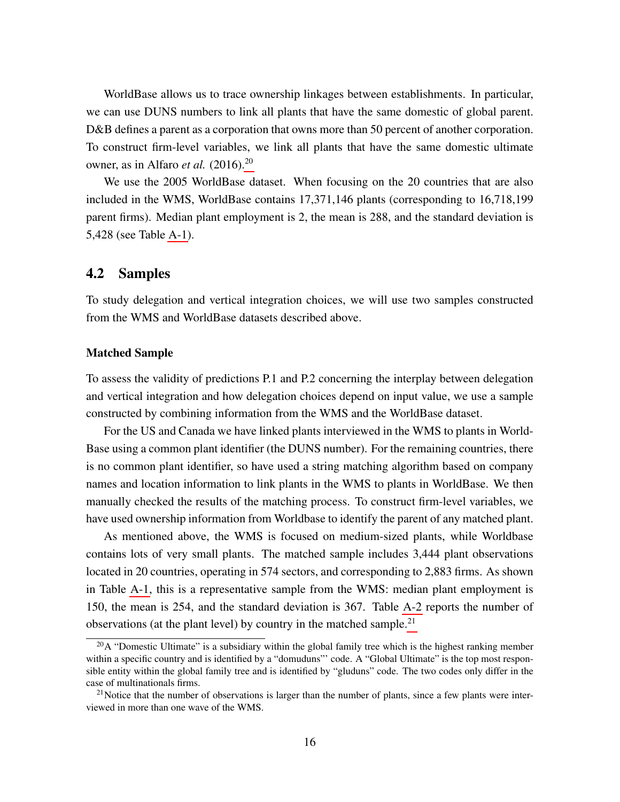WorldBase allows us to trace ownership linkages between establishments. In particular, we can use DUNS numbers to link all plants that have the same domestic of global parent. D&B defines a parent as a corporation that owns more than 50 percent of another corporation. To construct firm-level variables, we link all plants that have the same domestic ultimate owner, as in Alfaro *et al.* (2016).[20](#page-17-0)

We use the 2005 WorldBase dataset. When focusing on the 20 countries that are also included in the WMS, WorldBase contains 17,371,146 plants (corresponding to 16,718,199 parent firms). Median plant employment is 2, the mean is 288, and the standard deviation is 5,428 (see Table [A-1\)](#page-48-0).

## 4.2 Samples

To study delegation and vertical integration choices, we will use two samples constructed from the WMS and WorldBase datasets described above.

#### Matched Sample

To assess the validity of predictions P.1 and P.2 concerning the interplay between delegation and vertical integration and how delegation choices depend on input value, we use a sample constructed by combining information from the WMS and the WorldBase dataset.

For the US and Canada we have linked plants interviewed in the WMS to plants in World-Base using a common plant identifier (the DUNS number). For the remaining countries, there is no common plant identifier, so have used a string matching algorithm based on company names and location information to link plants in the WMS to plants in WorldBase. We then manually checked the results of the matching process. To construct firm-level variables, we have used ownership information from Worldbase to identify the parent of any matched plant.

As mentioned above, the WMS is focused on medium-sized plants, while Worldbase contains lots of very small plants. The matched sample includes 3,444 plant observations located in 20 countries, operating in 574 sectors, and corresponding to 2,883 firms. As shown in Table [A-1,](#page-48-0) this is a representative sample from the WMS: median plant employment is 150, the mean is 254, and the standard deviation is 367. Table [A-2](#page-48-1) reports the number of observations (at the plant level) by country in the matched sample.<sup>[21](#page-17-1)</sup>

<span id="page-17-0"></span> $20A$  "Domestic Ultimate" is a subsidiary within the global family tree which is the highest ranking member within a specific country and is identified by a "domuduns" code. A "Global Ultimate" is the top most responsible entity within the global family tree and is identified by "gluduns" code. The two codes only differ in the case of multinationals firms.

<span id="page-17-1"></span> $2<sup>1</sup>$ Notice that the number of observations is larger than the number of plants, since a few plants were interviewed in more than one wave of the WMS.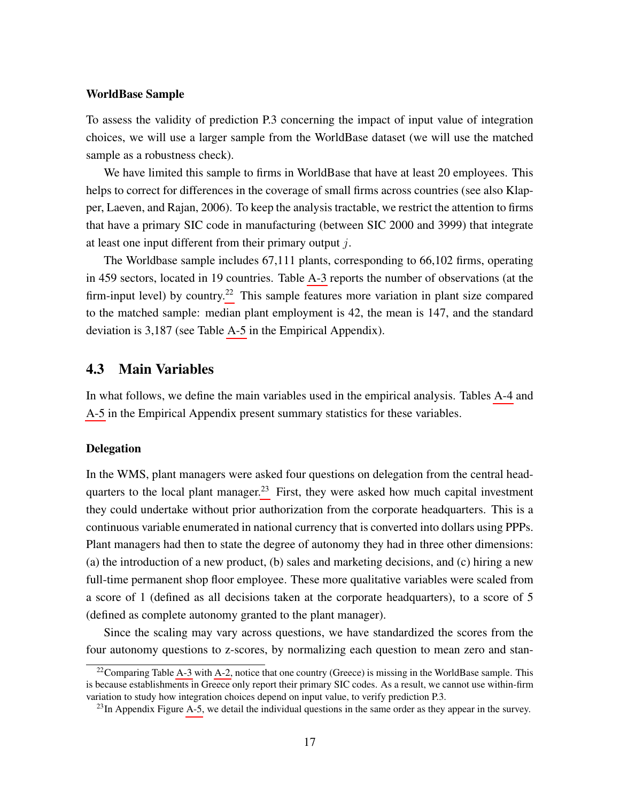#### WorldBase Sample

To assess the validity of prediction P.3 concerning the impact of input value of integration choices, we will use a larger sample from the WorldBase dataset (we will use the matched sample as a robustness check).

We have limited this sample to firms in WorldBase that have at least 20 employees. This helps to correct for differences in the coverage of small firms across countries (see also Klapper, Laeven, and Rajan, 2006). To keep the analysis tractable, we restrict the attention to firms that have a primary SIC code in manufacturing (between SIC 2000 and 3999) that integrate at least one input different from their primary output  $j$ .

The Worldbase sample includes 67,111 plants, corresponding to 66,102 firms, operating in 459 sectors, located in 19 countries. Table [A-3](#page-49-0) reports the number of observations (at the firm-input level) by country.<sup>[22](#page-18-0)</sup> This sample features more variation in plant size compared to the matched sample: median plant employment is 42, the mean is 147, and the standard deviation is 3,187 (see Table [A-5](#page-51-0) in the Empirical Appendix).

## 4.3 Main Variables

In what follows, we define the main variables used in the empirical analysis. Tables [A-4](#page-50-0) and [A-5](#page-51-0) in the Empirical Appendix present summary statistics for these variables.

#### **Delegation**

In the WMS, plant managers were asked four questions on delegation from the central head-quarters to the local plant manager.<sup>[23](#page-18-1)</sup> First, they were asked how much capital investment they could undertake without prior authorization from the corporate headquarters. This is a continuous variable enumerated in national currency that is converted into dollars using PPPs. Plant managers had then to state the degree of autonomy they had in three other dimensions: (a) the introduction of a new product, (b) sales and marketing decisions, and (c) hiring a new full-time permanent shop floor employee. These more qualitative variables were scaled from a score of 1 (defined as all decisions taken at the corporate headquarters), to a score of 5 (defined as complete autonomy granted to the plant manager).

Since the scaling may vary across questions, we have standardized the scores from the four autonomy questions to z-scores, by normalizing each question to mean zero and stan-

<span id="page-18-0"></span><sup>&</sup>lt;sup>22</sup>Comparing Table [A-3](#page-49-0) with [A-2,](#page-48-1) notice that one country (Greece) is missing in the WorldBase sample. This is because establishments in Greece only report their primary SIC codes. As a result, we cannot use within-firm variation to study how integration choices depend on input value, to verify prediction P.3.

<span id="page-18-1"></span> $^{23}$ In Appendix Figure [A-5,](#page-54-0) we detail the individual questions in the same order as they appear in the survey.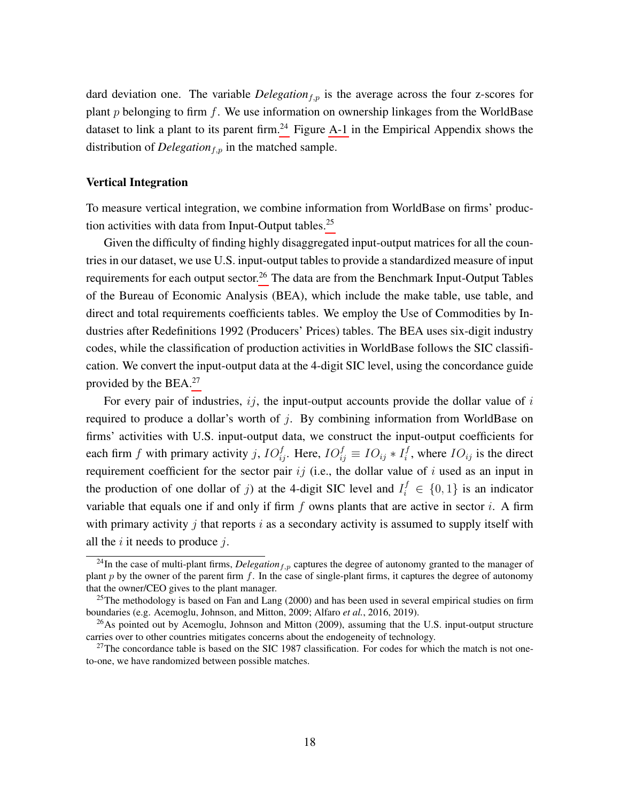dard deviation one. The variable *Delegation*<sub>f,p</sub> is the average across the four z-scores for plant  $p$  belonging to firm  $f$ . We use information on ownership linkages from the WorldBase dataset to link a plant to its parent firm.<sup>[24](#page-19-0)</sup> Figure [A-1](#page-52-0) in the Empirical Appendix shows the distribution of *Delegation*<sub>f,p</sub> in the matched sample.

#### Vertical Integration

To measure vertical integration, we combine information from WorldBase on firms' produc-tion activities with data from Input-Output tables.<sup>[25](#page-19-1)</sup>

Given the difficulty of finding highly disaggregated input-output matrices for all the countries in our dataset, we use U.S. input-output tables to provide a standardized measure of input requirements for each output sector.<sup>[26](#page-19-2)</sup> The data are from the Benchmark Input-Output Tables of the Bureau of Economic Analysis (BEA), which include the make table, use table, and direct and total requirements coefficients tables. We employ the Use of Commodities by Industries after Redefinitions 1992 (Producers' Prices) tables. The BEA uses six-digit industry codes, while the classification of production activities in WorldBase follows the SIC classification. We convert the input-output data at the 4-digit SIC level, using the concordance guide provided by the BEA.[27](#page-19-3)

For every pair of industries,  $ij$ , the input-output accounts provide the dollar value of  $i$ required to produce a dollar's worth of  $i$ . By combining information from WorldBase on firms' activities with U.S. input-output data, we construct the input-output coefficients for each firm f with primary activity j,  $IO_{ij}^f$ . Here,  $IO_{ij}^f \equiv IO_{ij} * I_i^f$  $i<sup>j</sup>$ , where  $IO_{ij}$  is the direct requirement coefficient for the sector pair  $ij$  (i.e., the dollar value of i used as an input in the production of one dollar of j) at the 4-digit SIC level and  $I_i^f \in \{0, 1\}$  is an indicator variable that equals one if and only if firm  $f$  owns plants that are active in sector  $i$ . A firm with primary activity j that reports  $i$  as a secondary activity is assumed to supply itself with all the  $i$  it needs to produce  $j$ .

<span id="page-19-0"></span> $^{24}$ In the case of multi-plant firms, *Delegation*<sub>f,p</sub> captures the degree of autonomy granted to the manager of plant  $p$  by the owner of the parent firm  $f$ . In the case of single-plant firms, it captures the degree of autonomy that the owner/CEO gives to the plant manager.

<span id="page-19-1"></span><sup>&</sup>lt;sup>25</sup>The methodology is based on Fan and Lang  $(2000)$  and has been used in several empirical studies on firm boundaries (e.g. Acemoglu, Johnson, and Mitton, 2009; Alfaro *et al.*, 2016, 2019).

<span id="page-19-2"></span> $^{26}$ As pointed out by Acemoglu, Johnson and Mitton (2009), assuming that the U.S. input-output structure carries over to other countries mitigates concerns about the endogeneity of technology.

<span id="page-19-3"></span> $27$ The concordance table is based on the SIC 1987 classification. For codes for which the match is not oneto-one, we have randomized between possible matches.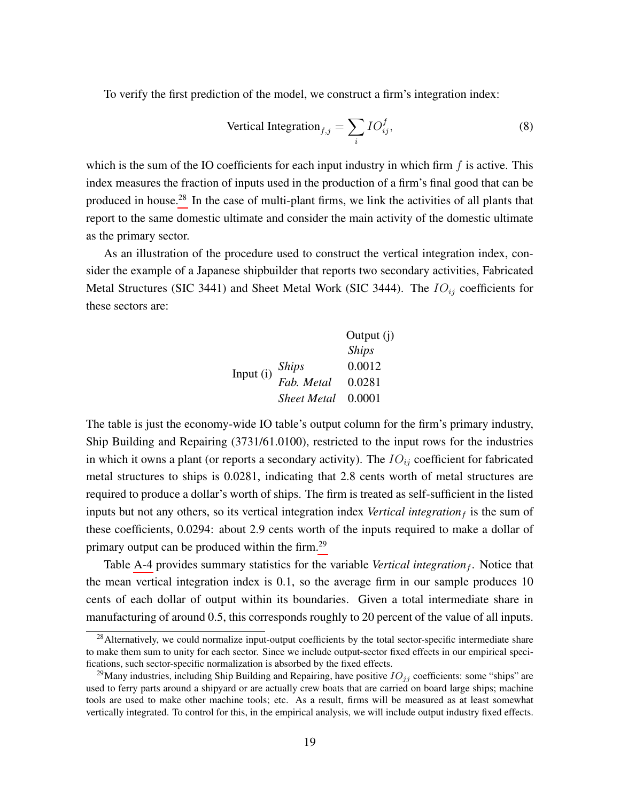To verify the first prediction of the model, we construct a firm's integration index:

Vertical Integration<sub>f,j</sub> = 
$$
\sum_{i} IO_{ij}^f,
$$
 (8)

which is the sum of the IO coefficients for each input industry in which firm  $f$  is active. This index measures the fraction of inputs used in the production of a firm's final good that can be produced in house.<sup>[28](#page-20-0)</sup> In the case of multi-plant firms, we link the activities of all plants that report to the same domestic ultimate and consider the main activity of the domestic ultimate as the primary sector.

As an illustration of the procedure used to construct the vertical integration index, consider the example of a Japanese shipbuilder that reports two secondary activities, Fabricated Metal Structures (SIC 3441) and Sheet Metal Work (SIC 3444). The  $IO_{ij}$  coefficients for these sectors are:

|           |                     | Output (j)   |
|-----------|---------------------|--------------|
|           |                     | <b>Ships</b> |
| Input (i) |                     | 0.0012       |
|           | Ships<br>Fab. Metal | 0.0281       |
|           | <b>Sheet Metal</b>  | 0.0001       |

The table is just the economy-wide IO table's output column for the firm's primary industry, Ship Building and Repairing (3731/61.0100), restricted to the input rows for the industries in which it owns a plant (or reports a secondary activity). The  $IO_{ij}$  coefficient for fabricated metal structures to ships is 0.0281, indicating that 2.8 cents worth of metal structures are required to produce a dollar's worth of ships. The firm is treated as self-sufficient in the listed inputs but not any others, so its vertical integration index *Vertical integration* $_f$  is the sum of these coefficients, 0.0294: about 2.9 cents worth of the inputs required to make a dollar of primary output can be produced within the firm.<sup>[29](#page-20-1)</sup>

Table [A-4](#page-50-0) provides summary statistics for the variable *Vertical integration<sub>f</sub>*. Notice that the mean vertical integration index is 0.1, so the average firm in our sample produces 10 cents of each dollar of output within its boundaries. Given a total intermediate share in manufacturing of around 0.5, this corresponds roughly to 20 percent of the value of all inputs.

<span id="page-20-0"></span><sup>&</sup>lt;sup>28</sup>Alternatively, we could normalize input-output coefficients by the total sector-specific intermediate share to make them sum to unity for each sector. Since we include output-sector fixed effects in our empirical specifications, such sector-specific normalization is absorbed by the fixed effects.

<span id="page-20-1"></span><sup>&</sup>lt;sup>29</sup>Many industries, including Ship Building and Repairing, have positive  $IO_{jj}$  coefficients: some "ships" are used to ferry parts around a shipyard or are actually crew boats that are carried on board large ships; machine tools are used to make other machine tools; etc. As a result, firms will be measured as at least somewhat vertically integrated. To control for this, in the empirical analysis, we will include output industry fixed effects.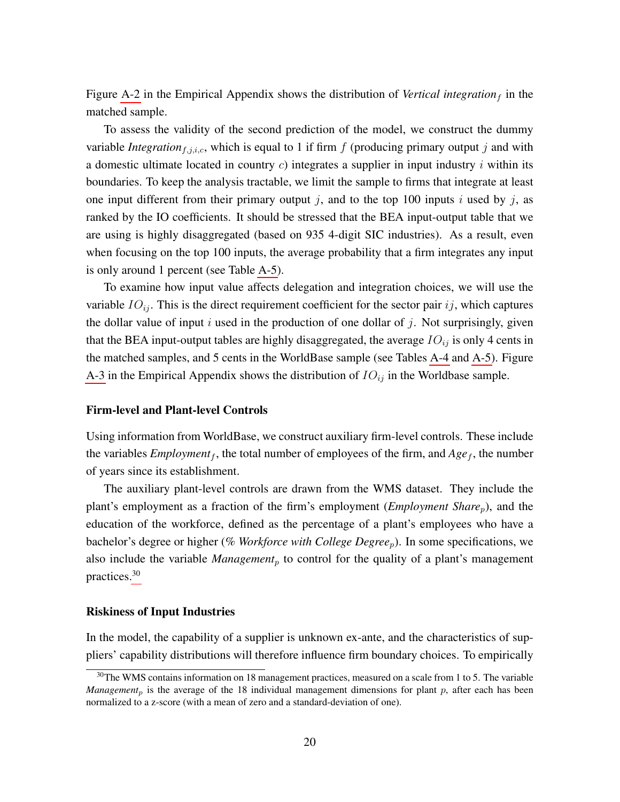Figure [A-2](#page-52-1) in the Empirical Appendix shows the distribution of *Vertical integration*  $_f$  in the matched sample.

To assess the validity of the second prediction of the model, we construct the dummy variable *Integration*<sub>f,j,i,c</sub>, which is equal to 1 if firm  $f$  (producing primary output  $j$  and with a domestic ultimate located in country  $c$ ) integrates a supplier in input industry  $i$  within its boundaries. To keep the analysis tractable, we limit the sample to firms that integrate at least one input different from their primary output j, and to the top 100 inputs i used by j, as ranked by the IO coefficients. It should be stressed that the BEA input-output table that we are using is highly disaggregated (based on 935 4-digit SIC industries). As a result, even when focusing on the top 100 inputs, the average probability that a firm integrates any input is only around 1 percent (see Table [A-5\)](#page-51-0).

To examine how input value affects delegation and integration choices, we will use the variable  $IO_{ij}$ . This is the direct requirement coefficient for the sector pair  $ij$ , which captures the dollar value of input i used in the production of one dollar of j. Not surprisingly, given that the BEA input-output tables are highly disaggregated, the average  $IO_{ij}$  is only 4 cents in the matched samples, and 5 cents in the WorldBase sample (see Tables [A-4](#page-50-0) and [A-5\)](#page-51-0). Figure [A-3](#page-53-0) in the Empirical Appendix shows the distribution of  $IO_{ij}$  in the Worldbase sample.

#### Firm-level and Plant-level Controls

Using information from WorldBase, we construct auxiliary firm-level controls. These include the variables *Employment<sub>f</sub>*, the total number of employees of the firm, and  $Age_f$ , the number of years since its establishment.

The auxiliary plant-level controls are drawn from the WMS dataset. They include the plant's employment as a fraction of the firm's employment (*Employment Share<sub>p</sub>*), and the education of the workforce, defined as the percentage of a plant's employees who have a bachelor's degree or higher (% Workforce with College Degree<sub>p</sub>). In some specifications, we also include the variable *Management*<sub>p</sub> to control for the quality of a plant's management practices.[30](#page-21-0)

#### Riskiness of Input Industries

In the model, the capability of a supplier is unknown ex-ante, and the characteristics of suppliers' capability distributions will therefore influence firm boundary choices. To empirically

<span id="page-21-0"></span><sup>&</sup>lt;sup>30</sup>The WMS contains information on 18 management practices, measured on a scale from 1 to 5. The variable *Management<sub>p</sub>* is the average of the 18 individual management dimensions for plant p, after each has been normalized to a z-score (with a mean of zero and a standard-deviation of one).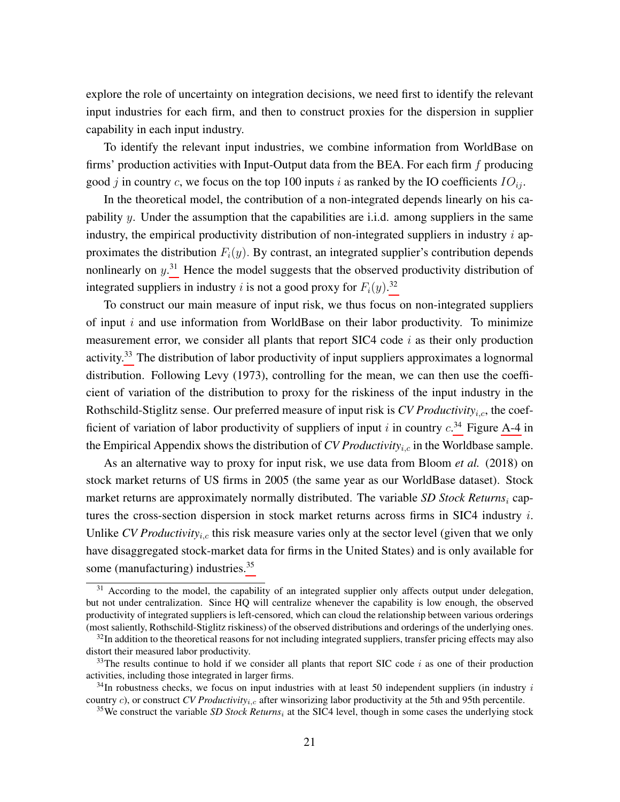explore the role of uncertainty on integration decisions, we need first to identify the relevant input industries for each firm, and then to construct proxies for the dispersion in supplier capability in each input industry.

To identify the relevant input industries, we combine information from WorldBase on firms' production activities with Input-Output data from the BEA. For each firm  $f$  producing good j in country c, we focus on the top 100 inputs i as ranked by the IO coefficients  $IO_{ii}$ .

In the theoretical model, the contribution of a non-integrated depends linearly on his capability y. Under the assumption that the capabilities are i.i.d. among suppliers in the same industry, the empirical productivity distribution of non-integrated suppliers in industry  $i$  approximates the distribution  $F_i(y)$ . By contrast, an integrated supplier's contribution depends nonlinearly on  $y$ <sup>[31](#page-22-0)</sup>. Hence the model suggests that the observed productivity distribution of integrated suppliers in industry *i* is not a good proxy for  $F_i(y)$ .<sup>[32](#page-22-1)</sup>

To construct our main measure of input risk, we thus focus on non-integrated suppliers of input  $i$  and use information from WorldBase on their labor productivity. To minimize measurement error, we consider all plants that report SIC4 code  $i$  as their only production activity.<sup>[33](#page-22-2)</sup> The distribution of labor productivity of input suppliers approximates a lognormal distribution. Following Levy (1973), controlling for the mean, we can then use the coefficient of variation of the distribution to proxy for the riskiness of the input industry in the Rothschild-Stiglitz sense. Our preferred measure of input risk is *CV Productivity<sub>i.c</sub>*, the coefficient of variation of labor productivity of suppliers of input i in country  $c^{34}$  $c^{34}$  $c^{34}$  Figure [A-4](#page-53-1) in the Empirical Appendix shows the distribution of *CV Productivity<sub>i.c</sub>* in the Worldbase sample.

As an alternative way to proxy for input risk, we use data from Bloom *et al.* (2018) on stock market returns of US firms in 2005 (the same year as our WorldBase dataset). Stock market returns are approximately normally distributed. The variable *SD Stock Returns*<sub>i</sub> captures the cross-section dispersion in stock market returns across firms in SIC4 industry  $i$ . Unlike *CV Productivity<sub>i,c</sub>* this risk measure varies only at the sector level (given that we only have disaggregated stock-market data for firms in the United States) and is only available for some (manufacturing) industries.<sup>[35](#page-22-4)</sup>

<span id="page-22-0"></span><sup>&</sup>lt;sup>31</sup> According to the model, the capability of an integrated supplier only affects output under delegation, but not under centralization. Since HQ will centralize whenever the capability is low enough, the observed productivity of integrated suppliers is left-censored, which can cloud the relationship between various orderings (most saliently, Rothschild-Stiglitz riskiness) of the observed distributions and orderings of the underlying ones.

<span id="page-22-1"></span> $32$ In addition to the theoretical reasons for not including integrated suppliers, transfer pricing effects may also distort their measured labor productivity.

<span id="page-22-2"></span> $33$ The results continue to hold if we consider all plants that report SIC code i as one of their production activities, including those integrated in larger firms.

<span id="page-22-3"></span> $34$ In robustness checks, we focus on input industries with at least 50 independent suppliers (in industry i country c), or construct *CV Productivity<sub>i,c</sub>* after winsorizing labor productivity at the 5th and 95th percentile.

<span id="page-22-4"></span> $35$ We construct the variable *SD Stock Returns<sub>i</sub>* at the SIC4 level, though in some cases the underlying stock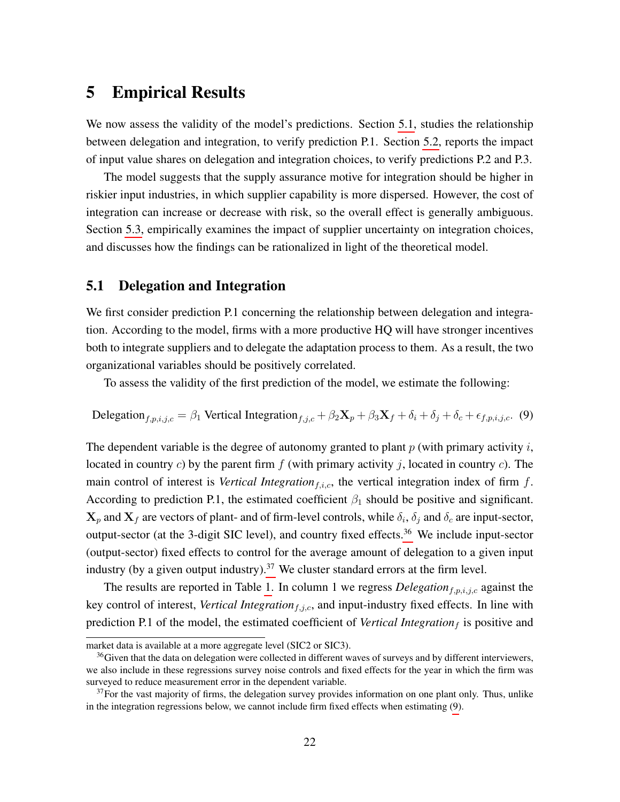# <span id="page-23-0"></span>5 Empirical Results

We now assess the validity of the model's predictions. Section [5.1,](#page-23-1) studies the relationship between delegation and integration, to verify prediction P.1. Section [5.2,](#page-26-0) reports the impact of input value shares on delegation and integration choices, to verify predictions P.2 and P.3.

The model suggests that the supply assurance motive for integration should be higher in riskier input industries, in which supplier capability is more dispersed. However, the cost of integration can increase or decrease with risk, so the overall effect is generally ambiguous. Section [5.3,](#page-32-0) empirically examines the impact of supplier uncertainty on integration choices, and discusses how the findings can be rationalized in light of the theoretical model.

## <span id="page-23-1"></span>5.1 Delegation and Integration

We first consider prediction P.1 concerning the relationship between delegation and integration. According to the model, firms with a more productive HQ will have stronger incentives both to integrate suppliers and to delegate the adaptation process to them. As a result, the two organizational variables should be positively correlated.

To assess the validity of the first prediction of the model, we estimate the following:

<span id="page-23-4"></span>Delegation<sub>f,p,i,j,c</sub> = 
$$
\beta_1
$$
 Vertical Integration<sub>f,j,c</sub> +  $\beta_2$ **X**<sub>p</sub> +  $\beta_3$ **X**<sub>f</sub> +  $\delta_i$  +  $\delta_j$  +  $\delta_c$  +  $\epsilon_{f,p,i,j,c}$ . (9)

The dependent variable is the degree of autonomy granted to plant  $p$  (with primary activity  $i$ , located in country c) by the parent firm  $f$  (with primary activity j, located in country c). The main control of interest is *Vertical Integration* $_{f,i,c}$ , the vertical integration index of firm  $f$ . According to prediction P.1, the estimated coefficient  $\beta_1$  should be positive and significant.  $X_p$  and  $X_f$  are vectors of plant- and of firm-level controls, while  $\delta_i$ ,  $\delta_j$  and  $\delta_c$  are input-sector, output-sector (at the 3-digit SIC level), and country fixed effects.<sup>[36](#page-23-2)</sup> We include input-sector (output-sector) fixed effects to control for the average amount of delegation to a given input industry (by a given output industry).<sup>[37](#page-23-3)</sup> We cluster standard errors at the firm level.

The results are reported in Table [1.](#page-24-0) In column 1 we regress  $Delegation_{f,p,i,j,c}$  against the key control of interest, *Vertical Integration*<sub>f,j,c</sub>, and input-industry fixed effects. In line with prediction P.1 of the model, the estimated coefficient of *Vertical Integration*  $<sub>f</sub>$  is positive and</sub>

market data is available at a more aggregate level (SIC2 or SIC3).

<span id="page-23-2"></span> $36$  Given that the data on delegation were collected in different waves of surveys and by different interviewers, we also include in these regressions survey noise controls and fixed effects for the year in which the firm was surveyed to reduce measurement error in the dependent variable.

<span id="page-23-3"></span> $37$  For the vast majority of firms, the delegation survey provides information on one plant only. Thus, unlike in the integration regressions below, we cannot include firm fixed effects when estimating [\(9\)](#page-23-4).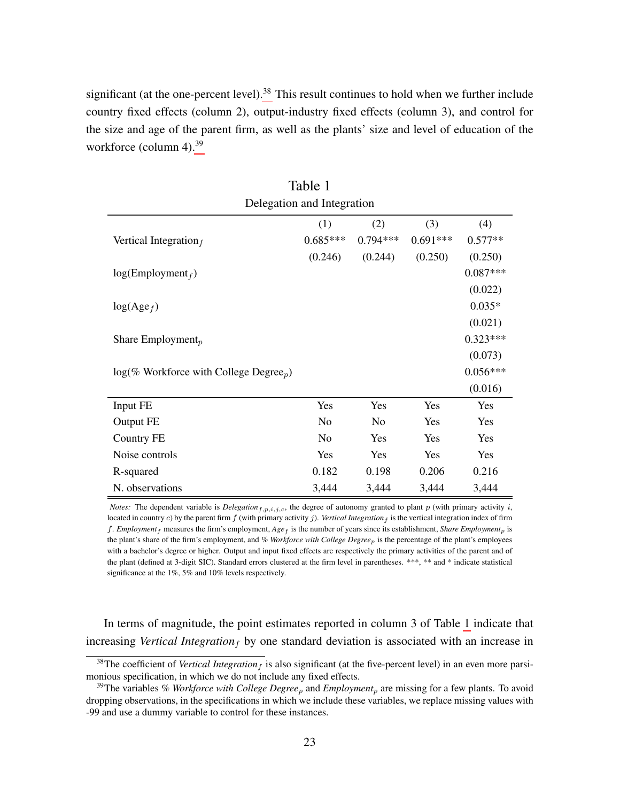significant (at the one-percent level).<sup>[38](#page-24-1)</sup> This result continues to hold when we further include country fixed effects (column 2), output-industry fixed effects (column 3), and control for the size and age of the parent firm, as well as the plants' size and level of education of the workforce (column 4).<sup>[39](#page-24-2)</sup>

<span id="page-24-0"></span>

| Delegation and Integration                            |            |            |            |            |  |
|-------------------------------------------------------|------------|------------|------------|------------|--|
|                                                       | (1)        | (2)        | (3)        | (4)        |  |
| Vertical Integration $_f$                             | $0.685***$ | $0.794***$ | $0.691***$ | $0.577**$  |  |
|                                                       | (0.246)    | (0.244)    | (0.250)    | (0.250)    |  |
| $log(Employment_f)$                                   |            |            |            | $0.087***$ |  |
|                                                       |            |            |            | (0.022)    |  |
| $log(Age_f)$                                          |            |            |            | $0.035*$   |  |
|                                                       |            |            |            | (0.021)    |  |
| Share Employment <sub>p</sub>                         |            |            |            | $0.323***$ |  |
|                                                       |            |            |            | (0.073)    |  |
| $log(\%$ Workforce with College Degree <sub>p</sub> ) |            |            |            | $0.056***$ |  |
|                                                       |            |            |            | (0.016)    |  |
| Input FE                                              | Yes        | Yes        | Yes        | Yes        |  |
| Output FE                                             | No         | No         | Yes        | Yes        |  |
| Country FE                                            | No         | Yes        | Yes        | Yes        |  |
| Noise controls                                        | Yes        | Yes        | Yes        | Yes        |  |
| R-squared                                             | 0.182      | 0.198      | 0.206      | 0.216      |  |
| N. observations                                       | 3,444      | 3,444      | 3,444      | 3,444      |  |

| Table 1               |  |
|-----------------------|--|
| elegation and Integra |  |

*Notes:* The dependent variable is *Delegation*<sub>f,p,i,j,c,</sub> the degree of autonomy granted to plant p (with primary activity i, located in country c) by the parent firm  $f$  (with primary activity  $j$ ). Vertical Integration  $f$  is the vertical integration index of firm f. *Employment*  $_f$  measures the firm's employment,  $Age_f$  is the number of years since its establishment, *Share Employment*<sub>p</sub> is the plant's share of the firm's employment, and *% Workforce with College Degree*p is the percentage of the plant's employees with a bachelor's degree or higher. Output and input fixed effects are respectively the primary activities of the parent and of the plant (defined at 3-digit SIC). Standard errors clustered at the firm level in parentheses. \*\*\*, \*\* and \* indicate statistical significance at the 1%, 5% and 10% levels respectively.

In terms of magnitude, the point estimates reported in column 3 of Table [1](#page-24-0) indicate that increasing *Vertical Integration*<sub>f</sub> by one standard deviation is associated with an increase in

<span id="page-24-1"></span> $38$ The coefficient of *Vertical Integration<sub>f</sub>* is also significant (at the five-percent level) in an even more parsimonious specification, in which we do not include any fixed effects.

<span id="page-24-2"></span><sup>&</sup>lt;sup>39</sup>The variables *% Workforce with College Degree<sub>p</sub>* and *Employment<sub>p</sub>* are missing for a few plants. To avoid dropping observations, in the specifications in which we include these variables, we replace missing values with -99 and use a dummy variable to control for these instances.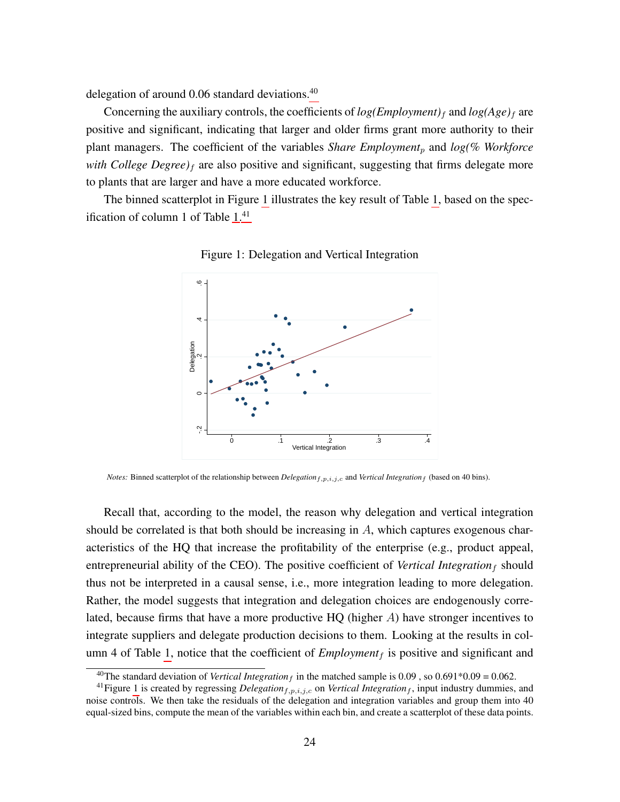delegation of around  $0.06$  standard deviations.<sup>[40](#page-25-0)</sup>

Concerning the auxiliary controls, the coefficients of  $log(Employment)_f$  and  $log(Age)_f$  are positive and significant, indicating that larger and older firms grant more authority to their plant managers. The coefficient of the variables *Share Employment<sub>p</sub>* and *log(% Workforce with College Degree)*<sup>f</sup> are also positive and significant, suggesting that firms delegate more to plants that are larger and have a more educated workforce.

<span id="page-25-1"></span>The binned scatterplot in Figure [1](#page-25-1) illustrates the key result of Table [1,](#page-24-0) based on the spec-ification of column 1 of Table [1.](#page-24-0)<sup>[41](#page-25-2)</sup>



Figure 1: Delegation and Vertical Integration

*Notes:* Binned scatterplot of the relationship between *Delegation*<sub>f,p,i,j,c</sub> and *Vertical Integration*<sub>f</sub> (based on 40 bins).

Recall that, according to the model, the reason why delegation and vertical integration should be correlated is that both should be increasing in  $A$ , which captures exogenous characteristics of the HQ that increase the profitability of the enterprise (e.g., product appeal, entrepreneurial ability of the CEO). The positive coefficient of *Vertical Integration*  $_f$  should thus not be interpreted in a causal sense, i.e., more integration leading to more delegation. Rather, the model suggests that integration and delegation choices are endogenously correlated, because firms that have a more productive HQ (higher A) have stronger incentives to integrate suppliers and delegate production decisions to them. Looking at the results in col-umn 4 of Table [1,](#page-24-0) notice that the coefficient of  $Employment<sub>f</sub>$  is positive and significant and

<span id="page-25-2"></span><span id="page-25-0"></span><sup>&</sup>lt;sup>40</sup>The standard deviation of *Vertical Integration<sub>f</sub>* in the matched sample is 0.09, so 0.691\*0.09 = 0.062.

<sup>&</sup>lt;sup>41</sup>Figure [1](#page-25-1) is created by regressing *Delegation*<sub>f,p,i,j,c</sub> on *Vertical Integration<sub>f</sub>*, input industry dummies, and noise controls. We then take the residuals of the delegation and integration variables and group them into 40 equal-sized bins, compute the mean of the variables within each bin, and create a scatterplot of these data points.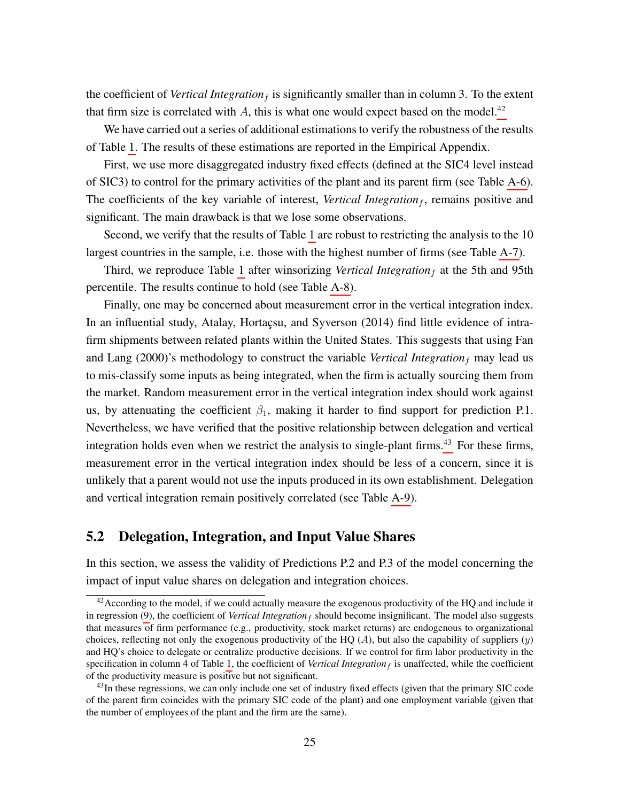the coefficient of *Vertical Integration* $_f$  is significantly smaller than in column 3. To the extent that firm size is correlated with A, this is what one would expect based on the model.<sup>[42](#page-26-1)</sup>

We have carried out a series of additional estimations to verify the robustness of the results of Table [1.](#page-24-0) The results of these estimations are reported in the Empirical Appendix.

First, we use more disaggregated industry fixed effects (defined at the SIC4 level instead of SIC3) to control for the primary activities of the plant and its parent firm (see Table [A-6\)](#page-55-0). The coefficients of the key variable of interest, *Vertical Integration<sub>f</sub>*, remains positive and significant. The main drawback is that we lose some observations.

Second, we verify that the results of Table [1](#page-24-0) are robust to restricting the analysis to the 10 largest countries in the sample, i.e. those with the highest number of firms (see Table [A-7\)](#page-56-0).

Third, we reproduce Table [1](#page-24-0) after winsorizing *Vertical Integration*  $<sub>f</sub>$  at the 5th and 95th</sub> percentile. The results continue to hold (see Table [A-8\)](#page-57-0).

Finally, one may be concerned about measurement error in the vertical integration index. In an influential study, Atalay, Hortaçsu, and Syverson (2014) find little evidence of intrafirm shipments between related plants within the United States. This suggests that using Fan and Lang (2000)'s methodology to construct the variable *Vertical Integration*<sub>f</sub> may lead us to mis-classify some inputs as being integrated, when the firm is actually sourcing them from the market. Random measurement error in the vertical integration index should work against us, by attenuating the coefficient  $\beta_1$ , making it harder to find support for prediction P.1. Nevertheless, we have verified that the positive relationship between delegation and vertical integration holds even when we restrict the analysis to single-plant firms.<sup>[43](#page-26-2)</sup> For these firms, measurement error in the vertical integration index should be less of a concern, since it is unlikely that a parent would not use the inputs produced in its own establishment. Delegation and vertical integration remain positively correlated (see Table [A-9\)](#page-58-0).

## <span id="page-26-0"></span>5.2 Delegation, Integration, and Input Value Shares

In this section, we assess the validity of Predictions P.2 and P.3 of the model concerning the impact of input value shares on delegation and integration choices.

<span id="page-26-1"></span><sup>&</sup>lt;sup>42</sup> According to the model, if we could actually measure the exogenous productivity of the HQ and include it in regression  $(9)$ , the coefficient of *Vertical Integration<sub>f</sub>* should become insignificant. The model also suggests that measures of firm performance (e.g., productivity, stock market returns) are endogenous to organizational choices, reflecting not only the exogenous productivity of the HQ  $(A)$ , but also the capability of suppliers  $(y)$ and HQ's choice to delegate or centralize productive decisions. If we control for firm labor productivity in the specification in column 4 of Table [1,](#page-24-0) the coefficient of *Vertical Integration*  $_f$  is unaffected, while the coefficient of the productivity measure is positive but not significant.

<span id="page-26-2"></span><sup>&</sup>lt;sup>43</sup>In these regressions, we can only include one set of industry fixed effects (given that the primary SIC code of the parent firm coincides with the primary SIC code of the plant) and one employment variable (given that the number of employees of the plant and the firm are the same).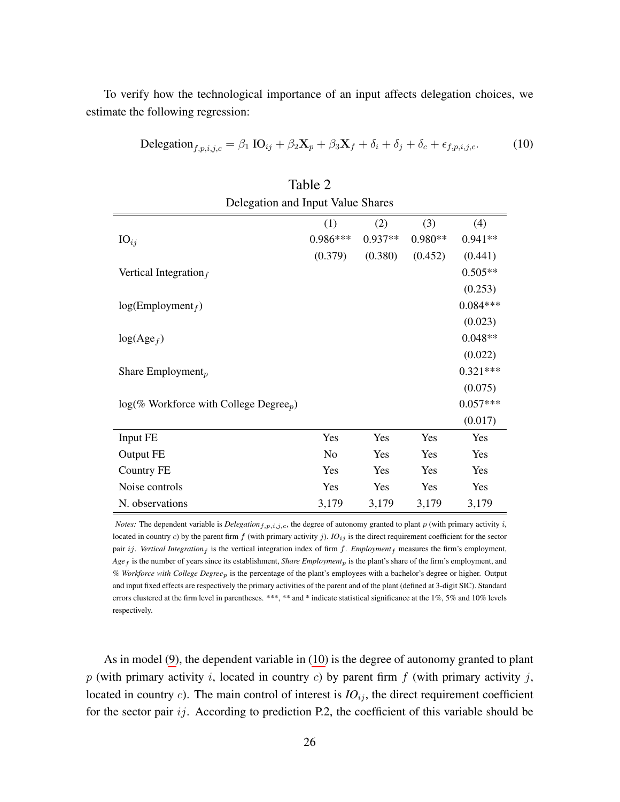To verify how the technological importance of an input affects delegation choices, we estimate the following regression:

<span id="page-27-0"></span>Delegation<sub>f,p,i,j,c</sub> = 
$$
\beta_1
$$
 IO<sub>ij</sub> +  $\beta_2$ **X**<sub>p</sub> +  $\beta_3$ **X**<sub>f</sub> +  $\delta_i$  +  $\delta_j$  +  $\delta_c$  +  $\epsilon_{f,p,i,j,c}$ . (10)

<span id="page-27-1"></span>

| Tavit 2                                               |                |           |         |            |  |
|-------------------------------------------------------|----------------|-----------|---------|------------|--|
| Delegation and Input Value Shares                     |                |           |         |            |  |
|                                                       | (1)            | (2)       | (3)     | (4)        |  |
| $IO_{ij}$                                             | $0.986***$     | $0.937**$ | 0.980** | $0.941**$  |  |
|                                                       | (0.379)        | (0.380)   | (0.452) | (0.441)    |  |
| Vertical Integration $_f$                             |                |           |         | $0.505**$  |  |
|                                                       |                |           |         | (0.253)    |  |
| $log(Employment_f)$                                   |                |           |         | $0.084***$ |  |
|                                                       |                |           |         | (0.023)    |  |
| $log(Age_f)$                                          |                |           |         | $0.048**$  |  |
|                                                       |                |           |         | (0.022)    |  |
| Share Employment <sub>p</sub>                         |                |           |         | $0.321***$ |  |
|                                                       |                |           |         | (0.075)    |  |
| $log(\%$ Workforce with College Degree <sub>p</sub> ) |                |           |         | $0.057***$ |  |
|                                                       |                |           |         | (0.017)    |  |
| Input FE                                              | Yes            | Yes       | Yes     | Yes        |  |
| Output FE                                             | N <sub>o</sub> | Yes       | Yes     | Yes        |  |
| Country FE                                            | Yes            | Yes       | Yes     | Yes        |  |
| Noise controls                                        | Yes            | Yes       | Yes     | Yes        |  |
| N. observations                                       | 3,179          | 3,179     | 3,179   | 3,179      |  |

| Table 2                       |  |
|-------------------------------|--|
| Shar and Innut Value Shar اما |  |

*Notes:* The dependent variable is  $Delegation_{f,p,i,j,c}$ , the degree of autonomy granted to plant  $p$  (with primary activity  $i$ , located in country c) by the parent firm  $f$  (with primary activity  $j$ ).  $IO_{ij}$  is the direct requirement coefficient for the sector pair ij. Vertical Integration<sub>f</sub> is the vertical integration index of firm  $f$ . *Employment<sub>f</sub>* measures the firm's employment, *Age*<sup>f</sup> is the number of years since its establishment, *Share Employment*<sup>p</sup> is the plant's share of the firm's employment, and *% Workforce with College Degree*p is the percentage of the plant's employees with a bachelor's degree or higher. Output and input fixed effects are respectively the primary activities of the parent and of the plant (defined at 3-digit SIC). Standard errors clustered at the firm level in parentheses. \*\*\*, \*\* and \* indicate statistical significance at the 1%, 5% and 10% levels respectively.

As in model [\(9\)](#page-23-4), the dependent variable in [\(10\)](#page-27-0) is the degree of autonomy granted to plant  $p$  (with primary activity i, located in country c) by parent firm  $f$  (with primary activity j, located in country  $c$ ). The main control of interest is  $IO_{ij}$ , the direct requirement coefficient for the sector pair  $ij$ . According to prediction P.2, the coefficient of this variable should be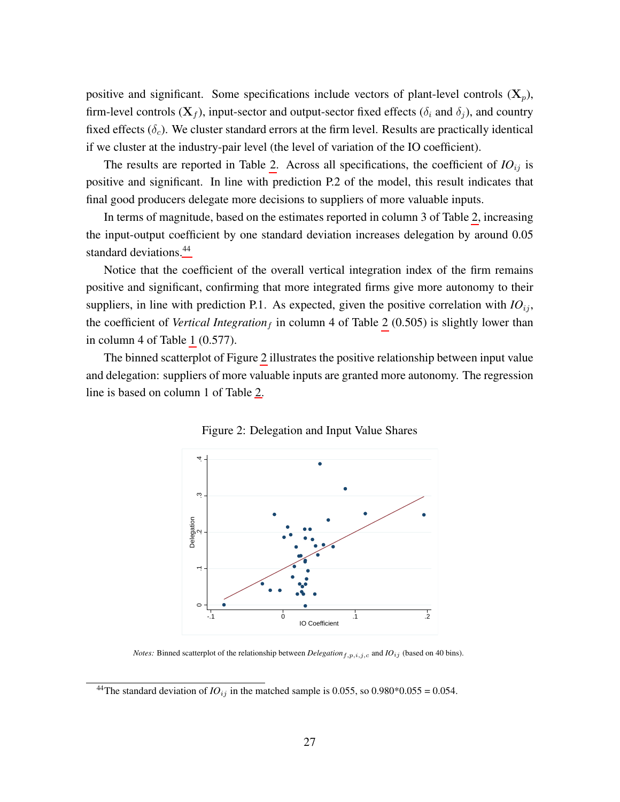positive and significant. Some specifications include vectors of plant-level controls  $(X_p)$ , firm-level controls  $(X_f)$ , input-sector and output-sector fixed effects ( $\delta_i$  and  $\delta_j$ ), and country fixed effects  $(\delta_c)$ . We cluster standard errors at the firm level. Results are practically identical if we cluster at the industry-pair level (the level of variation of the IO coefficient).

The results are reported in Table [2.](#page-27-1) Across all specifications, the coefficient of  $IO_{ij}$  is positive and significant. In line with prediction P.2 of the model, this result indicates that final good producers delegate more decisions to suppliers of more valuable inputs.

In terms of magnitude, based on the estimates reported in column 3 of Table [2,](#page-27-1) increasing the input-output coefficient by one standard deviation increases delegation by around 0.05 standard deviations.<sup>[44](#page-28-0)</sup>

Notice that the coefficient of the overall vertical integration index of the firm remains positive and significant, confirming that more integrated firms give more autonomy to their suppliers, in line with prediction P.1. As expected, given the positive correlation with  $IO_{ij}$ , the coefficient of *Vertical Integration*  $_f$  in column 4 of Table [2](#page-27-1) (0.505) is slightly lower than in column 4 of Table [1](#page-24-0) (0.577).

<span id="page-28-1"></span>The binned scatterplot of Figure [2](#page-28-1) illustrates the positive relationship between input value and delegation: suppliers of more valuable inputs are granted more autonomy. The regression line is based on column 1 of Table [2.](#page-27-1)



Figure 2: Delegation and Input Value Shares

*Notes:* Binned scatterplot of the relationship between *Delegation*<sub>f,p,i,j,c</sub> and  $IO_{ij}$  (based on 40 bins).

<span id="page-28-0"></span><sup>&</sup>lt;sup>44</sup>The standard deviation of  $IO_{ij}$  in the matched sample is 0.055, so 0.980\*0.055 = 0.054.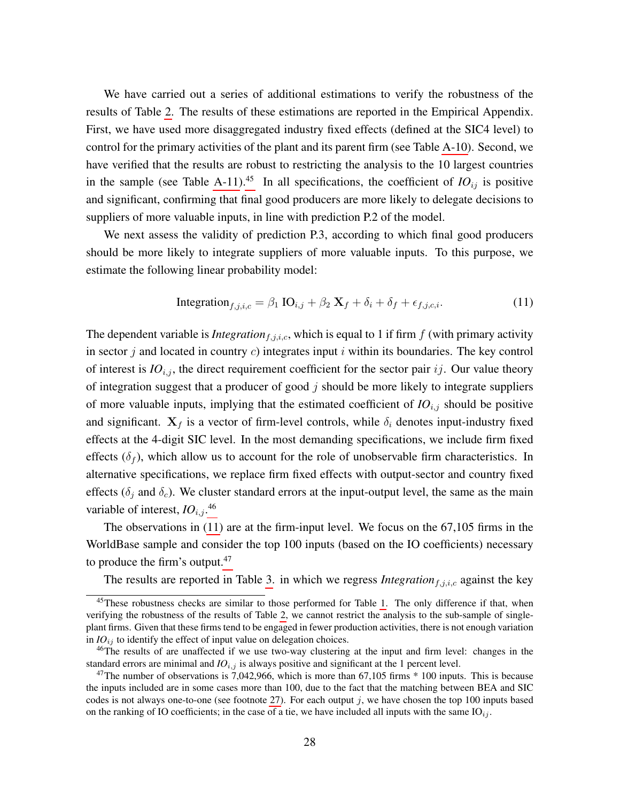We have carried out a series of additional estimations to verify the robustness of the results of Table [2.](#page-27-1) The results of these estimations are reported in the Empirical Appendix. First, we have used more disaggregated industry fixed effects (defined at the SIC4 level) to control for the primary activities of the plant and its parent firm (see Table [A-10\)](#page-59-0). Second, we have verified that the results are robust to restricting the analysis to the 10 largest countries in the sample (see Table [A-11\)](#page-60-0).<sup>[45](#page-29-0)</sup> In all specifications, the coefficient of  $IO_{ij}$  is positive and significant, confirming that final good producers are more likely to delegate decisions to suppliers of more valuable inputs, in line with prediction P.2 of the model.

We next assess the validity of prediction P.3, according to which final good producers should be more likely to integrate suppliers of more valuable inputs. To this purpose, we estimate the following linear probability model:

<span id="page-29-2"></span>
$$
\text{Integration}_{f,j,i,c} = \beta_1 \text{ IO}_{i,j} + \beta_2 \text{ X}_f + \delta_i + \delta_f + \epsilon_{f,j,c,i}.
$$
\n(11)

The dependent variable is *Integration*<sub>f,j,i,c</sub>, which is equal to 1 if firm  $f$  (with primary activity in sector  $j$  and located in country  $c$ ) integrates input  $i$  within its boundaries. The key control of interest is  $IO_{i,j}$ , the direct requirement coefficient for the sector pair ij. Our value theory of integration suggest that a producer of good  $j$  should be more likely to integrate suppliers of more valuable inputs, implying that the estimated coefficient of  $IO_{i,j}$  should be positive and significant.  $X_f$  is a vector of firm-level controls, while  $\delta_i$  denotes input-industry fixed effects at the 4-digit SIC level. In the most demanding specifications, we include firm fixed effects  $(\delta_f)$ , which allow us to account for the role of unobservable firm characteristics. In alternative specifications, we replace firm fixed effects with output-sector and country fixed effects ( $\delta_i$  and  $\delta_c$ ). We cluster standard errors at the input-output level, the same as the main variable of interest,  $IO_{i,j}$ .<sup>[46](#page-29-1)</sup>

The observations in [\(11\)](#page-29-2) are at the firm-input level. We focus on the 67,105 firms in the WorldBase sample and consider the top 100 inputs (based on the IO coefficients) necessary to produce the firm's output.<sup>[47](#page-29-3)</sup>

The results are reported in Table [3.](#page-30-0) in which we regress *Integration* $f_{i,j,i,c}$  against the key

<span id="page-29-0"></span><sup>&</sup>lt;sup>45</sup>These robustness checks are similar to those performed for Table [1.](#page-24-0) The only difference if that, when verifying the robustness of the results of Table [2,](#page-27-1) we cannot restrict the analysis to the sub-sample of singleplant firms. Given that these firms tend to be engaged in fewer production activities, there is not enough variation in  $IO_{ij}$  to identify the effect of input value on delegation choices.

<span id="page-29-1"></span><sup>46</sup>The results of are unaffected if we use two-way clustering at the input and firm level: changes in the standard errors are minimal and  $IO_{i,j}$  is always positive and significant at the 1 percent level.

<span id="page-29-3"></span><sup>&</sup>lt;sup>47</sup>The number of observations is 7,042,966, which is more than 67,105 firms  $*$  100 inputs. This is because the inputs included are in some cases more than 100, due to the fact that the matching between BEA and SIC codes is not always one-to-one (see footnote [27\)](#page-19-3). For each output j, we have chosen the top 100 inputs based on the ranking of IO coefficients; in the case of a tie, we have included all inputs with the same  $IO_{ij}$ .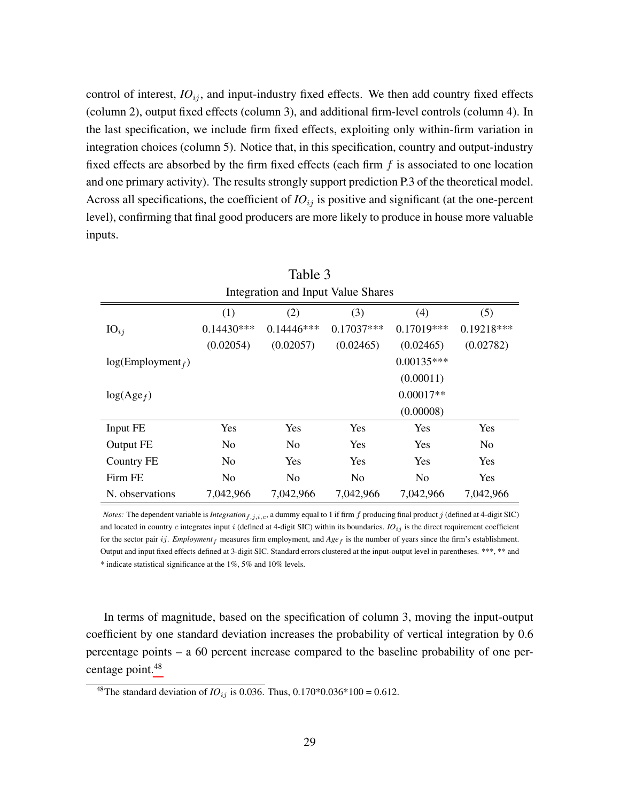control of interest,  $IO_{ij}$ , and input-industry fixed effects. We then add country fixed effects (column 2), output fixed effects (column 3), and additional firm-level controls (column 4). In the last specification, we include firm fixed effects, exploiting only within-firm variation in integration choices (column 5). Notice that, in this specification, country and output-industry fixed effects are absorbed by the firm fixed effects (each firm  $f$  is associated to one location and one primary activity). The results strongly support prediction P.3 of the theoretical model. Across all specifications, the coefficient of  $IO_{ij}$  is positive and significant (at the one-percent level), confirming that final good producers are more likely to produce in house more valuable inputs.

<span id="page-30-0"></span>

| Table 3             |                                    |              |                |                |                |  |  |  |
|---------------------|------------------------------------|--------------|----------------|----------------|----------------|--|--|--|
|                     | Integration and Input Value Shares |              |                |                |                |  |  |  |
|                     | (1)                                | (2)          | (3)            | (4)            | (5)            |  |  |  |
| $IO_{ij}$           | $0.14430***$                       | $0.14446***$ | $0.17037***$   | $0.17019***$   | $0.19218***$   |  |  |  |
|                     | (0.02054)                          | (0.02057)    | (0.02465)      | (0.02465)      | (0.02782)      |  |  |  |
| $log(Employment_f)$ |                                    |              |                | $0.00135***$   |                |  |  |  |
|                     |                                    |              |                | (0.00011)      |                |  |  |  |
| $log(Age_f)$        |                                    |              |                | $0.00017**$    |                |  |  |  |
|                     |                                    |              |                | (0.00008)      |                |  |  |  |
| Input FE            | Yes                                | Yes          | Yes            | Yes            | Yes            |  |  |  |
| Output FE           | No                                 | No           | <b>Yes</b>     | <b>Yes</b>     | N <sub>0</sub> |  |  |  |
| Country FE          | No                                 | Yes          | <b>Yes</b>     | <b>Yes</b>     | <b>Yes</b>     |  |  |  |
| Firm FE             | No                                 | No           | N <sub>o</sub> | N <sub>o</sub> | Yes            |  |  |  |
| N. observations     | 7,042,966                          | 7,042,966    | 7,042,966      | 7,042,966      | 7,042,966      |  |  |  |

*Notes:* The dependent variable is *Integration*  $f, j, i, c$ , a dummy equal to 1 if firm f producing final product j (defined at 4-digit SIC) and located in country  $c$  integrates input  $i$  (defined at 4-digit SIC) within its boundaries.  $IO_{ij}$  is the direct requirement coefficient for the sector pair ij. *Employment*  $_f$  measures firm employment, and  $Age$  is the number of years since the firm's establishment. Output and input fixed effects defined at 3-digit SIC. Standard errors clustered at the input-output level in parentheses. \*\*\*, \*\* and \* indicate statistical significance at the 1%, 5% and 10% levels.

In terms of magnitude, based on the specification of column 3, moving the input-output coefficient by one standard deviation increases the probability of vertical integration by 0.6 percentage points – a 60 percent increase compared to the baseline probability of one per-centage point.<sup>[48](#page-30-1)</sup>

<span id="page-30-1"></span><sup>&</sup>lt;sup>48</sup>The standard deviation of *IO*<sub>ij</sub> is 0.036. Thus, 0.170\*0.036\*100 = 0.612.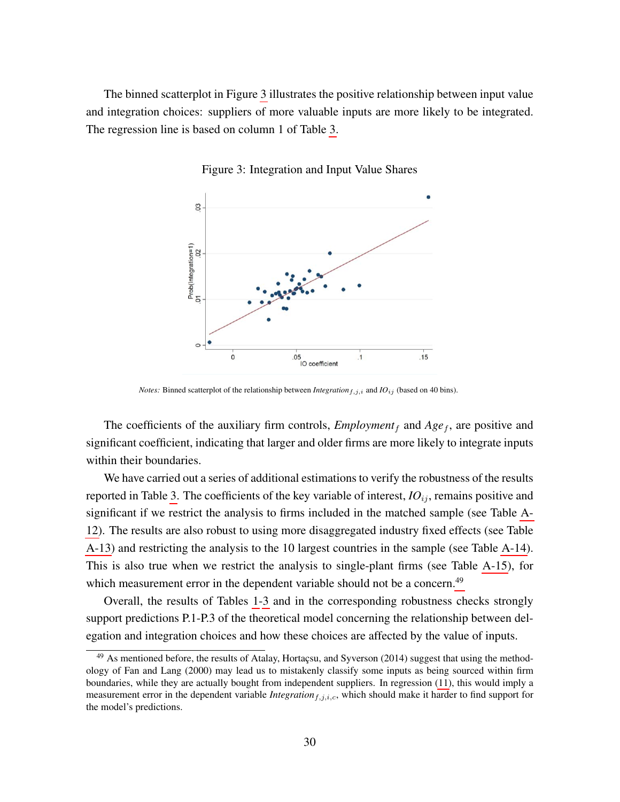<span id="page-31-0"></span>The binned scatterplot in Figure [3](#page-31-0) illustrates the positive relationship between input value and integration choices: suppliers of more valuable inputs are more likely to be integrated. The regression line is based on column 1 of Table [3.](#page-30-0)



Figure 3: Integration and Input Value Shares

*Notes:* Binned scatterplot of the relationship between *Integration*<sub>f,j,i</sub> and *IO*<sub>ij</sub> (based on 40 bins).

The coefficients of the auxiliary firm controls,  $Employment<sub>f</sub>$  and  $Age<sub>f</sub>$ , are positive and significant coefficient, indicating that larger and older firms are more likely to integrate inputs within their boundaries.

We have carried out a series of additional estimations to verify the robustness of the results reported in Table [3.](#page-30-0) The coefficients of the key variable of interest,  $IO_{ij}$ , remains positive and significant if we restrict the analysis to firms included in the matched sample (see Table [A-](#page-61-0)[12\)](#page-61-0). The results are also robust to using more disaggregated industry fixed effects (see Table [A-13\)](#page-62-0) and restricting the analysis to the 10 largest countries in the sample (see Table [A-14\)](#page-63-0). This is also true when we restrict the analysis to single-plant firms (see Table [A-15\)](#page-64-0), for which measurement error in the dependent variable should not be a concern.<sup>[49](#page-31-1)</sup>

Overall, the results of Tables [1-](#page-24-0)[3](#page-30-0) and in the corresponding robustness checks strongly support predictions P.1-P.3 of the theoretical model concerning the relationship between delegation and integration choices and how these choices are affected by the value of inputs.

<span id="page-31-1"></span> $49$  As mentioned before, the results of Atalay, Hortaçsu, and Syverson (2014) suggest that using the methodology of Fan and Lang (2000) may lead us to mistakenly classify some inputs as being sourced within firm boundaries, while they are actually bought from independent suppliers. In regression [\(11\)](#page-29-2), this would imply a measurement error in the dependent variable *Integration*<sub>f,j,i,c</sub>, which should make it harder to find support for the model's predictions.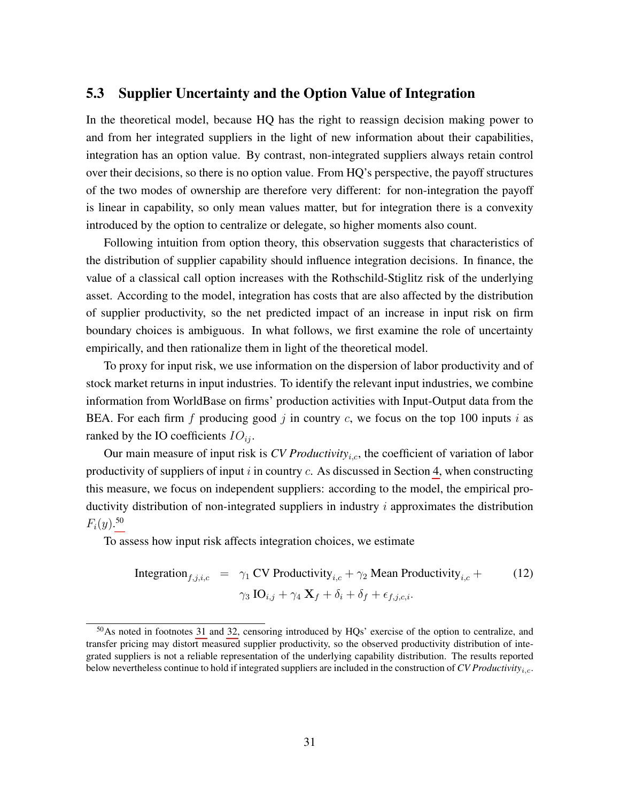## <span id="page-32-0"></span>5.3 Supplier Uncertainty and the Option Value of Integration

In the theoretical model, because HQ has the right to reassign decision making power to and from her integrated suppliers in the light of new information about their capabilities, integration has an option value. By contrast, non-integrated suppliers always retain control over their decisions, so there is no option value. From HQ's perspective, the payoff structures of the two modes of ownership are therefore very different: for non-integration the payoff is linear in capability, so only mean values matter, but for integration there is a convexity introduced by the option to centralize or delegate, so higher moments also count.

Following intuition from option theory, this observation suggests that characteristics of the distribution of supplier capability should influence integration decisions. In finance, the value of a classical call option increases with the Rothschild-Stiglitz risk of the underlying asset. According to the model, integration has costs that are also affected by the distribution of supplier productivity, so the net predicted impact of an increase in input risk on firm boundary choices is ambiguous. In what follows, we first examine the role of uncertainty empirically, and then rationalize them in light of the theoretical model.

To proxy for input risk, we use information on the dispersion of labor productivity and of stock market returns in input industries. To identify the relevant input industries, we combine information from WorldBase on firms' production activities with Input-Output data from the BEA. For each firm  $f$  producing good  $j$  in country  $c$ , we focus on the top 100 inputs  $i$  as ranked by the IO coefficients  $IO_{ij}$ .

Our main measure of input risk is  $CV$  *Productivity<sub>i.c</sub>*, the coefficient of variation of labor productivity of suppliers of input  $i$  in country  $c$ . As discussed in Section [4,](#page-15-1) when constructing this measure, we focus on independent suppliers: according to the model, the empirical productivity distribution of non-integrated suppliers in industry  $i$  approximates the distribution  $F_i(y)$ <sup>[50](#page-32-1)</sup>

To assess how input risk affects integration choices, we estimate

<span id="page-32-2"></span>Integration<sub>f,j,i,c</sub> = 
$$
\gamma_1
$$
 CV Productivity<sub>i,c</sub> +  $\gamma_2$  Mean Productivity<sub>i,c</sub> +  
\n
$$
\gamma_3 \text{ IO}_{i,j} + \gamma_4 \text{ X}_f + \delta_i + \delta_f + \epsilon_{f,j,c,i}.
$$
\n(12)

<span id="page-32-1"></span> $50\text{As}$  noted in footnotes [31](#page-22-0) and [32,](#page-22-1) censoring introduced by HQs' exercise of the option to centralize, and transfer pricing may distort measured supplier productivity, so the observed productivity distribution of integrated suppliers is not a reliable representation of the underlying capability distribution. The results reported below nevertheless continue to hold if integrated suppliers are included in the construction of *CV Productivity*i,c.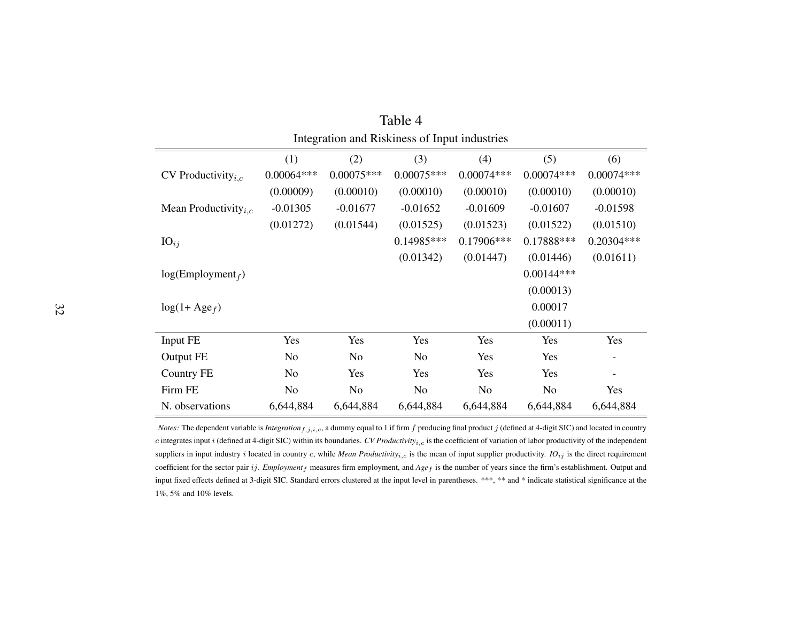| Integration and Riskiness of Input industries |                |                |                |                |                |                          |
|-----------------------------------------------|----------------|----------------|----------------|----------------|----------------|--------------------------|
|                                               | (1)            | (2)            | (3)            | (4)            | (5)            | (6)                      |
| CV Productivity <sub><i>i.c</i></sub>         | $0.00064***$   | $0.00075***$   | $0.00075***$   | $0.00074***$   | $0.00074***$   | $0.00074***$             |
|                                               | (0.00009)      | (0.00010)      | (0.00010)      | (0.00010)      | (0.00010)      | (0.00010)                |
| Mean Productivity <sub><i>i.c</i></sub>       | $-0.01305$     | $-0.01677$     | $-0.01652$     | $-0.01609$     | $-0.01607$     | $-0.01598$               |
|                                               | (0.01272)      | (0.01544)      | (0.01525)      | (0.01523)      | (0.01522)      | (0.01510)                |
| $IO_{ij}$                                     |                |                | $0.14985***$   | $0.17906***$   | 0.17888***     | 0.20304***               |
|                                               |                |                | (0.01342)      | (0.01447)      | (0.01446)      | (0.01611)                |
| $log(Employment_f)$                           |                |                |                |                | $0.00144***$   |                          |
|                                               |                |                |                |                | (0.00013)      |                          |
| $log(1 + Age_f)$                              |                |                |                |                | 0.00017        |                          |
|                                               |                |                |                |                | (0.00011)      |                          |
| Input FE                                      | Yes            | Yes            | Yes            | Yes            | Yes            | Yes                      |
| Output FE                                     | N <sub>o</sub> | N <sub>o</sub> | N <sub>o</sub> | Yes            | Yes            | $\overline{\phantom{a}}$ |
| <b>Country FE</b>                             | N <sub>o</sub> | Yes            | Yes            | Yes            | Yes            | $\overline{\phantom{a}}$ |
| Firm FE                                       | N <sub>o</sub> | N <sub>o</sub> | N <sub>o</sub> | N <sub>o</sub> | N <sub>o</sub> | Yes                      |
| N. observations                               | 6,644,884      | 6,644,884      | 6,644,884      | 6,644,884      | 6,644,884      | 6,644,884                |

| Table 4                                       |  |
|-----------------------------------------------|--|
| Integration and Riskiness of Input industries |  |

<span id="page-33-0"></span>*Notes:* The dependent variable is *Integration*  $f, j, i, c$ , a dummy equal to 1 if firm  $f$  producing final product  $j$  (defined at 4-digit SIC) and located in country c integrates input <sup>i</sup> (defined at 4-digit SIC) within its boundaries. *CV Productivity*i,c is the coefficient of variation of labor productivity of the independent suppliers in input industry i located in country c, while *Mean Productivity<sub>i,c</sub>* is the mean of input supplier productivity. *IO*<sub>ij</sub> is the direct requirement coefficient for the sector pair ij. *Employment*<sup>f</sup> measures firm employment, and *Age*<sup>f</sup> is the number of years since the firm's establishment. Output and input fixed effects defined at 3-digit SIC. Standard errors clustered at the input level in parentheses. \*\*\*, \*\* and \* indicate statistical significance at the1%, 5% and 10% levels.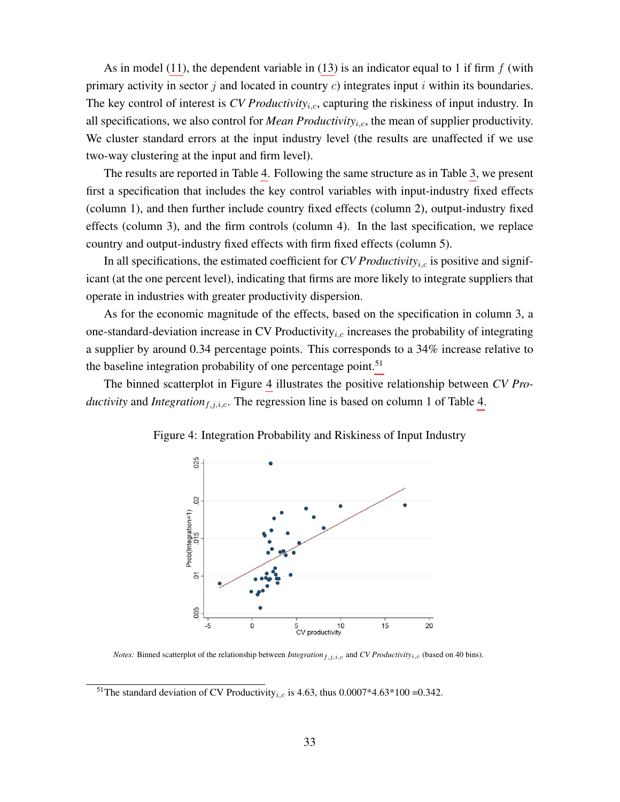As in model [\(11\)](#page-29-2), the dependent variable in [\(13\)](#page-32-2) is an indicator equal to 1 if firm  $f$  (with primary activity in sector j and located in country  $c$ ) integrates input i within its boundaries. The key control of interest is *CV Productivity<sub>i.c</sub>*, capturing the riskiness of input industry. In all specifications, we also control for *Mean Productivity*i,c, the mean of supplier productivity. We cluster standard errors at the input industry level (the results are unaffected if we use two-way clustering at the input and firm level).

The results are reported in Table [4.](#page-33-0) Following the same structure as in Table [3,](#page-30-0) we present first a specification that includes the key control variables with input-industry fixed effects (column 1), and then further include country fixed effects (column 2), output-industry fixed effects (column 3), and the firm controls (column 4). In the last specification, we replace country and output-industry fixed effects with firm fixed effects (column 5).

In all specifications, the estimated coefficient for *CV Productivity<sub>i,c</sub>* is positive and significant (at the one percent level), indicating that firms are more likely to integrate suppliers that operate in industries with greater productivity dispersion.

As for the economic magnitude of the effects, based on the specification in column 3, a one-standard-deviation increase in CV Productivity<sub>i,c</sub> increases the probability of integrating a supplier by around 0.34 percentage points. This corresponds to a 34% increase relative to the baseline integration probability of one percentage point.<sup>[51](#page-34-0)</sup>

<span id="page-34-1"></span>The binned scatterplot in Figure [4](#page-34-1) illustrates the positive relationship between *CV Productivity* and *Integration*<sub>f,j,i,c</sub>. The regression line is based on column 1 of Table [4.](#page-33-0)



Figure 4: Integration Probability and Riskiness of Input Industry

*Notes:* Binned scatterplot of the relationship between *Integration*<sub>f,j,i,c</sub> and *CV Productivity*<sub>i,c</sub> (based on 40 bins).

<span id="page-34-0"></span><sup>&</sup>lt;sup>51</sup>The standard deviation of CV Productivity<sub>i,c</sub> is 4.63, thus 0.0007\*4.63\*100 = 0.342.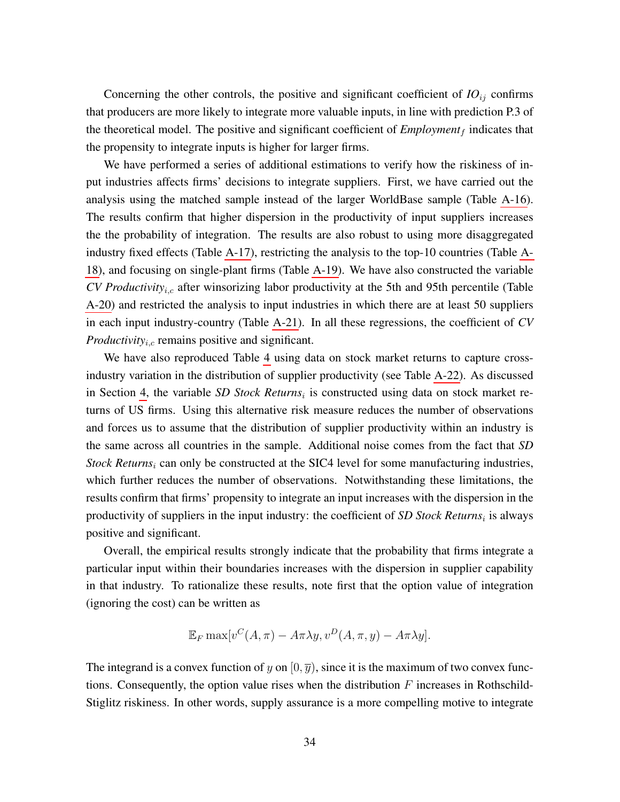Concerning the other controls, the positive and significant coefficient of  $IO_{ij}$  confirms that producers are more likely to integrate more valuable inputs, in line with prediction P.3 of the theoretical model. The positive and significant coefficient of  $Employment<sub>f</sub>$  indicates that the propensity to integrate inputs is higher for larger firms.

We have performed a series of additional estimations to verify how the riskiness of input industries affects firms' decisions to integrate suppliers. First, we have carried out the analysis using the matched sample instead of the larger WorldBase sample (Table [A-16\)](#page-65-0). The results confirm that higher dispersion in the productivity of input suppliers increases the the probability of integration. The results are also robust to using more disaggregated industry fixed effects (Table [A-17\)](#page-66-0), restricting the analysis to the top-10 countries (Table [A-](#page-67-0)[18\)](#page-67-0), and focusing on single-plant firms (Table [A-19\)](#page-68-0). We have also constructed the variable *CV Productivity<sub>i,c</sub>* after winsorizing labor productivity at the 5th and 95th percentile (Table [A-20\)](#page-69-0) and restricted the analysis to input industries in which there are at least 50 suppliers in each input industry-country (Table [A-21\)](#page-70-0). In all these regressions, the coefficient of *CV Productivity<sub>i,c</sub>* remains positive and significant.

We have also reproduced Table [4](#page-33-0) using data on stock market returns to capture crossindustry variation in the distribution of supplier productivity (see Table [A-22\)](#page-71-0). As discussed in Section [4,](#page-15-1) the variable SD Stock Returns<sub>i</sub> is constructed using data on stock market returns of US firms. Using this alternative risk measure reduces the number of observations and forces us to assume that the distribution of supplier productivity within an industry is the same across all countries in the sample. Additional noise comes from the fact that *SD Stock Returns<sub>i</sub>* can only be constructed at the SIC4 level for some manufacturing industries, which further reduces the number of observations. Notwithstanding these limitations, the results confirm that firms' propensity to integrate an input increases with the dispersion in the productivity of suppliers in the input industry: the coefficient of *SD Stock Returns*<sub>i</sub> is always positive and significant.

Overall, the empirical results strongly indicate that the probability that firms integrate a particular input within their boundaries increases with the dispersion in supplier capability in that industry. To rationalize these results, note first that the option value of integration (ignoring the cost) can be written as

$$
\mathbb{E}_F \max[v^C(A,\pi) - A\pi\lambda y, v^D(A,\pi,y) - A\pi\lambda y].
$$

The integrand is a convex function of y on  $[0, \overline{y})$ , since it is the maximum of two convex functions. Consequently, the option value rises when the distribution  $F$  increases in Rothschild-Stiglitz riskiness. In other words, supply assurance is a more compelling motive to integrate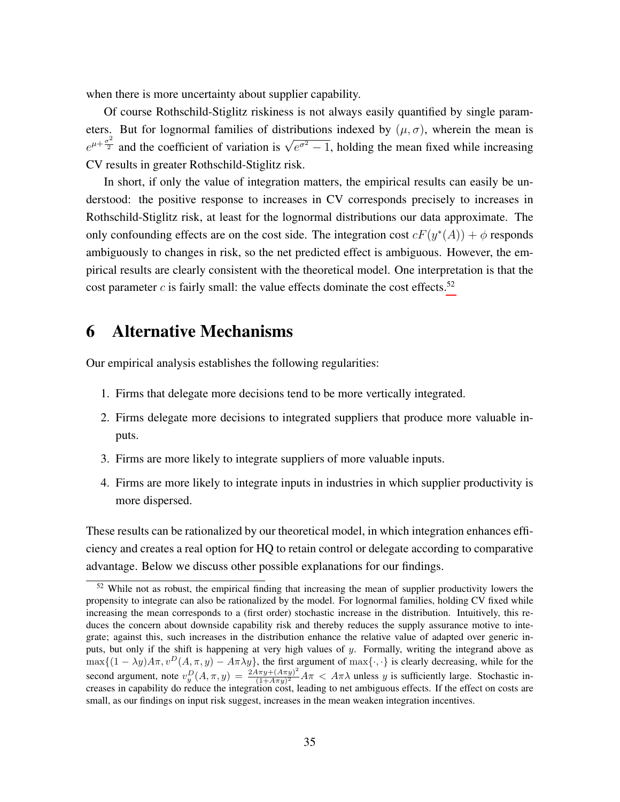when there is more uncertainty about supplier capability.

Of course Rothschild-Stiglitz riskiness is not always easily quantified by single parameters. But for lognormal families of distributions indexed by  $(\mu, \sigma)$ , wherein the mean is  $e^{\mu+\frac{\sigma^2}{2}}$  and the coefficient of variation is  $\sqrt{e^{\sigma^2}-1}$ , holding the mean fixed while increasing CV results in greater Rothschild-Stiglitz risk.

In short, if only the value of integration matters, the empirical results can easily be understood: the positive response to increases in CV corresponds precisely to increases in Rothschild-Stiglitz risk, at least for the lognormal distributions our data approximate. The only confounding effects are on the cost side. The integration cost  $cF(y^*(A)) + \phi$  responds ambiguously to changes in risk, so the net predicted effect is ambiguous. However, the empirical results are clearly consistent with the theoretical model. One interpretation is that the cost parameter  $c$  is fairly small: the value effects dominate the cost effects.<sup>[52](#page-36-0)</sup>

## 6 Alternative Mechanisms

Our empirical analysis establishes the following regularities:

- 1. Firms that delegate more decisions tend to be more vertically integrated.
- 2. Firms delegate more decisions to integrated suppliers that produce more valuable inputs.
- 3. Firms are more likely to integrate suppliers of more valuable inputs.
- 4. Firms are more likely to integrate inputs in industries in which supplier productivity is more dispersed.

These results can be rationalized by our theoretical model, in which integration enhances efficiency and creates a real option for HQ to retain control or delegate according to comparative advantage. Below we discuss other possible explanations for our findings.

<span id="page-36-0"></span><sup>&</sup>lt;sup>52</sup> While not as robust, the empirical finding that increasing the mean of supplier productivity lowers the propensity to integrate can also be rationalized by the model. For lognormal families, holding CV fixed while increasing the mean corresponds to a (first order) stochastic increase in the distribution. Intuitively, this reduces the concern about downside capability risk and thereby reduces the supply assurance motive to integrate; against this, such increases in the distribution enhance the relative value of adapted over generic inputs, but only if the shift is happening at very high values of y. Formally, writing the integrand above as  $\max\{(1-\lambda y)A\pi, v^D(A,\pi,y)-A\pi\lambda y\}$ , the first argument of  $\max\{\cdot,\cdot\}$  is clearly decreasing, while for the second argument, note  $v_y^D(A, \pi, y) = \frac{2A\pi y + (A\pi y)^2}{(1 + A\pi y)^2}$  $\frac{4\pi y + (A\pi y)}{(1 + A\pi y)^2} A\pi < A\pi\lambda$  unless y is sufficiently large. Stochastic increases in capability do reduce the integration cost, leading to net ambiguous effects. If the effect on costs are small, as our findings on input risk suggest, increases in the mean weaken integration incentives.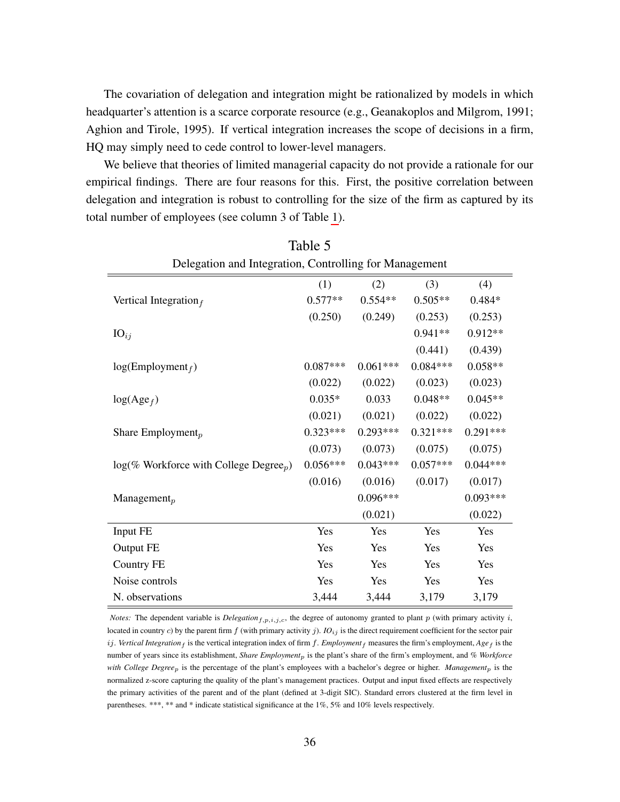The covariation of delegation and integration might be rationalized by models in which headquarter's attention is a scarce corporate resource (e.g., Geanakoplos and Milgrom, 1991; Aghion and Tirole, 1995). If vertical integration increases the scope of decisions in a firm, HQ may simply need to cede control to lower-level managers.

We believe that theories of limited managerial capacity do not provide a rationale for our empirical findings. There are four reasons for this. First, the positive correlation between delegation and integration is robust to controlling for the size of the firm as captured by its total number of employees (see column 3 of Table [1\)](#page-24-0).

 $T<sub>2</sub>1.1 - F$ 

<span id="page-37-0"></span>

| L'aule J                                               |            |            |            |            |
|--------------------------------------------------------|------------|------------|------------|------------|
| Delegation and Integration, Controlling for Management |            |            |            |            |
|                                                        | (1)        | (2)        | (3)        | (4)        |
| Vertical Integration $_f$                              | $0.577**$  | $0.554**$  | $0.505**$  | $0.484*$   |
|                                                        | (0.250)    | (0.249)    | (0.253)    | (0.253)    |
| $IO_{ij}$                                              |            |            | $0.941**$  | $0.912**$  |
|                                                        |            |            | (0.441)    | (0.439)    |
| log(Employment <sub>f</sub> )                          | $0.087***$ | $0.061***$ | $0.084***$ | $0.058**$  |
|                                                        | (0.022)    | (0.022)    | (0.023)    | (0.023)    |
| $log(Age_f)$                                           | $0.035*$   | 0.033      | $0.048**$  | $0.045**$  |
|                                                        | (0.021)    | (0.021)    | (0.022)    | (0.022)    |
| Share Employment <sub>p</sub>                          | $0.323***$ | $0.293***$ | $0.321***$ | $0.291***$ |
|                                                        | (0.073)    | (0.073)    | (0.075)    | (0.075)    |
| $log(\%$ Workforce with College Degree <sub>p</sub> )  | $0.056***$ | $0.043***$ | $0.057***$ | $0.044***$ |
|                                                        | (0.016)    | (0.016)    | (0.017)    | (0.017)    |
| Management $_p$                                        |            | $0.096***$ |            | $0.093***$ |
|                                                        |            | (0.021)    |            | (0.022)    |
| Input FE                                               | Yes        | Yes        | Yes        | Yes        |
| Output FE                                              | Yes        | Yes        | Yes        | Yes        |
| Country FE                                             | Yes        | Yes        | Yes        | Yes        |
| Noise controls                                         | Yes        | Yes        | Yes        | Yes        |
| N. observations                                        | 3,444      | 3,444      | 3,179      | 3,179      |

*Notes:* The dependent variable is *Delegation* $_{f,p,i,j,c}$ , the degree of autonomy granted to plant p (with primary activity i, located in country c) by the parent firm  $f$  (with primary activity  $j$ ). *IO*<sub>ij</sub> is the direct requirement coefficient for the sector pair ij. *Vertical Integration*  $_f$  is the vertical integration index of firm f. *Employment*  $_f$  measures the firm's employment,  $Age_f$  is the number of years since its establishment, *Share Employment<sub>p</sub>* is the plant's share of the firm's employment, and % Workforce *with College Degree*p is the percentage of the plant's employees with a bachelor's degree or higher. *Management*p is the normalized z-score capturing the quality of the plant's management practices. Output and input fixed effects are respectively the primary activities of the parent and of the plant (defined at 3-digit SIC). Standard errors clustered at the firm level in parentheses. \*\*\*, \*\* and \* indicate statistical significance at the 1%, 5% and 10% levels respectively.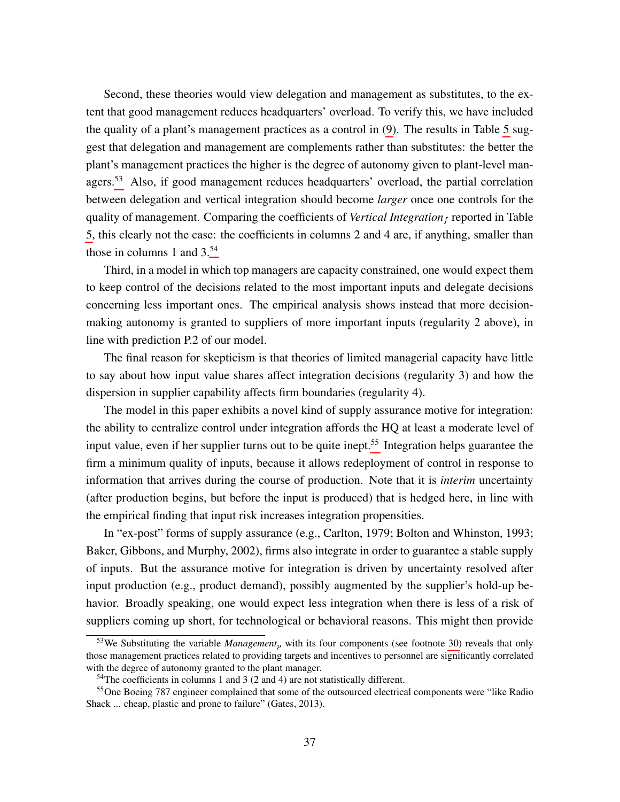Second, these theories would view delegation and management as substitutes, to the extent that good management reduces headquarters' overload. To verify this, we have included the quality of a plant's management practices as a control in [\(9\)](#page-23-0). The results in Table [5](#page-37-0) suggest that delegation and management are complements rather than substitutes: the better the plant's management practices the higher is the degree of autonomy given to plant-level man-agers.<sup>[53](#page-38-0)</sup> Also, if good management reduces headquarters' overload, the partial correlation between delegation and vertical integration should become *larger* once one controls for the quality of management. Comparing the coefficients of *Vertical Integration* f reported in Table [5,](#page-37-0) this clearly not the case: the coefficients in columns 2 and 4 are, if anything, smaller than those in columns 1 and  $3^{54}$  $3^{54}$  $3^{54}$ 

Third, in a model in which top managers are capacity constrained, one would expect them to keep control of the decisions related to the most important inputs and delegate decisions concerning less important ones. The empirical analysis shows instead that more decisionmaking autonomy is granted to suppliers of more important inputs (regularity 2 above), in line with prediction P.2 of our model.

The final reason for skepticism is that theories of limited managerial capacity have little to say about how input value shares affect integration decisions (regularity 3) and how the dispersion in supplier capability affects firm boundaries (regularity 4).

The model in this paper exhibits a novel kind of supply assurance motive for integration: the ability to centralize control under integration affords the HQ at least a moderate level of input value, even if her supplier turns out to be quite inept.<sup>[55](#page-38-2)</sup> Integration helps guarantee the firm a minimum quality of inputs, because it allows redeployment of control in response to information that arrives during the course of production. Note that it is *interim* uncertainty (after production begins, but before the input is produced) that is hedged here, in line with the empirical finding that input risk increases integration propensities.

In "ex-post" forms of supply assurance (e.g., Carlton, 1979; Bolton and Whinston, 1993; Baker, Gibbons, and Murphy, 2002), firms also integrate in order to guarantee a stable supply of inputs. But the assurance motive for integration is driven by uncertainty resolved after input production (e.g., product demand), possibly augmented by the supplier's hold-up behavior. Broadly speaking, one would expect less integration when there is less of a risk of suppliers coming up short, for technological or behavioral reasons. This might then provide

<span id="page-38-0"></span><sup>&</sup>lt;sup>53</sup>We Substituting the variable *Management<sub>p</sub>* with its four components (see footnote [30\)](#page-21-0) reveals that only those management practices related to providing targets and incentives to personnel are significantly correlated with the degree of autonomy granted to the plant manager.

<span id="page-38-2"></span><span id="page-38-1"></span> $54$ The coefficients in columns 1 and 3 (2 and 4) are not statistically different.

<sup>&</sup>lt;sup>55</sup>One Boeing 787 engineer complained that some of the outsourced electrical components were "like Radio" Shack ... cheap, plastic and prone to failure" (Gates, 2013).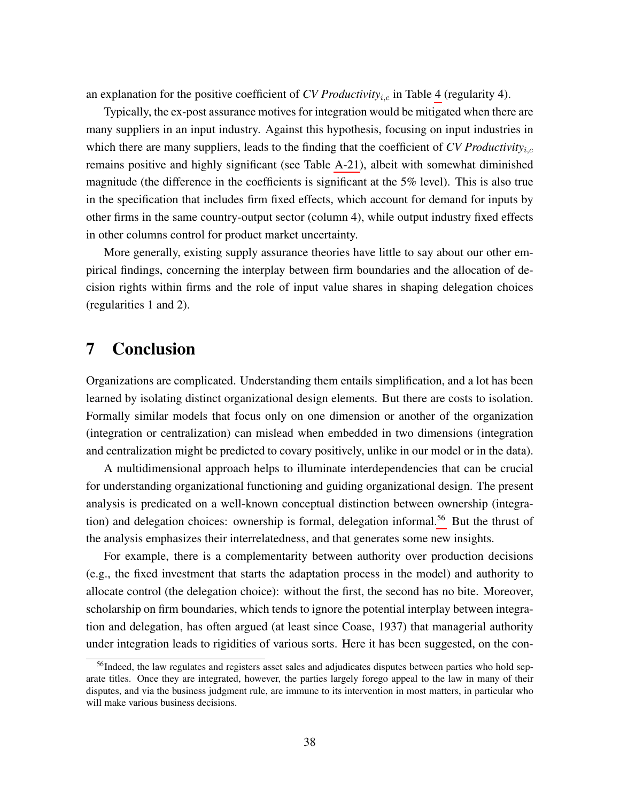an explanation for the positive coefficient of  $CV$  *Productivity<sub>i,c</sub>* in Table [4](#page-33-0) (regularity 4).

Typically, the ex-post assurance motives for integration would be mitigated when there are many suppliers in an input industry. Against this hypothesis, focusing on input industries in which there are many suppliers, leads to the finding that the coefficient of *CV Productivity<sub>i.c</sub>* remains positive and highly significant (see Table [A-21\)](#page-70-0), albeit with somewhat diminished magnitude (the difference in the coefficients is significant at the 5% level). This is also true in the specification that includes firm fixed effects, which account for demand for inputs by other firms in the same country-output sector (column 4), while output industry fixed effects in other columns control for product market uncertainty.

More generally, existing supply assurance theories have little to say about our other empirical findings, concerning the interplay between firm boundaries and the allocation of decision rights within firms and the role of input value shares in shaping delegation choices (regularities 1 and 2).

## 7 Conclusion

Organizations are complicated. Understanding them entails simplification, and a lot has been learned by isolating distinct organizational design elements. But there are costs to isolation. Formally similar models that focus only on one dimension or another of the organization (integration or centralization) can mislead when embedded in two dimensions (integration and centralization might be predicted to covary positively, unlike in our model or in the data).

A multidimensional approach helps to illuminate interdependencies that can be crucial for understanding organizational functioning and guiding organizational design. The present analysis is predicated on a well-known conceptual distinction between ownership (integra-tion) and delegation choices: ownership is formal, delegation informal.<sup>[56](#page-39-0)</sup> But the thrust of the analysis emphasizes their interrelatedness, and that generates some new insights.

For example, there is a complementarity between authority over production decisions (e.g., the fixed investment that starts the adaptation process in the model) and authority to allocate control (the delegation choice): without the first, the second has no bite. Moreover, scholarship on firm boundaries, which tends to ignore the potential interplay between integration and delegation, has often argued (at least since Coase, 1937) that managerial authority under integration leads to rigidities of various sorts. Here it has been suggested, on the con-

<span id="page-39-0"></span><sup>&</sup>lt;sup>56</sup>Indeed, the law regulates and registers asset sales and adjudicates disputes between parties who hold separate titles. Once they are integrated, however, the parties largely forego appeal to the law in many of their disputes, and via the business judgment rule, are immune to its intervention in most matters, in particular who will make various business decisions.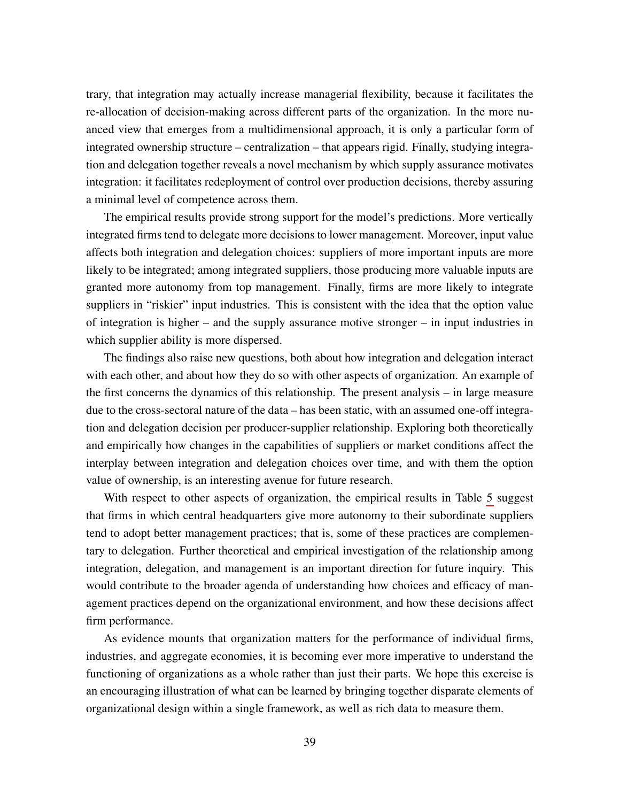trary, that integration may actually increase managerial flexibility, because it facilitates the re-allocation of decision-making across different parts of the organization. In the more nuanced view that emerges from a multidimensional approach, it is only a particular form of integrated ownership structure – centralization – that appears rigid. Finally, studying integration and delegation together reveals a novel mechanism by which supply assurance motivates integration: it facilitates redeployment of control over production decisions, thereby assuring a minimal level of competence across them.

The empirical results provide strong support for the model's predictions. More vertically integrated firms tend to delegate more decisions to lower management. Moreover, input value affects both integration and delegation choices: suppliers of more important inputs are more likely to be integrated; among integrated suppliers, those producing more valuable inputs are granted more autonomy from top management. Finally, firms are more likely to integrate suppliers in "riskier" input industries. This is consistent with the idea that the option value of integration is higher – and the supply assurance motive stronger – in input industries in which supplier ability is more dispersed.

The findings also raise new questions, both about how integration and delegation interact with each other, and about how they do so with other aspects of organization. An example of the first concerns the dynamics of this relationship. The present analysis – in large measure due to the cross-sectoral nature of the data – has been static, with an assumed one-off integration and delegation decision per producer-supplier relationship. Exploring both theoretically and empirically how changes in the capabilities of suppliers or market conditions affect the interplay between integration and delegation choices over time, and with them the option value of ownership, is an interesting avenue for future research.

With respect to other aspects of organization, the empirical results in Table [5](#page-37-0) suggest that firms in which central headquarters give more autonomy to their subordinate suppliers tend to adopt better management practices; that is, some of these practices are complementary to delegation. Further theoretical and empirical investigation of the relationship among integration, delegation, and management is an important direction for future inquiry. This would contribute to the broader agenda of understanding how choices and efficacy of management practices depend on the organizational environment, and how these decisions affect firm performance.

As evidence mounts that organization matters for the performance of individual firms, industries, and aggregate economies, it is becoming ever more imperative to understand the functioning of organizations as a whole rather than just their parts. We hope this exercise is an encouraging illustration of what can be learned by bringing together disparate elements of organizational design within a single framework, as well as rich data to measure them.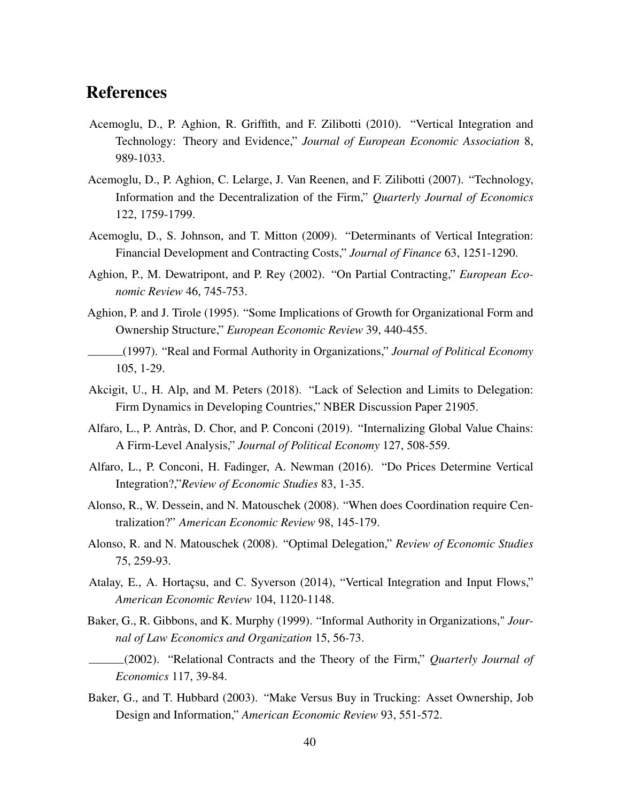## References

- Acemoglu, D., P. Aghion, R. Griffith, and F. Zilibotti (2010). "Vertical Integration and Technology: Theory and Evidence," *Journal of European Economic Association* 8, 989-1033.
- Acemoglu, D., P. Aghion, C. Lelarge, J. Van Reenen, and F. Zilibotti (2007). "Technology, Information and the Decentralization of the Firm," *Quarterly Journal of Economics* 122, 1759-1799.
- Acemoglu, D., S. Johnson, and T. Mitton (2009). "Determinants of Vertical Integration: Financial Development and Contracting Costs," *Journal of Finance* 63, 1251-1290.
- Aghion, P., M. Dewatripont, and P. Rey (2002). "On Partial Contracting," *European Economic Review* 46, 745-753.
- Aghion, P. and J. Tirole (1995). "Some Implications of Growth for Organizational Form and Ownership Structure," *European Economic Review* 39, 440-455.
- (1997). "Real and Formal Authority in Organizations," *Journal of Political Economy* 105, 1-29.
- Akcigit, U., H. Alp, and M. Peters (2018). "Lack of Selection and Limits to Delegation: Firm Dynamics in Developing Countries," NBER Discussion Paper 21905.
- Alfaro, L., P. Antràs, D. Chor, and P. Conconi (2019). "Internalizing Global Value Chains: A Firm-Level Analysis," *Journal of Political Economy* 127, 508-559.
- Alfaro, L., P. Conconi, H. Fadinger, A. Newman (2016). "Do Prices Determine Vertical Integration?,"*Review of Economic Studies* 83, 1-35.
- Alonso, R., W. Dessein, and N. Matouschek (2008). "When does Coordination require Centralization?" *American Economic Review* 98, 145-179.
- Alonso, R. and N. Matouschek (2008). "Optimal Delegation," *Review of Economic Studies* 75, 259-93.
- Atalay, E., A. Hortaçsu, and C. Syverson (2014), "Vertical Integration and Input Flows," *American Economic Review* 104, 1120-1148.
- Baker, G., R. Gibbons, and K. Murphy (1999). "Informal Authority in Organizations," *Journal of Law Economics and Organization* 15, 56-73.

(2002). "Relational Contracts and the Theory of the Firm," *Quarterly Journal of Economics* 117, 39-84.

Baker, G., and T. Hubbard (2003). "Make Versus Buy in Trucking: Asset Ownership, Job Design and Information," *American Economic Review* 93, 551-572.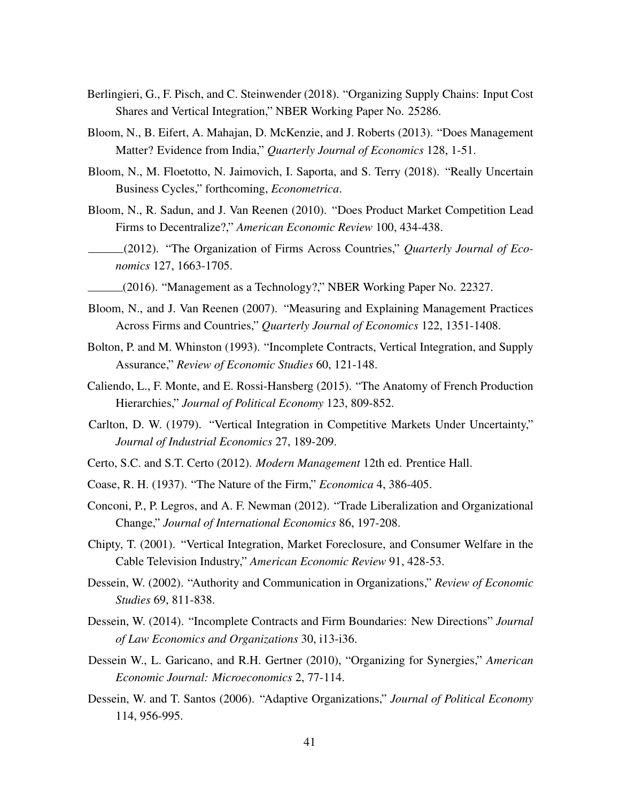- Berlingieri, G., F. Pisch, and C. Steinwender (2018). "Organizing Supply Chains: Input Cost Shares and Vertical Integration," NBER Working Paper No. 25286.
- Bloom, N., B. Eifert, A. Mahajan, D. McKenzie, and J. Roberts (2013). "Does Management Matter? Evidence from India," *Quarterly Journal of Economics* 128, 1-51.
- Bloom, N., M. Floetotto, N. Jaimovich, I. Saporta, and S. Terry (2018). "Really Uncertain Business Cycles," forthcoming, *Econometrica*.
- Bloom, N., R. Sadun, and J. Van Reenen (2010). "Does Product Market Competition Lead Firms to Decentralize?," *American Economic Review* 100, 434-438.
- (2012). "The Organization of Firms Across Countries," *Quarterly Journal of Economics* 127, 1663-1705.
- (2016). "Management as a Technology?," NBER Working Paper No. 22327.
- Bloom, N., and J. Van Reenen (2007). "Measuring and Explaining Management Practices Across Firms and Countries," *Quarterly Journal of Economics* 122, 1351-1408.
- Bolton, P. and M. Whinston (1993). "Incomplete Contracts, Vertical Integration, and Supply Assurance," *Review of Economic Studies* 60, 121-148.
- Caliendo, L., F. Monte, and E. Rossi-Hansberg (2015). "The Anatomy of French Production Hierarchies," *Journal of Political Economy* 123, 809-852.
- Carlton, D. W. (1979). "Vertical Integration in Competitive Markets Under Uncertainty," *Journal of Industrial Economics* 27, 189-209.
- Certo, S.C. and S.T. Certo (2012). *Modern Management* 12th ed. Prentice Hall.
- Coase, R. H. (1937). "The Nature of the Firm," *Economica* 4, 386-405.
- Conconi, P., P. Legros, and A. F. Newman (2012). "Trade Liberalization and Organizational Change," *Journal of International Economics* 86, 197-208.
- Chipty, T. (2001). "Vertical Integration, Market Foreclosure, and Consumer Welfare in the Cable Television Industry," *American Economic Review* 91, 428-53.
- Dessein, W. (2002). "Authority and Communication in Organizations," *Review of Economic Studies* 69, 811-838.
- Dessein, W. (2014). "Incomplete Contracts and Firm Boundaries: New Directions" *Journal of Law Economics and Organizations* 30, i13-i36.
- Dessein W., L. Garicano, and R.H. Gertner (2010), "Organizing for Synergies," *American Economic Journal: Microeconomics* 2, 77-114.
- Dessein, W. and T. Santos (2006). "Adaptive Organizations," *Journal of Political Economy* 114, 956-995.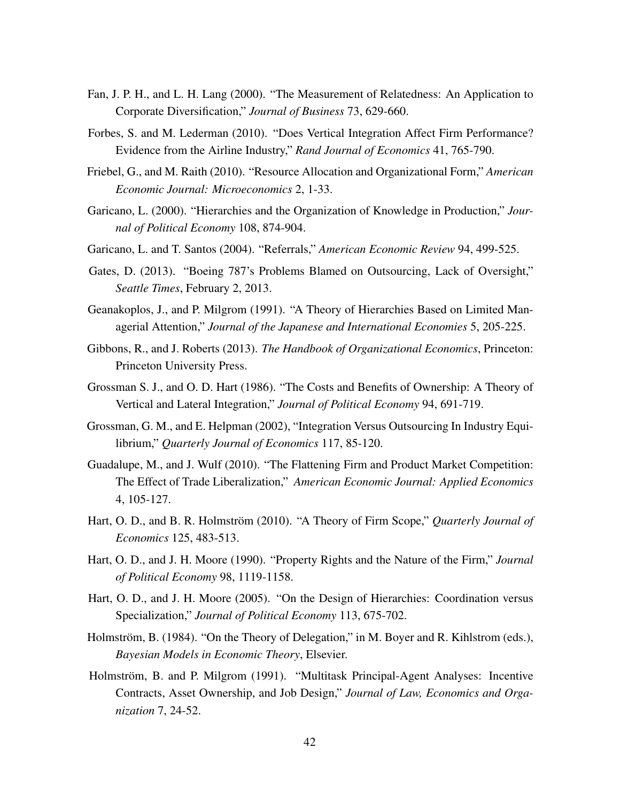- Fan, J. P. H., and L. H. Lang (2000). "The Measurement of Relatedness: An Application to Corporate Diversification," *Journal of Business* 73, 629-660.
- Forbes, S. and M. Lederman (2010). "Does Vertical Integration Affect Firm Performance? Evidence from the Airline Industry," *Rand Journal of Economics* 41, 765-790.
- Friebel, G., and M. Raith (2010). "Resource Allocation and Organizational Form," *American Economic Journal: Microeconomics* 2, 1-33.
- Garicano, L. (2000). "Hierarchies and the Organization of Knowledge in Production," *Journal of Political Economy* 108, 874-904.
- Garicano, L. and T. Santos (2004). "Referrals," *American Economic Review* 94, 499-525.
- Gates, D. (2013). "Boeing 787's Problems Blamed on Outsourcing, Lack of Oversight," *Seattle Times*, February 2, 2013.
- Geanakoplos, J., and P. Milgrom (1991). "A Theory of Hierarchies Based on Limited Managerial Attention," *Journal of the Japanese and International Economies* 5, 205-225.
- Gibbons, R., and J. Roberts (2013). *The Handbook of Organizational Economics*, Princeton: Princeton University Press.
- Grossman S. J., and O. D. Hart (1986). "The Costs and Benefits of Ownership: A Theory of Vertical and Lateral Integration," *Journal of Political Economy* 94, 691-719.
- Grossman, G. M., and E. Helpman (2002), "Integration Versus Outsourcing In Industry Equilibrium," *Quarterly Journal of Economics* 117, 85-120.
- Guadalupe, M., and J. Wulf (2010). "The Flattening Firm and Product Market Competition: The Effect of Trade Liberalization," *American Economic Journal: Applied Economics* 4, 105-127.
- Hart, O. D., and B. R. Holmström (2010). "A Theory of Firm Scope," *Quarterly Journal of Economics* 125, 483-513.
- Hart, O. D., and J. H. Moore (1990). "Property Rights and the Nature of the Firm," *Journal of Political Economy* 98, 1119-1158.
- Hart, O. D., and J. H. Moore (2005). "On the Design of Hierarchies: Coordination versus Specialization," *Journal of Political Economy* 113, 675-702.
- Holmström, B. (1984). "On the Theory of Delegation," in M. Boyer and R. Kihlstrom (eds.), *Bayesian Models in Economic Theory*, Elsevier.
- Holmström, B. and P. Milgrom (1991). "Multitask Principal-Agent Analyses: Incentive Contracts, Asset Ownership, and Job Design," *Journal of Law, Economics and Organization* 7, 24-52.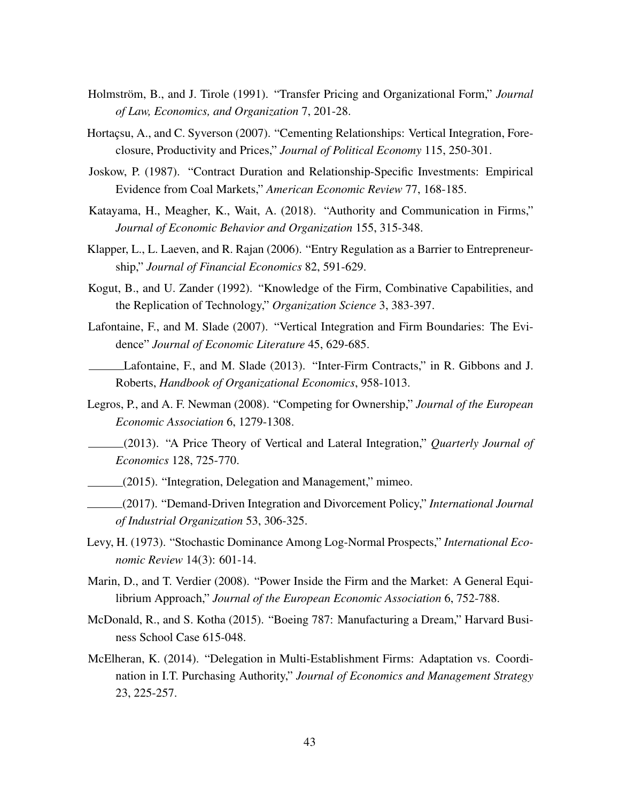- Holmström, B., and J. Tirole (1991). "Transfer Pricing and Organizational Form," *Journal of Law, Economics, and Organization* 7, 201-28.
- Hortaçsu, A., and C. Syverson (2007). "Cementing Relationships: Vertical Integration, Foreclosure, Productivity and Prices," *Journal of Political Economy* 115, 250-301.
- Joskow, P. (1987). "Contract Duration and Relationship-Specific Investments: Empirical Evidence from Coal Markets," *American Economic Review* 77, 168-185.
- Katayama, H., Meagher, K., Wait, A. (2018). "Authority and Communication in Firms," *Journal of Economic Behavior and Organization* 155, 315-348.
- Klapper, L., L. Laeven, and R. Rajan (2006). "Entry Regulation as a Barrier to Entrepreneurship," *Journal of Financial Economics* 82, 591-629.
- Kogut, B., and U. Zander (1992). "Knowledge of the Firm, Combinative Capabilities, and the Replication of Technology," *Organization Science* 3, 383-397.
- Lafontaine, F., and M. Slade (2007). "Vertical Integration and Firm Boundaries: The Evidence" *Journal of Economic Literature* 45, 629-685.
- Lafontaine, F., and M. Slade (2013). "Inter-Firm Contracts," in R. Gibbons and J. Roberts, *Handbook of Organizational Economics*, 958-1013.
- Legros, P., and A. F. Newman (2008). "Competing for Ownership," *Journal of the European Economic Association* 6, 1279-1308.
- (2013). "A Price Theory of Vertical and Lateral Integration," *Quarterly Journal of Economics* 128, 725-770.
- (2015). "Integration, Delegation and Management," mimeo.
- (2017). "Demand-Driven Integration and Divorcement Policy," *International Journal of Industrial Organization* 53, 306-325.
- Levy, H. (1973). "Stochastic Dominance Among Log-Normal Prospects," *International Economic Review* 14(3): 601-14.
- Marin, D., and T. Verdier (2008). "Power Inside the Firm and the Market: A General Equilibrium Approach," *Journal of the European Economic Association* 6, 752-788.
- McDonald, R., and S. Kotha (2015). "Boeing 787: Manufacturing a Dream," Harvard Business School Case 615-048.
- McElheran, K. (2014). "Delegation in Multi-Establishment Firms: Adaptation vs. Coordination in I.T. Purchasing Authority," *Journal of Economics and Management Strategy* 23, 225-257.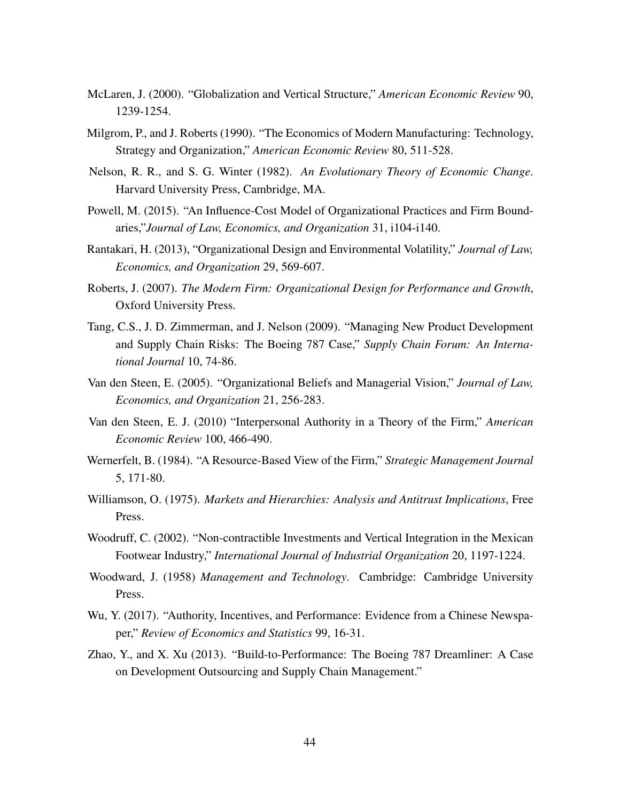- McLaren, J. (2000). "Globalization and Vertical Structure," *American Economic Review* 90, 1239-1254.
- Milgrom, P., and J. Roberts (1990). "The Economics of Modern Manufacturing: Technology, Strategy and Organization," *American Economic Review* 80, 511-528.
- Nelson, R. R., and S. G. Winter (1982). *An Evolutionary Theory of Economic Change*. Harvard University Press, Cambridge, MA.
- Powell, M. (2015). "An Influence-Cost Model of Organizational Practices and Firm Boundaries,"*Journal of Law, Economics, and Organization* 31, i104-i140.
- Rantakari, H. (2013), "Organizational Design and Environmental Volatility," *Journal of Law, Economics, and Organization* 29, 569-607.
- Roberts, J. (2007). *The Modern Firm: Organizational Design for Performance and Growth*, Oxford University Press.
- Tang, C.S., J. D. Zimmerman, and J. Nelson (2009). "Managing New Product Development and Supply Chain Risks: The Boeing 787 Case," *Supply Chain Forum: An International Journal* 10, 74-86.
- Van den Steen, E. (2005). "Organizational Beliefs and Managerial Vision," *Journal of Law, Economics, and Organization* 21, 256-283.
- Van den Steen, E. J. (2010) "Interpersonal Authority in a Theory of the Firm," *American Economic Review* 100, 466-490.
- Wernerfelt, B. (1984). "A Resource-Based View of the Firm," *Strategic Management Journal* 5, 171-80.
- Williamson, O. (1975). *Markets and Hierarchies: Analysis and Antitrust Implications*, Free Press.
- Woodruff, C. (2002). "Non-contractible Investments and Vertical Integration in the Mexican Footwear Industry," *International Journal of Industrial Organization* 20, 1197-1224.
- Woodward, J. (1958) *Management and Technology*. Cambridge: Cambridge University Press.
- Wu, Y. (2017). "Authority, Incentives, and Performance: Evidence from a Chinese Newspaper," *Review of Economics and Statistics* 99, 16-31.
- Zhao, Y., and X. Xu (2013). "Build-to-Performance: The Boeing 787 Dreamliner: A Case on Development Outsourcing and Supply Chain Management."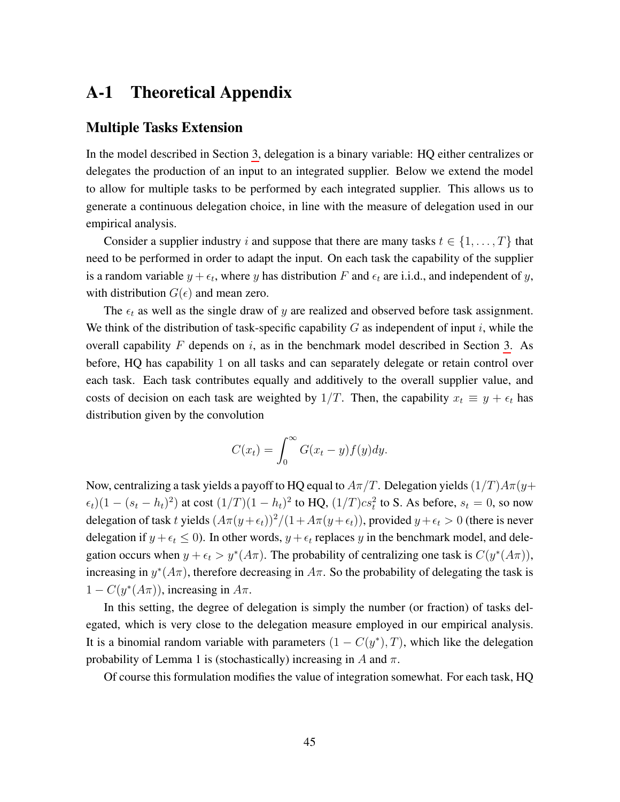## A-1 Theoretical Appendix

#### Multiple Tasks Extension

In the model described in Section [3,](#page-8-0) delegation is a binary variable: HQ either centralizes or delegates the production of an input to an integrated supplier. Below we extend the model to allow for multiple tasks to be performed by each integrated supplier. This allows us to generate a continuous delegation choice, in line with the measure of delegation used in our empirical analysis.

Consider a supplier industry i and suppose that there are many tasks  $t \in \{1, \ldots, T\}$  that need to be performed in order to adapt the input. On each task the capability of the supplier is a random variable  $y + \epsilon_t$ , where y has distribution F and  $\epsilon_t$  are i.i.d., and independent of y, with distribution  $G(\epsilon)$  and mean zero.

The  $\epsilon_t$  as well as the single draw of y are realized and observed before task assignment. We think of the distribution of task-specific capability  $G$  as independent of input  $i$ , while the overall capability  $F$  depends on  $i$ , as in the benchmark model described in Section [3.](#page-8-0) As before, HQ has capability 1 on all tasks and can separately delegate or retain control over each task. Each task contributes equally and additively to the overall supplier value, and costs of decision on each task are weighted by 1/T. Then, the capability  $x_t \equiv y + \epsilon_t$  has distribution given by the convolution

$$
C(x_t) = \int_0^\infty G(x_t - y) f(y) dy.
$$

Now, centralizing a task yields a payoff to HQ equal to  $A\pi/T$ . Delegation yields  $(1/T)A\pi(y+$  $(\epsilon_t)(1 - (s_t - h_t)^2)$  at cost  $(1/T)(1 - h_t)^2$  to HQ,  $(1/T)cs_t^2$  to S. As before,  $s_t = 0$ , so now delegation of task t yields  $(A\pi(y+\epsilon_t))^2/(1+A\pi(y+\epsilon_t))$ , provided  $y+\epsilon_t > 0$  (there is never delegation if  $y + \epsilon_t \leq 0$ ). In other words,  $y + \epsilon_t$  replaces y in the benchmark model, and delegation occurs when  $y + \epsilon_t > y^*(A\pi)$ . The probability of centralizing one task is  $C(y^*(A\pi))$ , increasing in  $y^*(A\pi)$ , therefore decreasing in  $A\pi$ . So the probability of delegating the task is  $1 - C(y^*(A\pi))$ , increasing in  $A\pi$ .

In this setting, the degree of delegation is simply the number (or fraction) of tasks delegated, which is very close to the delegation measure employed in our empirical analysis. It is a binomial random variable with parameters  $(1 - C(y^*), T)$ , which like the delegation probability of Lemma 1 is (stochastically) increasing in A and  $\pi$ .

Of course this formulation modifies the value of integration somewhat. For each task, HQ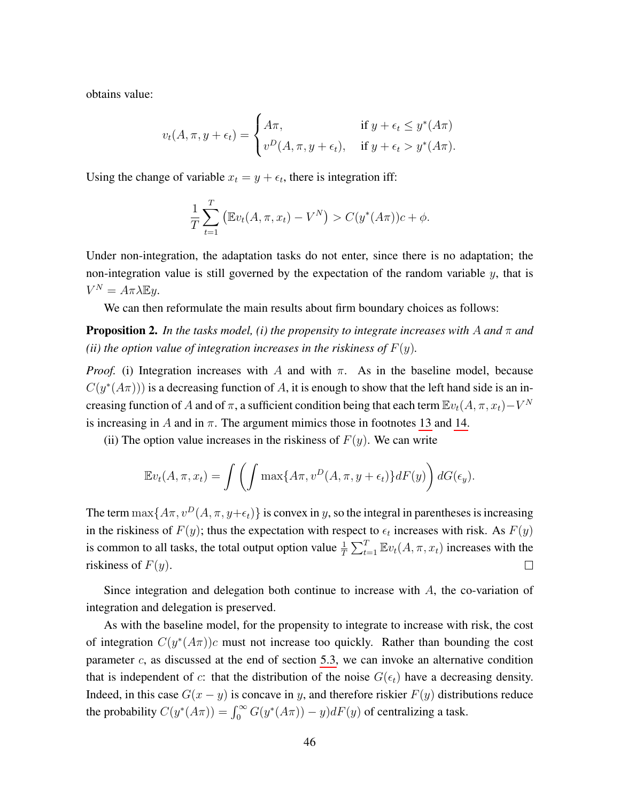obtains value:

$$
v_t(A, \pi, y + \epsilon_t) = \begin{cases} A\pi, & \text{if } y + \epsilon_t \leq y^*(A\pi) \\ v^D(A, \pi, y + \epsilon_t), & \text{if } y + \epsilon_t > y^*(A\pi). \end{cases}
$$

Using the change of variable  $x_t = y + \epsilon_t$ , there is integration iff:

$$
\frac{1}{T} \sum_{t=1}^{T} (\mathbb{E}v_t(A, \pi, x_t) - V^N) > C(y^*(A\pi))c + \phi.
$$

Under non-integration, the adaptation tasks do not enter, since there is no adaptation; the non-integration value is still governed by the expectation of the random variable  $y$ , that is  $V^N = A\pi\lambda \mathbb{E}y.$ 

We can then reformulate the main results about firm boundary choices as follows:

**Proposition 2.** In the tasks model, (i) the propensity to integrate increases with A and  $\pi$  and *(ii) the option value of integration increases in the riskiness of*  $F(y)$ *.* 

*Proof.* (i) Integration increases with A and with  $\pi$ . As in the baseline model, because  $C(y^*(A\pi)))$  is a decreasing function of A, it is enough to show that the left hand side is an increasing function of A and of  $\pi$ , a sufficient condition being that each term  $\mathbb{E}v_t(A,\pi,x_t) - V^N$ is increasing in A and in  $\pi$ . The argument mimics those in footnotes [13](#page-13-0) and [14.](#page-13-1)

(ii) The option value increases in the riskiness of  $F(y)$ . We can write

$$
\mathbb{E}v_t(A,\pi,x_t) = \int \left(\int \max\{A\pi, v^D(A,\pi,y+\epsilon_t)\} dF(y)\right) dG(\epsilon_y).
$$

The term  $\max\{A\pi, v^D(A, \pi, y+\epsilon_t)\}\$ is convex in y, so the integral in parentheses is increasing in the riskiness of  $F(y)$ ; thus the expectation with respect to  $\epsilon_t$  increases with risk. As  $F(y)$ is common to all tasks, the total output option value  $\frac{1}{T} \sum_{t=1}^{T} \mathbb{E} v_t(A, \pi, x_t)$  increases with the riskiness of  $F(y)$ .  $\Box$ 

Since integration and delegation both continue to increase with A, the co-variation of integration and delegation is preserved.

As with the baseline model, for the propensity to integrate to increase with risk, the cost of integration  $C(y^*(A\pi))c$  must not increase too quickly. Rather than bounding the cost parameter  $c$ , as discussed at the end of section [5.3,](#page-32-0) we can invoke an alternative condition that is independent of c: that the distribution of the noise  $G(\epsilon_t)$  have a decreasing density. Indeed, in this case  $G(x - y)$  is concave in y, and therefore riskier  $F(y)$  distributions reduce the probability  $C(y^*(A\pi)) = \int_0^\infty G(y^*(A\pi)) - y)dF(y)$  of centralizing a task.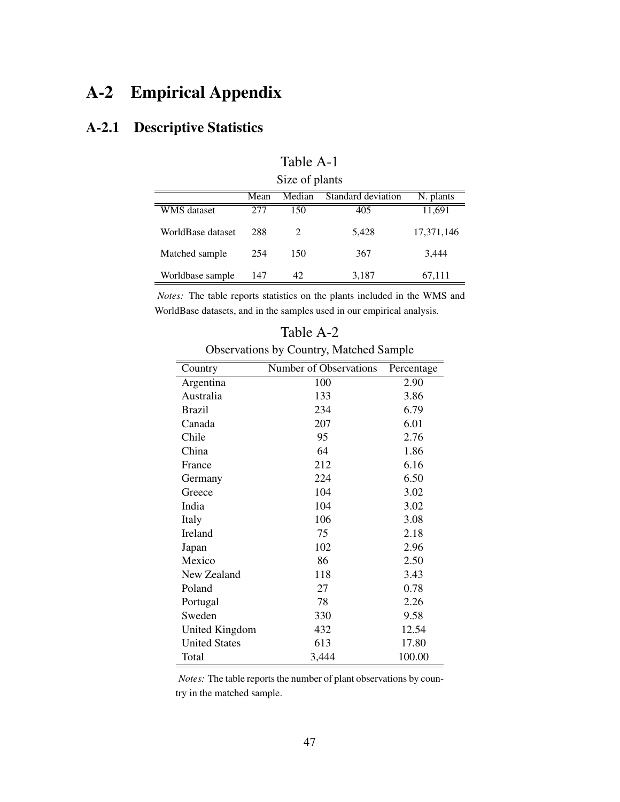## A-2 Empirical Appendix

## A-2.1 Descriptive Statistics

|                    |      | OILC OF PRIMIT |                    |            |
|--------------------|------|----------------|--------------------|------------|
|                    | Mean | Median         | Standard deviation | N. plants  |
| <b>WMS</b> dataset | 277  | 150            | 405                | 11,691     |
| WorldBase dataset  | 288  |                | 5,428              | 17,371,146 |
| Matched sample     | 254  | 150            | 367                | 3,444      |
| Worldbase sample   | 147  | 42             | 3,187              | 67,111     |

Table A-1 Size of plants

*Notes:* The table reports statistics on the plants included in the WMS and WorldBase datasets, and in the samples used in our empirical analysis.

| Table A-2 |  |
|-----------|--|
|-----------|--|

Observations by Country, Matched Sample

| Country              | Number of Observations | Percentage |
|----------------------|------------------------|------------|
| Argentina            | 100                    | 2.90       |
| Australia            | 133                    | 3.86       |
| <b>Brazil</b>        | 234                    | 6.79       |
| Canada               | 207                    | 6.01       |
| Chile                | 95                     | 2.76       |
| China                | 64                     | 1.86       |
| France               | 212                    | 6.16       |
| Germany              | 224                    | 6.50       |
| Greece               | 104                    | 3.02       |
| India                | 104                    | 3.02       |
| Italy                | 106                    | 3.08       |
| Ireland              | 75                     | 2.18       |
| Japan                | 102                    | 2.96       |
| Mexico               | 86                     | 2.50       |
| New Zealand          | 118                    | 3.43       |
| Poland               | 27                     | 0.78       |
| Portugal             | 78                     | 2.26       |
| Sweden               | 330                    | 9.58       |
| United Kingdom       | 432                    | 12.54      |
| <b>United States</b> | 613                    | 17.80      |
| Total                | 3,444                  | 100.00     |

*Notes:* The table reports the number of plant observations by country in the matched sample.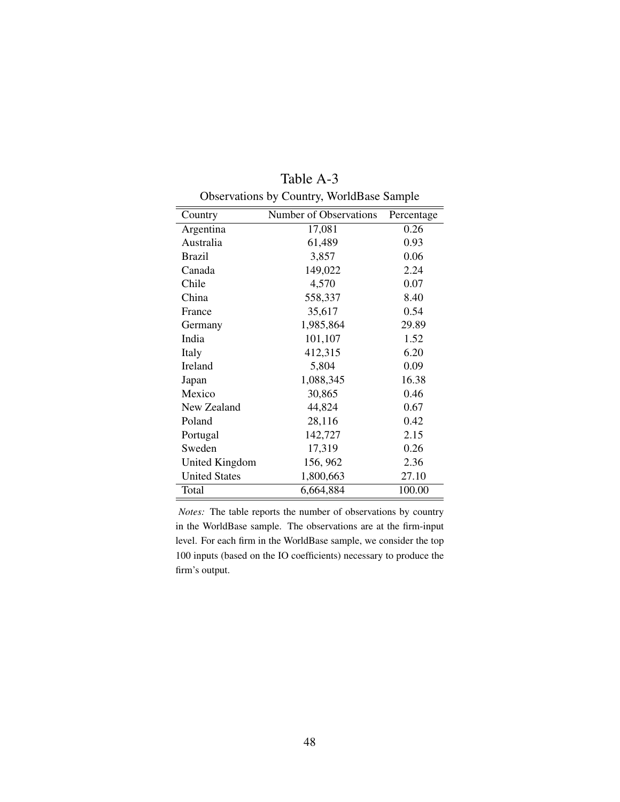| Country              | Number of Observations | Percentage |
|----------------------|------------------------|------------|
| Argentina            | 17,081                 | 0.26       |
| Australia            | 61,489                 | 0.93       |
| <b>Brazil</b>        | 3,857                  | 0.06       |
| Canada               | 149,022                | 2.24       |
| Chile                | 4,570                  | 0.07       |
| China                | 558,337                | 8.40       |
| France               | 35,617                 | 0.54       |
| Germany              | 1,985,864              | 29.89      |
| India                | 101,107                | 1.52       |
| Italy                | 412,315                | 6.20       |
| Ireland              | 5,804                  | 0.09       |
| Japan                | 1,088,345              | 16.38      |
| Mexico               | 30,865                 | 0.46       |
| New Zealand          | 44,824                 | 0.67       |
| Poland               | 28,116                 | 0.42       |
| Portugal             | 142,727                | 2.15       |
| Sweden               | 17,319                 | 0.26       |
| United Kingdom       | 156, 962               | 2.36       |
| <b>United States</b> | 1,800,663              | 27.10      |
| Total                | 6,664,884              | 100.00     |

Table A-3 Observations by Country, WorldBase Sample

*Notes:* The table reports the number of observations by country in the WorldBase sample. The observations are at the firm-input level. For each firm in the WorldBase sample, we consider the top 100 inputs (based on the IO coefficients) necessary to produce the firm's output.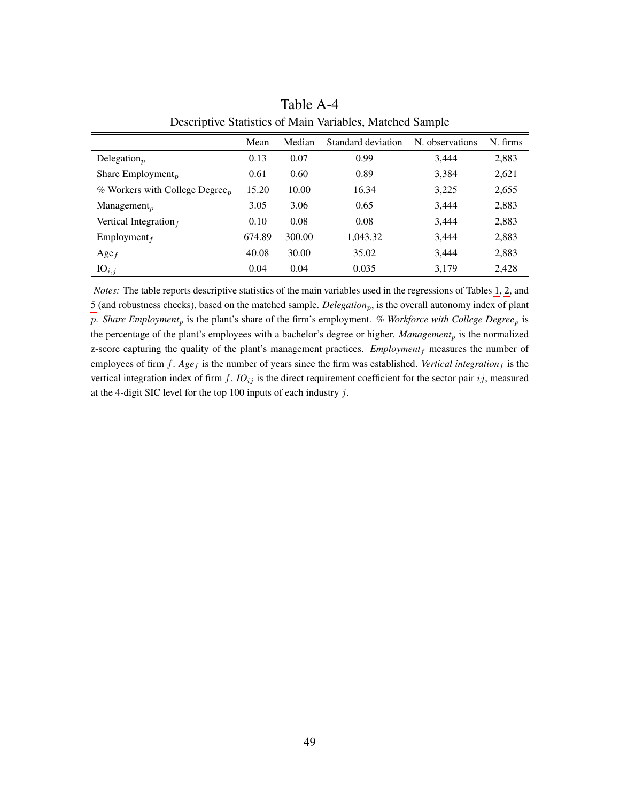|                                              | Mean   | Median | Standard deviation | N. observations | N. firms |
|----------------------------------------------|--------|--------|--------------------|-----------------|----------|
| Delegation $_p$                              | 0.13   | 0.07   | 0.99               | 3,444           | 2,883    |
| Share Employment <sub>p</sub>                | 0.61   | 0.60   | 0.89               | 3,384           | 2,621    |
| $%$ Workers with College Degree <sub>p</sub> | 15.20  | 10.00  | 16.34              | 3,225           | 2,655    |
| $M$ anagement <sub>p</sub>                   | 3.05   | 3.06   | 0.65               | 3,444           | 2,883    |
| Vertical Integration $_f$                    | 0.10   | 0.08   | 0.08               | 3,444           | 2,883    |
| Employment $_f$                              | 674.89 | 300.00 | 1,043.32           | 3,444           | 2,883    |
| $Age_f$                                      | 40.08  | 30.00  | 35.02              | 3,444           | 2,883    |
| $IO_{i,j}$                                   | 0.04   | 0.04   | 0.035              | 3,179           | 2,428    |

Table A-4 Descriptive Statistics of Main Variables, Matched Sample

*Notes:* The table reports descriptive statistics of the main variables used in the regressions of Tables [1,](#page-24-0) [2,](#page-27-0) and [5](#page-37-0) (and robustness checks), based on the matched sample. *Delegation<sub>p</sub>*, is the overall autonomy index of plant p. *Share Employment<sub>p</sub>* is the plant's share of the firm's employment. *% Workforce with College Degree<sub>p</sub>* is the percentage of the plant's employees with a bachelor's degree or higher. *Management<sub>p</sub>* is the normalized z-score capturing the quality of the plant's management practices.  $Employment<sub>f</sub>$  measures the number of employees of firm  $f$ . *Age<sub>f</sub>* is the number of years since the firm was established. *Vertical integration*<sub>f</sub> is the vertical integration index of firm  $f$ .  $IO_{ij}$  is the direct requirement coefficient for the sector pair  $ij$ , measured at the 4-digit SIC level for the top 100 inputs of each industry  $j$ .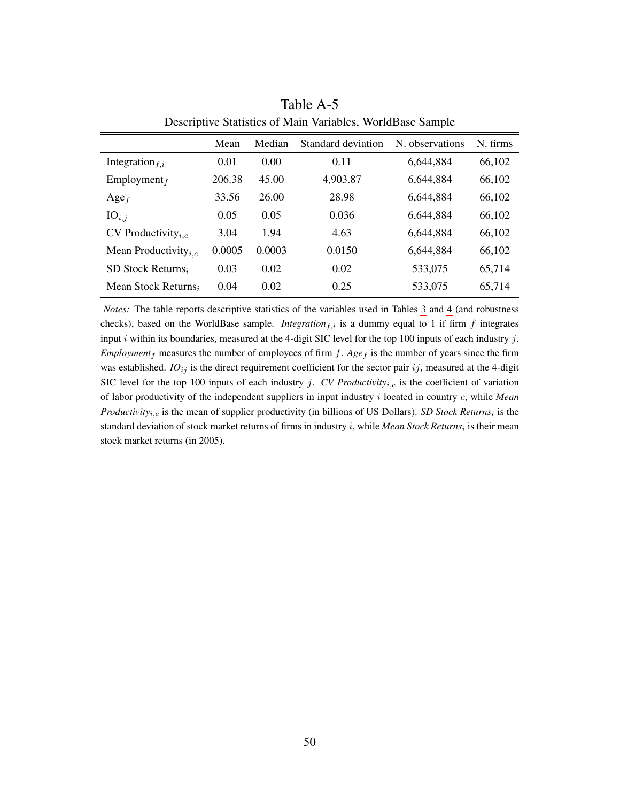| Descriptive blanshes of main variables, worldbase bample |        |        |                    |                 |          |  |
|----------------------------------------------------------|--------|--------|--------------------|-----------------|----------|--|
|                                                          | Mean   | Median | Standard deviation | N. observations | N. firms |  |
| Integration $f_{i,i}$                                    | 0.01   | 0.00   | 0.11               | 6,644,884       | 66,102   |  |
| Employment $_f$                                          | 206.38 | 45.00  | 4,903.87           | 6,644,884       | 66,102   |  |
| $Age_f$                                                  | 33.56  | 26.00  | 28.98              | 6,644,884       | 66,102   |  |
| $IO_{i,j}$                                               | 0.05   | 0.05   | 0.036              | 6,644,884       | 66,102   |  |
| CV Productivity <sub><i>i.c</i></sub>                    | 3.04   | 1.94   | 4.63               | 6,644,884       | 66,102   |  |
| Mean Productivity <sub><i>i.c</i></sub>                  | 0.0005 | 0.0003 | 0.0150             | 6,644,884       | 66,102   |  |
| SD Stock Returns <sub>i</sub>                            | 0.03   | 0.02   | 0.02               | 533,075         | 65,714   |  |
| Mean Stock Returns,                                      | 0.04   | 0.02   | 0.25               | 533,075         | 65,714   |  |

Table A-5 Descriptive Statistics of Main Variables, WorldBase Sample

*Notes:* The table reports descriptive statistics of the variables used in Tables [3](#page-30-0) and [4](#page-33-0) (and robustness checks), based on the WorldBase sample. *Integration* $f_i$  is a dummy equal to 1 if firm f integrates input i within its boundaries, measured at the 4-digit SIC level for the top 100 inputs of each industry  $j$ . *Employment*<sub>f</sub> measures the number of employees of firm  $f$ . *Age*<sub>f</sub> is the number of years since the firm was established.  $IO_{ij}$  is the direct requirement coefficient for the sector pair  $ij$ , measured at the 4-digit SIC level for the top 100 inputs of each industry j. *CV Productivity<sub>i,c</sub>* is the coefficient of variation of labor productivity of the independent suppliers in input industry i located in country c, while *Mean Productivity*<sub>*i,c*</sub> is the mean of supplier productivity (in billions of US Dollars). *SD Stock Returns*<sub>*i*</sub> is the standard deviation of stock market returns of firms in industry *i*, while *Mean Stock Returns*<sub>i</sub> is their mean stock market returns (in 2005).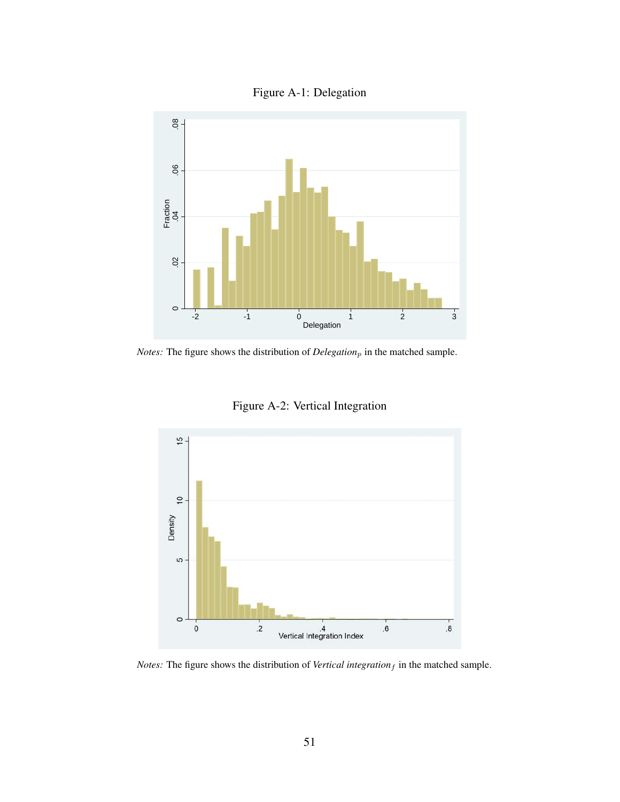



*Notes:* The figure shows the distribution of  $Delegation_p$  in the matched sample.



Figure A-2: Vertical Integration

*Notes:* The figure shows the distribution of *Vertical integration* $_f$  in the matched sample.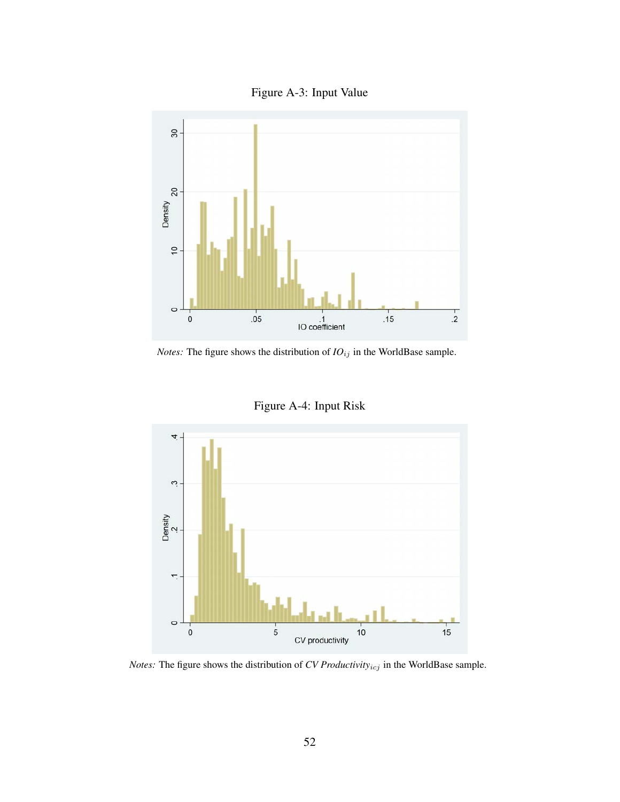



*Notes:* The figure shows the distribution of  $IO_{ij}$  in the WorldBase sample.





*Notes:* The figure shows the distribution of *CV Productivity* $_{icj}$  in the WorldBase sample.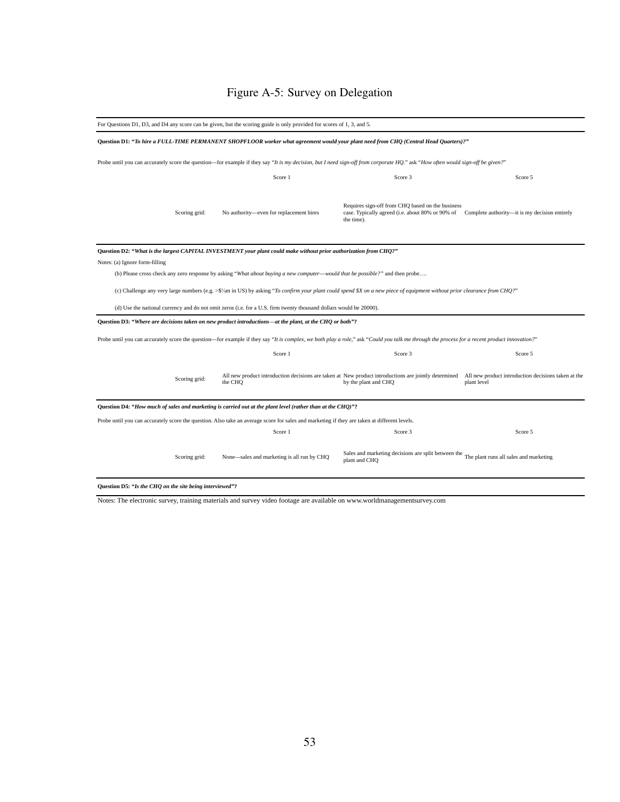## Figure A-5: Survey on Delegation

|                                                          | For Questions D1, D3, and D4 any score can be given, but the scoring guide is only provided for scores of 1, 3, and 5.                                                                       |                                                                                                                                                                                  |             |  |  |  |
|----------------------------------------------------------|----------------------------------------------------------------------------------------------------------------------------------------------------------------------------------------------|----------------------------------------------------------------------------------------------------------------------------------------------------------------------------------|-------------|--|--|--|
|                                                          | Question D1: "To hire a FULL-TIME PERMANENT SHOPFLOOR worker what agreement would your plant need from CHQ (Central Head Quarters)?"                                                         |                                                                                                                                                                                  |             |  |  |  |
|                                                          | Probe until you can accurately score the question—for example if they say "It is my decision, but I need sign-off from corporate HQ." ask "How often would sign-off be given?"               |                                                                                                                                                                                  |             |  |  |  |
|                                                          | Score 1                                                                                                                                                                                      | Score 3                                                                                                                                                                          | Score 5     |  |  |  |
| Scoring grid:                                            | No authority-even for replacement hires                                                                                                                                                      | Requires sign-off from CHQ based on the business<br>case. Typically agreed (i.e. about 80% or 90% of Complete authority—it is my decision entirely<br>the time).                 |             |  |  |  |
|                                                          | Question D2: "What is the largest CAPITAL INVESTMENT your plant could make without prior authorization from CHQ?"                                                                            |                                                                                                                                                                                  |             |  |  |  |
| Notes: (a) Ignore form-filling                           |                                                                                                                                                                                              |                                                                                                                                                                                  |             |  |  |  |
|                                                          | (b) Please cross check any zero response by asking "What about buying a new computer—would that be possible?" and then probe                                                                 |                                                                                                                                                                                  |             |  |  |  |
|                                                          | (c) Challenge any very large numbers (e.g. >\$1/4m in US) by asking "To confirm your plant could spend \$X on a new piece of equipment without prior clearance from CHQ?"                    |                                                                                                                                                                                  |             |  |  |  |
|                                                          | (d) Use the national currency and do not omit zeros (i.e. for a U.S. firm twenty thousand dollars would be 20000).                                                                           |                                                                                                                                                                                  |             |  |  |  |
|                                                          | Question D3: "Where are decisions taken on new product introductions—at the plant, at the CHQ or both"?                                                                                      |                                                                                                                                                                                  |             |  |  |  |
|                                                          | Probe until you can accurately score the question—for example if they say "It is complex, we both play a role," ask "Could you talk me through the process for a recent product innovation?" |                                                                                                                                                                                  |             |  |  |  |
|                                                          | Score 1                                                                                                                                                                                      | Score 3                                                                                                                                                                          | Score 5     |  |  |  |
| Scoring grid:                                            | the CHO                                                                                                                                                                                      | All new product introduction decisions are taken at New product introductions are jointly determined All new product introduction decisions taken at the<br>by the plant and CHQ | plant level |  |  |  |
|                                                          | Question D4: "How much of sales and marketing is carried out at the plant level (rather than at the CHQ)"?                                                                                   |                                                                                                                                                                                  |             |  |  |  |
|                                                          | Probe until you can accurately score the question. Also take an average score for sales and marketing if they are taken at different levels.                                                 |                                                                                                                                                                                  |             |  |  |  |
|                                                          | Score 1                                                                                                                                                                                      | Score 3                                                                                                                                                                          | Score 5     |  |  |  |
| Scoring grid:                                            | None—sales and marketing is all run by CHQ                                                                                                                                                   | Sales and marketing decisions are split between the The plant runs all sales and marketing<br>plant and CHQ                                                                      |             |  |  |  |
| Question D5: "Is the CHQ on the site being interviewed"? |                                                                                                                                                                                              |                                                                                                                                                                                  |             |  |  |  |

Notes: The electronic survey, training materials and survey video footage are available on www.worldmanagementsurvey.com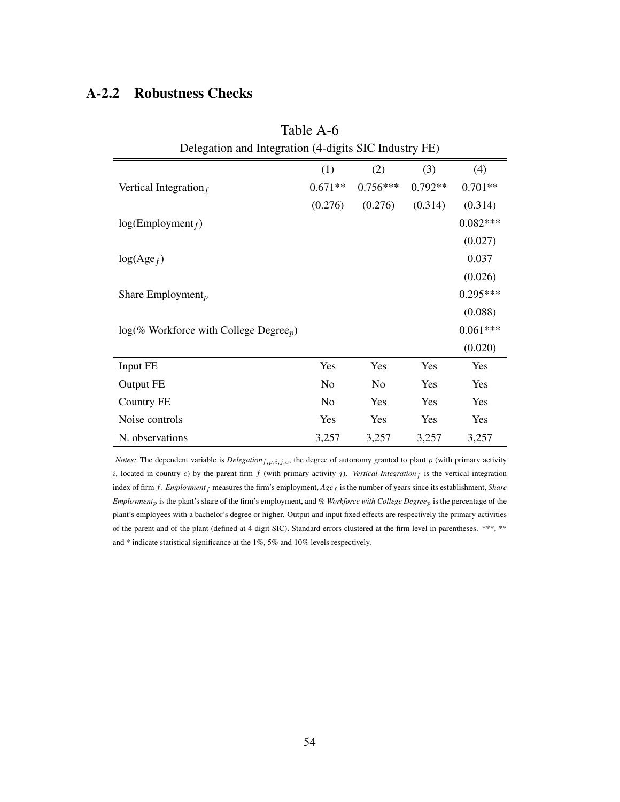#### A-2.2 Robustness Checks

| Delegation and Integration (4-digits SIC Industry FE)        |                |            |           |            |  |
|--------------------------------------------------------------|----------------|------------|-----------|------------|--|
|                                                              | (1)            | (2)        | (3)       | (4)        |  |
| Vertical Integration $_f$                                    | $0.671**$      | $0.756***$ | $0.792**$ | $0.701**$  |  |
|                                                              | (0.276)        | (0.276)    | (0.314)   | (0.314)    |  |
| log(Employment <sub>f</sub> )                                |                |            |           | $0.082***$ |  |
|                                                              |                |            |           | (0.027)    |  |
| $log(Age_f)$                                                 |                |            |           | 0.037      |  |
|                                                              |                |            |           | (0.026)    |  |
| Share Employment <sub>p</sub>                                |                |            |           | $0.295***$ |  |
|                                                              |                |            |           | (0.088)    |  |
| $log(\%$ Workforce with College Degree <sub><i>p</i></sub> ) |                |            |           | $0.061***$ |  |
|                                                              |                |            |           | (0.020)    |  |
| Input FE                                                     | Yes            | Yes        | Yes       | Yes        |  |
| Output FE                                                    | N <sub>o</sub> | No         | Yes       | Yes        |  |
| Country FE                                                   | No             | Yes        | Yes       | Yes        |  |
| Noise controls                                               | Yes            | Yes        | Yes       | Yes        |  |
| N. observations                                              | 3,257          | 3,257      | 3,257     | 3,257      |  |

Table A-6

*Notes:* The dependent variable is  $Delegation_{f,p,i,j,c}$ , the degree of autonomy granted to plant  $p$  (with primary activity i, located in country c) by the parent firm  $f$  (with primary activity j). *Vertical Integration*  $f$  is the vertical integration index of firm f. *Employment* f measures the firm's employment, *Age* f is the number of years since its establishment, *Share Employment*p is the plant's share of the firm's employment, and *% Workforce with College Degree*p is the percentage of the plant's employees with a bachelor's degree or higher. Output and input fixed effects are respectively the primary activities of the parent and of the plant (defined at 4-digit SIC). Standard errors clustered at the firm level in parentheses. \*\*\*, \*\* and \* indicate statistical significance at the 1%, 5% and 10% levels respectively.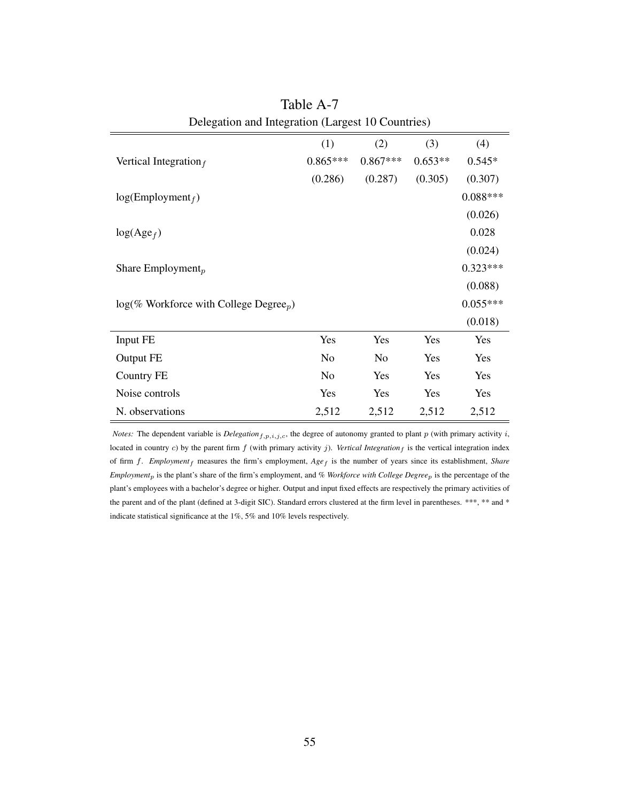|                                                       | (1)            | (2)        | (3)       | (4)        |  |
|-------------------------------------------------------|----------------|------------|-----------|------------|--|
| Vertical Integration $_f$                             | $0.865***$     | $0.867***$ | $0.653**$ | $0.545*$   |  |
|                                                       | (0.286)        | (0.287)    | (0.305)   | (0.307)    |  |
| $log(Employment_f)$                                   |                |            |           | $0.088***$ |  |
|                                                       |                |            |           | (0.026)    |  |
| $log(Age_f)$                                          |                |            |           | 0.028      |  |
|                                                       |                |            |           | (0.024)    |  |
| Share Employment <sub>p</sub>                         |                |            |           | $0.323***$ |  |
|                                                       |                |            |           | (0.088)    |  |
| $log(\%$ Workforce with College Degree <sub>p</sub> ) |                |            |           | $0.055***$ |  |
|                                                       |                |            |           | (0.018)    |  |
| Input FE                                              | Yes            | Yes        | Yes       | Yes        |  |
| Output FE                                             | No             | No         | Yes       | Yes        |  |
| Country FE                                            | N <sub>o</sub> | Yes        | Yes       | Yes        |  |
| Noise controls                                        | Yes            | Yes        | Yes       | Yes        |  |
| N. observations                                       | 2,512          | 2,512      | 2,512     | 2,512      |  |

Table A-7 Delegation and Integration (Largest 10 Countries)

*Notes:* The dependent variable is  $Delegation_{f,p,i,j,c}$ , the degree of autonomy granted to plant p (with primary activity i, located in country c) by the parent firm  $f$  (with primary activity  $j$ ). *Vertical Integration* $_f$  is the vertical integration index of firm f. *Employment<sub>f</sub>* measures the firm's employment,  $Age_f$  is the number of years since its establishment, *Share Employment*p is the plant's share of the firm's employment, and *% Workforce with College Degree*p is the percentage of the plant's employees with a bachelor's degree or higher. Output and input fixed effects are respectively the primary activities of the parent and of the plant (defined at 3-digit SIC). Standard errors clustered at the firm level in parentheses. \*\*\*, \*\* and \* indicate statistical significance at the 1%, 5% and 10% levels respectively.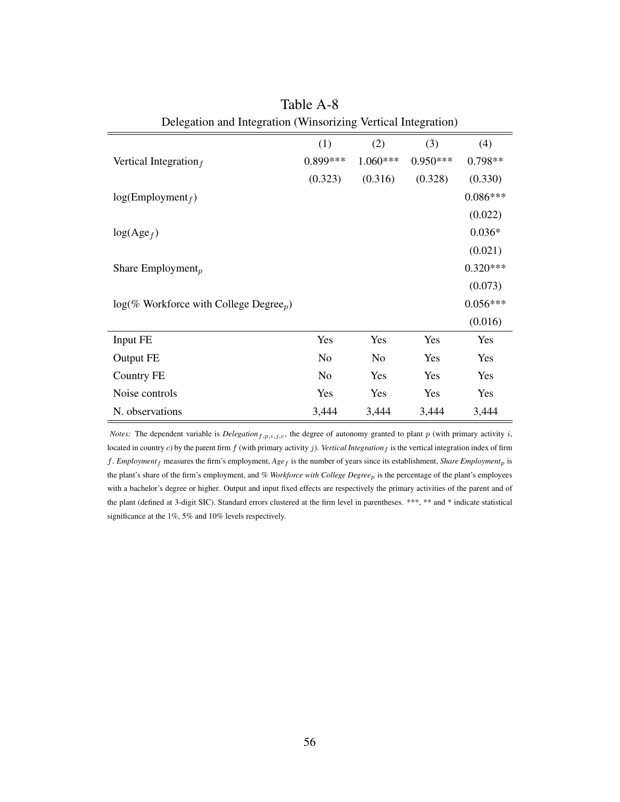|                                                       | (1)            | (2)        | (3)        | (4)        |
|-------------------------------------------------------|----------------|------------|------------|------------|
| Vertical Integration $_f$                             | 0.899***       | $1.060***$ | $0.950***$ | $0.798**$  |
|                                                       | (0.323)        | (0.316)    | (0.328)    | (0.330)    |
| log(Employment <sub>f</sub> )                         |                |            |            | $0.086***$ |
|                                                       |                |            |            | (0.022)    |
| $log(Age_f)$                                          |                |            |            | $0.036*$   |
|                                                       |                |            |            | (0.021)    |
| Share Employment <sub>p</sub>                         |                |            |            | $0.320***$ |
|                                                       |                |            |            | (0.073)    |
| $log(\%$ Workforce with College Degree <sub>p</sub> ) |                |            |            | $0.056***$ |
|                                                       |                |            |            | (0.016)    |
| Input FE                                              | Yes            | Yes        | Yes        | Yes        |
| Output FE                                             | No             | No         | Yes        | Yes        |
| Country FE                                            | N <sub>o</sub> | Yes        | Yes        | Yes        |
| Noise controls                                        | Yes            | Yes        | Yes        | Yes        |
| N. observations                                       | 3,444          | 3,444      | 3,444      | 3,444      |

Table A-8 Delegation and Integration (Winsorizing Vertical Integration)

*Notes:* The dependent variable is *Delegation*<sub>f,p,i,j,c</sub>, the degree of autonomy granted to plant p (with primary activity i, located in country c) by the parent firm  $f$  (with primary activity  $j$ ). Vertical Integration<sub>f</sub> is the vertical integration index of firm f. *Employment*<sup>f</sup> measures the firm's employment, *Age*<sup>f</sup> is the number of years since its establishment, *Share Employment*<sup>p</sup> is the plant's share of the firm's employment, and *% Workforce with College Degree*p is the percentage of the plant's employees with a bachelor's degree or higher. Output and input fixed effects are respectively the primary activities of the parent and of the plant (defined at 3-digit SIC). Standard errors clustered at the firm level in parentheses. \*\*\*, \*\* and \* indicate statistical significance at the 1%, 5% and 10% levels respectively.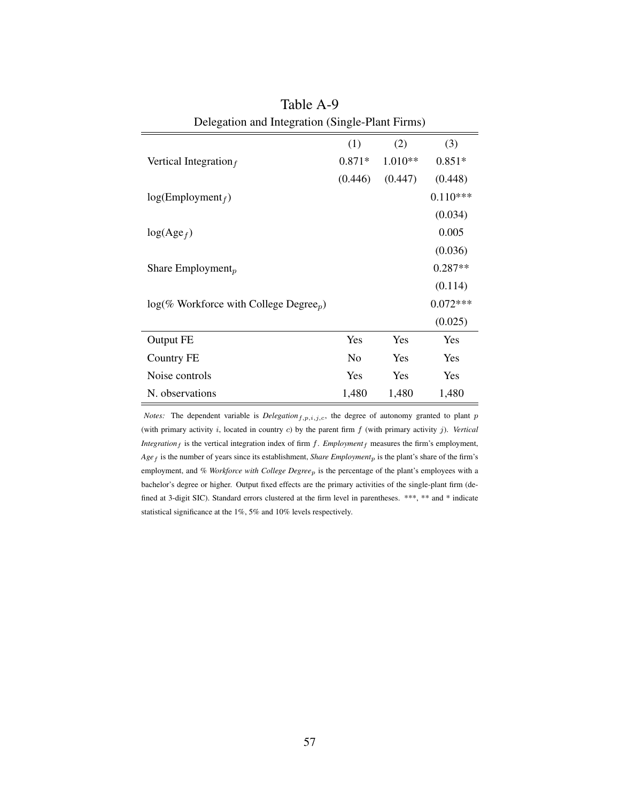|                                                              | (1)      | (2)     | (3)        |
|--------------------------------------------------------------|----------|---------|------------|
| Vertical Integration $_f$                                    | $0.871*$ | 1.010** | $0.851*$   |
|                                                              | (0.446)  | (0.447) | (0.448)    |
| $log(Employment_f)$                                          |          |         | $0.110***$ |
|                                                              |          |         | (0.034)    |
| $log(Age_f)$                                                 |          |         | 0.005      |
|                                                              |          |         | (0.036)    |
| Share Employment <sub>p</sub>                                |          |         | $0.287**$  |
|                                                              |          |         | (0.114)    |
| $log(\%$ Workforce with College Degree <sub><i>p</i></sub> ) |          |         | $0.072***$ |
|                                                              |          |         | (0.025)    |
| Output FE                                                    | Yes      | Yes     | Yes        |
| <b>Country FE</b>                                            | No       | Yes     | Yes        |
| Noise controls                                               | Yes      | Yes     | Yes        |
| N. observations                                              | 1,480    | 1,480   | 1,480      |

Table A-9 Delegation and Integration (Single-Plant Firms)

*Notes:* The dependent variable is  $Delegation_{f,p,i,j,c}$ , the degree of autonomy granted to plant p (with primary activity i, located in country c) by the parent firm f (with primary activity j). *Vertical Integration*  $_f$  is the vertical integration index of firm  $f$ . *Employment* $_f$  measures the firm's employment, *Age*<sub>f</sub> is the number of years since its establishment, *Share Employment*<sub>p</sub> is the plant's share of the firm's employment, and % Workforce with College Degree<sub>p</sub> is the percentage of the plant's employees with a bachelor's degree or higher. Output fixed effects are the primary activities of the single-plant firm (defined at 3-digit SIC). Standard errors clustered at the firm level in parentheses. \*\*\*, \*\* and \* indicate statistical significance at the 1%, 5% and 10% levels respectively.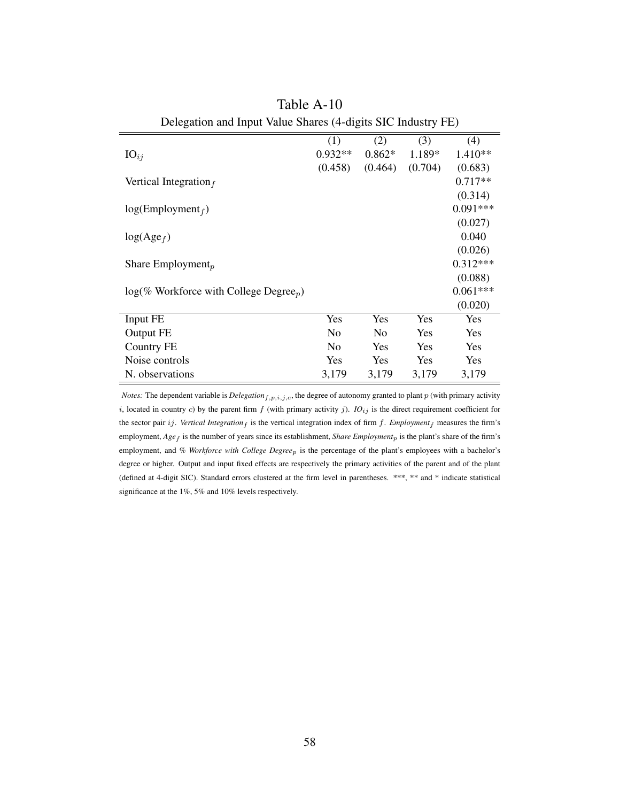|                                                       | (1)       | (2)            | (3)     | (4)        |
|-------------------------------------------------------|-----------|----------------|---------|------------|
| $IO_{ij}$                                             | $0.932**$ | $0.862*$       | 1.189*  | 1.410**    |
|                                                       | (0.458)   | (0.464)        | (0.704) | (0.683)    |
| Vertical Integration $_f$                             |           |                |         | $0.717**$  |
|                                                       |           |                |         | (0.314)    |
| $log(Employment_f)$                                   |           |                |         | $0.091***$ |
|                                                       |           |                |         | (0.027)    |
| $log(Age_f)$                                          |           |                |         | 0.040      |
|                                                       |           |                |         | (0.026)    |
| Share Employment <sub>p</sub>                         |           |                |         | $0.312***$ |
|                                                       |           |                |         | (0.088)    |
| $log(\%$ Workforce with College Degree <sub>p</sub> ) |           |                |         | $0.061***$ |
|                                                       |           |                |         | (0.020)    |
| Input FE                                              | Yes       | Yes            | Yes     | Yes        |
| Output FE                                             | No        | N <sub>0</sub> | Yes     | Yes        |
| Country FE                                            | No        | Yes            | Yes     | Yes        |
| Noise controls                                        | Yes       | <b>Yes</b>     | Yes     | Yes        |
| N. observations                                       | 3,179     | 3,179          | 3,179   | 3,179      |

Table A-10 Delegation and Input Value Shares (4-digits SIC Industry FE)

*Notes:* The dependent variable is *Delegation* $_{f,p,i,j,c}$ , the degree of autonomy granted to plant p (with primary activity i, located in country c) by the parent firm  $f$  (with primary activity  $j$ ).  $IO_{ij}$  is the direct requirement coefficient for the sector pair ij. *Vertical Integration*  $_f$  is the vertical integration index of firm  $f$ . *Employment* $_f$  measures the firm's employment, *Age<sub>f</sub>* is the number of years since its establishment, *Share Employment<sub>p</sub>* is the plant's share of the firm's employment, and *% Workforce with College Degree*p is the percentage of the plant's employees with a bachelor's degree or higher. Output and input fixed effects are respectively the primary activities of the parent and of the plant (defined at 4-digit SIC). Standard errors clustered at the firm level in parentheses. \*\*\*, \*\* and \* indicate statistical significance at the 1%, 5% and 10% levels respectively.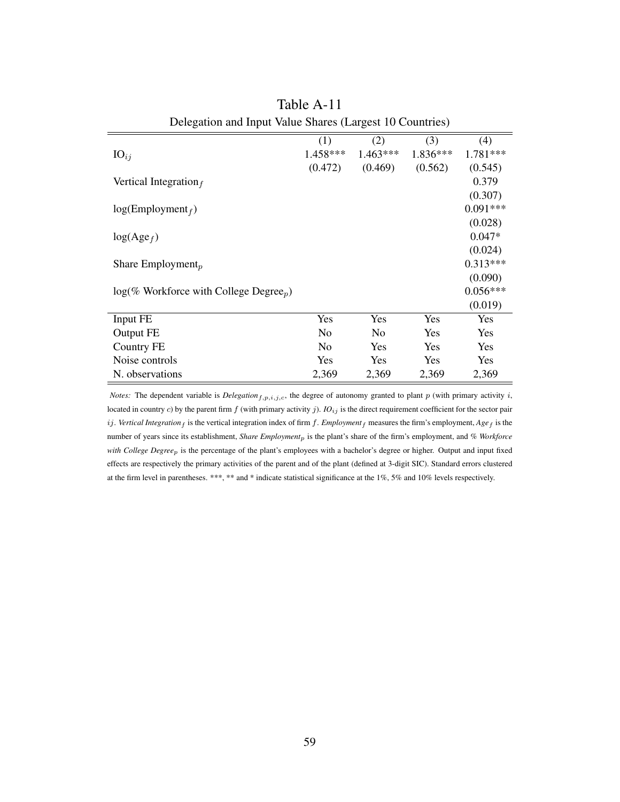|                                                       | (1)      | (2)        | (3)        | (4)        |
|-------------------------------------------------------|----------|------------|------------|------------|
| $IO_{ij}$                                             | 1.458*** | $1.463***$ | 1.836***   | 1.781***   |
|                                                       | (0.472)  | (0.469)    | (0.562)    | (0.545)    |
| Vertical Integration $_f$                             |          |            |            | 0.379      |
|                                                       |          |            |            | (0.307)    |
| log(Employment <sub>f</sub> )                         |          |            |            | $0.091***$ |
|                                                       |          |            |            | (0.028)    |
| $log(Age_f)$                                          |          |            |            | $0.047*$   |
|                                                       |          |            |            | (0.024)    |
| Share Employment <sub>p</sub>                         |          |            |            | $0.313***$ |
|                                                       |          |            |            | (0.090)    |
| $log(\%$ Workforce with College Degree <sub>p</sub> ) |          |            |            | $0.056***$ |
|                                                       |          |            |            | (0.019)    |
| Input FE                                              | Yes      | Yes        | Yes        | Yes        |
| Output FE                                             | No       | No         | <b>Yes</b> | Yes        |
| Country FE                                            | No       | Yes        | <b>Yes</b> | Yes        |
| Noise controls                                        | Yes      | Yes        | Yes        | Yes        |
| N. observations                                       | 2,369    | 2,369      | 2,369      | 2,369      |

| Table A-11                                               |
|----------------------------------------------------------|
| Delegation and Input Value Shares (Largest 10 Countries) |

*Notes:* The dependent variable is *Delegation*<sub>f,p,i,j,c</sub>, the degree of autonomy granted to plant p (with primary activity i, located in country c) by the parent firm  $f$  (with primary activity  $j$ ).  $IO_{ij}$  is the direct requirement coefficient for the sector pair  $ij$ . *Vertical Integration*  $f$  is the vertical integration index of firm  $f$ . *Employment* $f$  measures the firm's employment,  $Age_f$  is the number of years since its establishment, *Share Employment*p is the plant's share of the firm's employment, and *% Workforce with College Degree*p is the percentage of the plant's employees with a bachelor's degree or higher. Output and input fixed effects are respectively the primary activities of the parent and of the plant (defined at 3-digit SIC). Standard errors clustered at the firm level in parentheses. \*\*\*, \*\* and \* indicate statistical significance at the 1%, 5% and 10% levels respectively.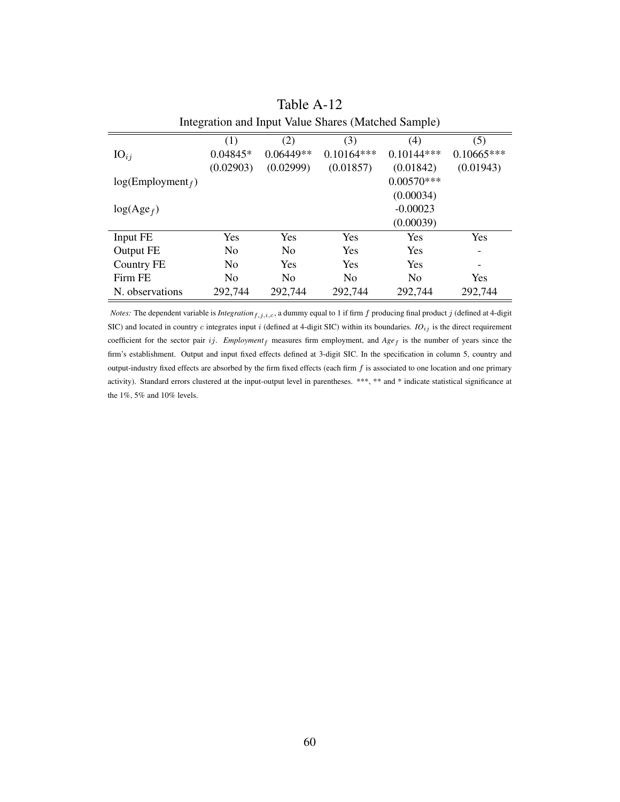| Integration and Input Value Shares (Matched Sample) |                |                |                |              |                          |  |  |
|-----------------------------------------------------|----------------|----------------|----------------|--------------|--------------------------|--|--|
|                                                     | (1)            | (2)            | (3)            | (4)          | (5)                      |  |  |
| $IO_{ij}$                                           | $0.04845*$     | $0.06449**$    | $0.10164***$   | $0.10144***$ | $0.10665***$             |  |  |
|                                                     | (0.02903)      | (0.02999)      | (0.01857)      | (0.01842)    | (0.01943)                |  |  |
| log(Employment <sub>f</sub> )                       |                |                |                | $0.00570***$ |                          |  |  |
|                                                     |                |                |                | (0.00034)    |                          |  |  |
| $log(Age_f)$                                        |                |                |                | $-0.00023$   |                          |  |  |
|                                                     |                |                |                | (0.00039)    |                          |  |  |
| Input FE                                            | <b>Yes</b>     | <b>Yes</b>     | Yes            | Yes          | Yes                      |  |  |
| Output FE                                           | N <sub>0</sub> | No             | Yes            | Yes          | $\overline{\phantom{a}}$ |  |  |
| <b>Country FE</b>                                   | N <sub>0</sub> | Yes            | Yes            | Yes          |                          |  |  |
| Firm FE                                             | N <sub>0</sub> | N <sub>0</sub> | N <sub>0</sub> | No           | Yes                      |  |  |
| N. observations                                     | 292,744        | 292,744        | 292,744        | 292,744      | 292,744                  |  |  |

Table A-12

*Notes:* The dependent variable is *Integration*<sub>f,j,i,c</sub>, a dummy equal to 1 if firm  $f$  producing final product  $j$  (defined at 4-digit SIC) and located in country c integrates input i (defined at 4-digit SIC) within its boundaries. *IO<sub>ij</sub>* is the direct requirement coefficient for the sector pair ij.  $Emplogment_f$  measures firm employment, and  $Age_f$  is the number of years since the firm's establishment. Output and input fixed effects defined at 3-digit SIC. In the specification in column 5, country and output-industry fixed effects are absorbed by the firm fixed effects (each firm  $f$  is associated to one location and one primary activity). Standard errors clustered at the input-output level in parentheses. \*\*\*, \*\* and \* indicate statistical significance at the 1%, 5% and 10% levels.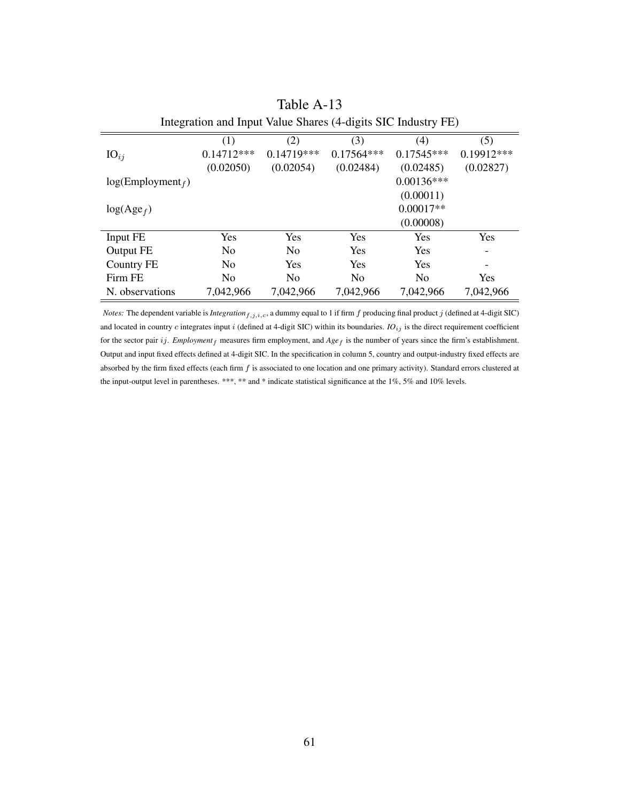| Integration and Input Value Shares (4-digits SIC Industry FE) |                |                |                |                |            |  |  |
|---------------------------------------------------------------|----------------|----------------|----------------|----------------|------------|--|--|
|                                                               | (1)            | (2)            | (3)            | (4)            | (5)        |  |  |
| $IO_{ij}$                                                     | $0.14712***$   | $0.14719***$   | $0.17564***$   | $0.17545***$   | 0.19912*** |  |  |
|                                                               | (0.02050)      | (0.02054)      | (0.02484)      | (0.02485)      | (0.02827)  |  |  |
| log(Employment <sub>f</sub> )                                 |                |                |                | $0.00136***$   |            |  |  |
|                                                               |                |                |                | (0.00011)      |            |  |  |
| $log(Age_f)$                                                  |                |                |                | $0.00017**$    |            |  |  |
|                                                               |                |                |                | (0.00008)      |            |  |  |
| Input FE                                                      | Yes            | <b>Yes</b>     | <b>Yes</b>     | <b>Yes</b>     | Yes        |  |  |
| Output FE                                                     | N <sub>0</sub> | N <sub>0</sub> | <b>Yes</b>     | <b>Yes</b>     |            |  |  |
| Country FE                                                    | No             | Yes            | <b>Yes</b>     | Yes            |            |  |  |
| Firm FE                                                       | N <sub>0</sub> | N <sub>0</sub> | N <sub>0</sub> | N <sub>0</sub> | <b>Yes</b> |  |  |
| N. observations                                               | 7,042,966      | 7,042,966      | 7,042,966      | 7,042,966      | 7,042,966  |  |  |

| Table A-13                                                 |  |
|------------------------------------------------------------|--|
| tegration and Input Value Shares (4-digits SIC Industry Fl |  |

*Notes:* The dependent variable is *Integration*  $f_{j,i,c}$ , a dummy equal to 1 if firm  $f$  producing final product  $j$  (defined at 4-digit SIC) and located in country  $c$  integrates input  $i$  (defined at 4-digit SIC) within its boundaries.  $IO_{ij}$  is the direct requirement coefficient for the sector pair ij. *Employment*<sub>f</sub> measures firm employment, and *Age*<sub>f</sub> is the number of years since the firm's establishment. Output and input fixed effects defined at 4-digit SIC. In the specification in column 5, country and output-industry fixed effects are absorbed by the firm fixed effects (each firm  $f$  is associated to one location and one primary activity). Standard errors clustered at the input-output level in parentheses. \*\*\*, \*\* and \* indicate statistical significance at the 1%, 5% and 10% levels.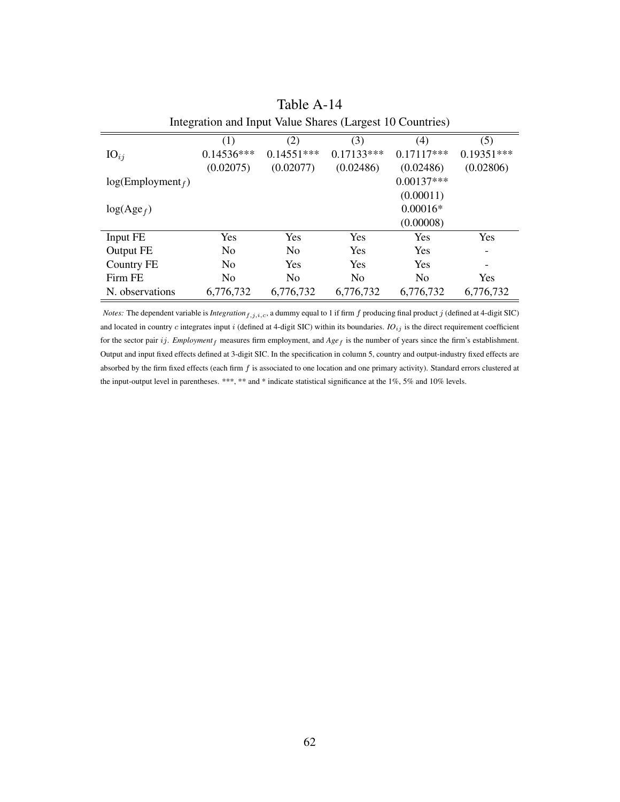| Integration and Input Value Shares (Largest 10 Countries) |                |                |                |                |              |  |  |
|-----------------------------------------------------------|----------------|----------------|----------------|----------------|--------------|--|--|
|                                                           | (1)            | (2)            | (3)            | (4)            | (5)          |  |  |
| $IO_{ij}$                                                 | $0.14536***$   | $0.14551***$   | $0.17133***$   | $0.17117***$   | $0.19351***$ |  |  |
|                                                           | (0.02075)      | (0.02077)      | (0.02486)      | (0.02486)      | (0.02806)    |  |  |
| log(Employment <sub>f</sub> )                             |                |                |                | $0.00137***$   |              |  |  |
|                                                           |                |                |                | (0.00011)      |              |  |  |
| $log(Age_f)$                                              |                |                |                | $0.00016*$     |              |  |  |
|                                                           |                |                |                | (0.00008)      |              |  |  |
| Input FE                                                  | Yes            | Yes            | <b>Yes</b>     | <b>Yes</b>     | Yes          |  |  |
| Output FE                                                 | N <sub>0</sub> | N <sub>0</sub> | <b>Yes</b>     | <b>Yes</b>     |              |  |  |
| Country FE                                                | N <sub>0</sub> | Yes            | <b>Yes</b>     | <b>Yes</b>     |              |  |  |
| Firm FE                                                   | N <sub>0</sub> | N <sub>0</sub> | N <sub>0</sub> | N <sub>0</sub> | <b>Yes</b>   |  |  |
| N. observations                                           | 6,776,732      | 6,776,732      | 6,776,732      | 6,776,732      | 6,776,732    |  |  |

|  | Table A-14                                          |  |
|--|-----------------------------------------------------|--|
|  | egration and Input Value Shares (Largest 10 Countri |  |

*Notes:* The dependent variable is *Integration*  $f_{j,i,c}$ , a dummy equal to 1 if firm  $f$  producing final product  $j$  (defined at 4-digit SIC) and located in country  $c$  integrates input  $i$  (defined at 4-digit SIC) within its boundaries.  $IO_{ij}$  is the direct requirement coefficient for the sector pair ij. *Employment*<sub>f</sub> measures firm employment, and *Age*<sub>f</sub> is the number of years since the firm's establishment. Output and input fixed effects defined at 3-digit SIC. In the specification in column 5, country and output-industry fixed effects are absorbed by the firm fixed effects (each firm  $f$  is associated to one location and one primary activity). Standard errors clustered at the input-output level in parentheses. \*\*\*, \*\* and \* indicate statistical significance at the 1%, 5% and 10% levels.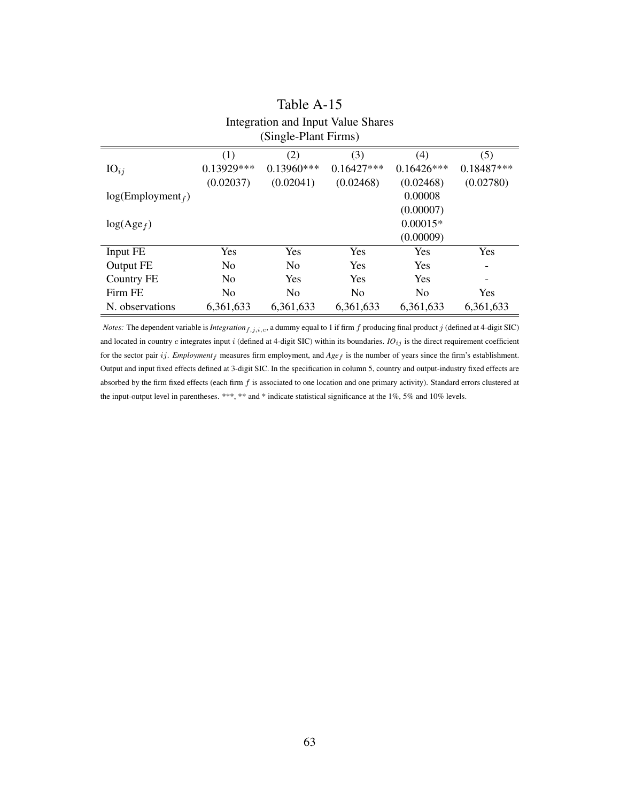| Integration and Input Value Shares<br>(Single-Plant Firms) |                |                |                |                |              |  |  |
|------------------------------------------------------------|----------------|----------------|----------------|----------------|--------------|--|--|
|                                                            | (1)            | (2)            | (3)            | (4)            | (5)          |  |  |
| $IO_{ij}$                                                  | 0.13929***     | $0.13960***$   | $0.16427***$   | $0.16426***$   | $0.18487***$ |  |  |
|                                                            | (0.02037)      | (0.02041)      | (0.02468)      | (0.02468)      | (0.02780)    |  |  |
| $log(Employment_f)$                                        |                |                |                | 0.00008        |              |  |  |
|                                                            |                |                |                | (0.00007)      |              |  |  |
| $log(Age_f)$                                               |                |                |                | $0.00015*$     |              |  |  |
|                                                            |                |                |                | (0.00009)      |              |  |  |
| Input FE                                                   | Yes            | Yes            | Yes            | Yes            | Yes          |  |  |
| Output FE                                                  | N <sub>0</sub> | N <sub>0</sub> | Yes            | Yes            |              |  |  |
| <b>Country FE</b>                                          | No             | Yes            | Yes            | <b>Yes</b>     |              |  |  |
| Firm FE                                                    | No             | N <sub>0</sub> | N <sub>0</sub> | N <sub>0</sub> | Yes          |  |  |
| N. observations                                            | 6,361,633      | 6,361,633      | 6,361,633      | 6,361,633      | 6,361,633    |  |  |

# Table A-15

*Notes:* The dependent variable is *Integration*  $f_{i,j,i,c}$ , a dummy equal to 1 if firm  $f$  producing final product  $j$  (defined at 4-digit SIC) and located in country  $c$  integrates input  $i$  (defined at 4-digit SIC) within its boundaries.  $IO_{ij}$  is the direct requirement coefficient for the sector pair ij. *Employment*<sub>f</sub> measures firm employment, and  $Age_f$  is the number of years since the firm's establishment. Output and input fixed effects defined at 3-digit SIC. In the specification in column 5, country and output-industry fixed effects are absorbed by the firm fixed effects (each firm  $f$  is associated to one location and one primary activity). Standard errors clustered at the input-output level in parentheses. \*\*\*, \*\* and \* indicate statistical significance at the 1%, 5% and 10% levels.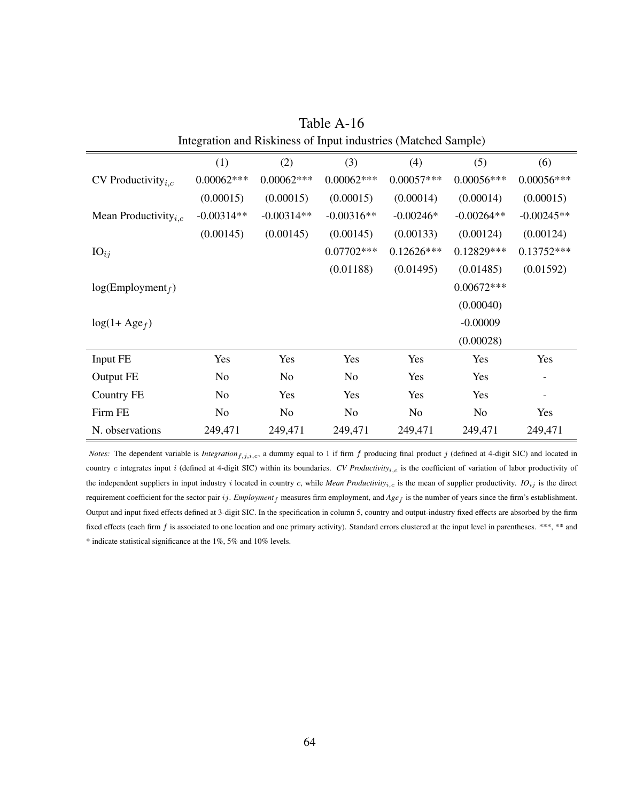|                                         | (1)            | (2)            | (3)          | (4)          | (5)          | (6)          |
|-----------------------------------------|----------------|----------------|--------------|--------------|--------------|--------------|
| CV Productivity <sub><i>i.c</i></sub>   | $0.00062***$   | $0.00062***$   | $0.00062***$ | $0.00057***$ | $0.00056***$ | $0.00056***$ |
|                                         | (0.00015)      | (0.00015)      | (0.00015)    | (0.00014)    | (0.00014)    | (0.00015)    |
| Mean Productivity <sub><i>i.c</i></sub> | $-0.00314**$   | $-0.00314**$   | $-0.00316**$ | $-0.00246*$  | $-0.00264**$ | $-0.00245**$ |
|                                         | (0.00145)      | (0.00145)      | (0.00145)    | (0.00133)    | (0.00124)    | (0.00124)    |
| $IO_{ij}$                               |                |                | $0.07702***$ | $0.12626***$ | $0.12829***$ | $0.13752***$ |
|                                         |                |                | (0.01188)    | (0.01495)    | (0.01485)    | (0.01592)    |
| log(Employment <sub>f</sub> )           |                |                |              |              | $0.00672***$ |              |
|                                         |                |                |              |              | (0.00040)    |              |
| $log(1 + Age_f)$                        |                |                |              |              | $-0.00009$   |              |
|                                         |                |                |              |              | (0.00028)    |              |
| Input FE                                | Yes            | Yes            | Yes          | Yes          | Yes          | Yes          |
| Output FE                               | N <sub>o</sub> | No             | No           | Yes          | Yes          |              |
| Country FE                              | No             | Yes            | Yes          | Yes          | Yes          |              |
| Firm FE                                 | No             | N <sub>o</sub> | No           | No           | No           | Yes          |
| N. observations                         | 249,471        | 249,471        | 249,471      | 249,471      | 249,471      | 249,471      |

Table A-16 Integration and Riskiness of Input industries (Matched Sample)

*Notes:* The dependent variable is *Integration*<sub>f,j,i,c</sub>, a dummy equal to 1 if firm  $f$  producing final product  $j$  (defined at 4-digit SIC) and located in country c integrates input i (defined at 4-digit SIC) within its boundaries. *CV Productivity<sub>i,c</sub>* is the coefficient of variation of labor productivity of the independent suppliers in input industry i located in country c, while *Mean Productivity*<sub>i,c</sub> is the mean of supplier productivity.  $IO_{ij}$  is the direct requirement coefficient for the sector pair ij. *Employment* f measures firm employment, and  $Age_f$  is the number of years since the firm's establishment. Output and input fixed effects defined at 3-digit SIC. In the specification in column 5, country and output-industry fixed effects are absorbed by the firm fixed effects (each firm f is associated to one location and one primary activity). Standard errors clustered at the input level in parentheses. \*\*\*, \*\* and \* indicate statistical significance at the 1%, 5% and 10% levels.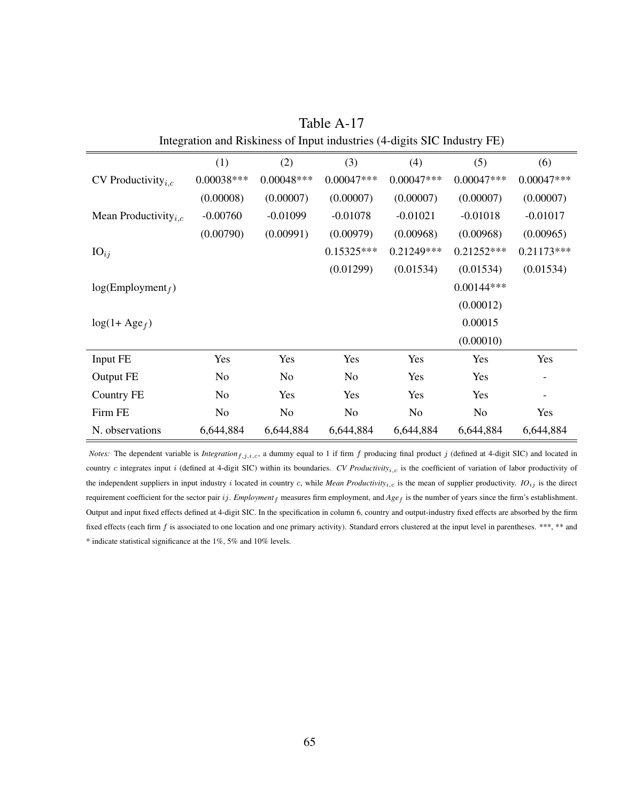|                                         | (1)            | (2)            | (3)            | (4)            | (5)            | (6)          |
|-----------------------------------------|----------------|----------------|----------------|----------------|----------------|--------------|
| CV Productivity $_{i,c}$                | $0.00038***$   | $0.00048***$   | $0.00047***$   | $0.00047***$   | $0.00047***$   | $0.00047***$ |
|                                         | (0.00008)      | (0.00007)      | (0.00007)      | (0.00007)      | (0.00007)      | (0.00007)    |
| Mean Productivity <sub><i>i.c</i></sub> | $-0.00760$     | $-0.01099$     | $-0.01078$     | $-0.01021$     | $-0.01018$     | $-0.01017$   |
|                                         | (0.00790)      | (0.00991)      | (0.00979)      | (0.00968)      | (0.00968)      | (0.00965)    |
| $IO_{ij}$                               |                |                | $0.15325***$   | $0.21249***$   | $0.21252***$   | $0.21173***$ |
|                                         |                |                | (0.01299)      | (0.01534)      | (0.01534)      | (0.01534)    |
| $log(Employment_f)$                     |                |                |                |                | $0.00144***$   |              |
|                                         |                |                |                |                | (0.00012)      |              |
| $log(1 + Age_f)$                        |                |                |                |                | 0.00015        |              |
|                                         |                |                |                |                | (0.00010)      |              |
| Input FE                                | Yes            | Yes            | Yes            | Yes            | Yes            | Yes          |
| Output FE                               | No             | N <sub>0</sub> | No             | Yes            | Yes            |              |
| Country FE                              | No             | Yes            | Yes            | Yes            | Yes            |              |
| Firm FE                                 | N <sub>o</sub> | N <sub>0</sub> | N <sub>o</sub> | N <sub>o</sub> | N <sub>o</sub> | Yes          |
| N. observations                         | 6,644,884      | 6,644,884      | 6,644,884      | 6,644,884      | 6,644,884      | 6,644,884    |

Table A-17 Integration and Riskiness of Input industries (4-digits SIC Industry FE)

*Notes:* The dependent variable is *Integration*<sub>f,j,i,c</sub>, a dummy equal to 1 if firm  $f$  producing final product  $j$  (defined at 4-digit SIC) and located in country c integrates input i (defined at 4-digit SIC) within its boundaries. *CV Productivity<sub>i,c</sub>* is the coefficient of variation of labor productivity of the independent suppliers in input industry i located in country c, while *Mean Productivity*<sub>i,c</sub> is the mean of supplier productivity.  $IO_{ij}$  is the direct requirement coefficient for the sector pair ij. *Employment* f measures firm employment, and  $Age_f$  is the number of years since the firm's establishment. Output and input fixed effects defined at 4-digit SIC. In the specification in column 6, country and output-industry fixed effects are absorbed by the firm fixed effects (each firm f is associated to one location and one primary activity). Standard errors clustered at the input level in parentheses. \*\*\*, \*\* and \* indicate statistical significance at the 1%, 5% and 10% levels.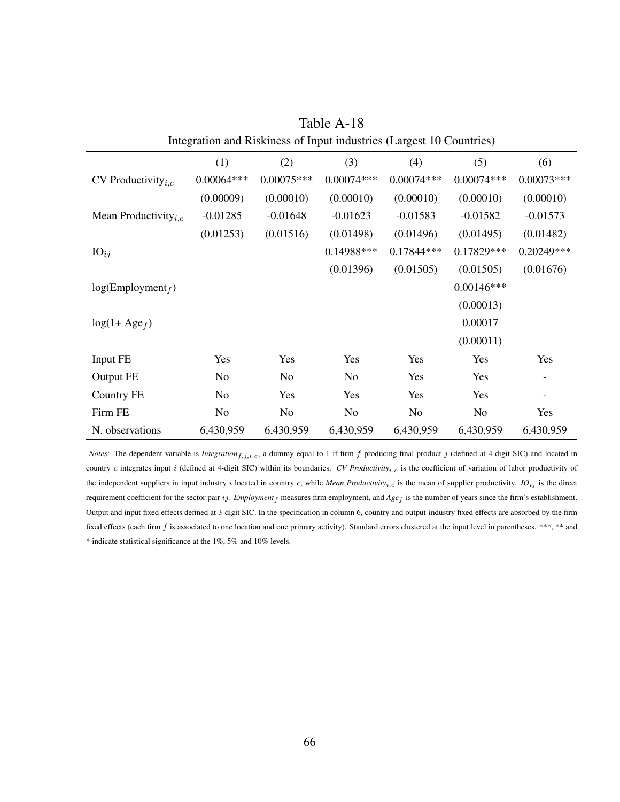|                                         | (1)            | (2)          | (3)            | (4)          | (5)          | (6)          |
|-----------------------------------------|----------------|--------------|----------------|--------------|--------------|--------------|
| CV Productivity $_{i,c}$                | $0.00064***$   | $0.00075***$ | $0.00074***$   | $0.00074***$ | $0.00074***$ | $0.00073***$ |
|                                         | (0.00009)      | (0.00010)    | (0.00010)      | (0.00010)    | (0.00010)    | (0.00010)    |
| Mean Productivity <sub><i>i.c</i></sub> | $-0.01285$     | $-0.01648$   | $-0.01623$     | $-0.01583$   | $-0.01582$   | $-0.01573$   |
|                                         | (0.01253)      | (0.01516)    | (0.01498)      | (0.01496)    | (0.01495)    | (0.01482)    |
| $IO_{ij}$                               |                |              | $0.14988$ ***  | $0.17844***$ | $0.17829***$ | 0.20249***   |
|                                         |                |              | (0.01396)      | (0.01505)    | (0.01505)    | (0.01676)    |
| $log(Employment_f)$                     |                |              |                |              | $0.00146***$ |              |
|                                         |                |              |                |              | (0.00013)    |              |
| $log(1 + Age_f)$                        |                |              |                |              | 0.00017      |              |
|                                         |                |              |                |              | (0.00011)    |              |
| Input FE                                | Yes            | Yes          | Yes            | Yes          | Yes          | Yes          |
| Output FE                               | No             | No           | N <sub>o</sub> | Yes          | Yes          | -            |
| Country FE                              | N <sub>o</sub> | Yes          | Yes            | Yes          | Yes          |              |
| Firm FE                                 | No             | No           | N <sub>o</sub> | No           | No           | Yes          |
| N. observations                         | 6,430,959      | 6,430,959    | 6,430,959      | 6,430,959    | 6,430,959    | 6,430,959    |

Table A-18 Integration and Riskiness of Input industries (Largest 10 Countries)

*Notes:* The dependent variable is *Integration*<sub>f,j,i,c</sub>, a dummy equal to 1 if firm  $f$  producing final product  $j$  (defined at 4-digit SIC) and located in country c integrates input i (defined at 4-digit SIC) within its boundaries. *CV Productivity<sub>i,c</sub>* is the coefficient of variation of labor productivity of the independent suppliers in input industry i located in country c, while *Mean Productivity*<sub>i,c</sub> is the mean of supplier productivity.  $IO_{ij}$  is the direct requirement coefficient for the sector pair ij. *Employment* f measures firm employment, and  $Age_f$  is the number of years since the firm's establishment. Output and input fixed effects defined at 3-digit SIC. In the specification in column 6, country and output-industry fixed effects are absorbed by the firm fixed effects (each firm f is associated to one location and one primary activity). Standard errors clustered at the input level in parentheses. \*\*\*, \*\* and \* indicate statistical significance at the 1%, 5% and 10% levels.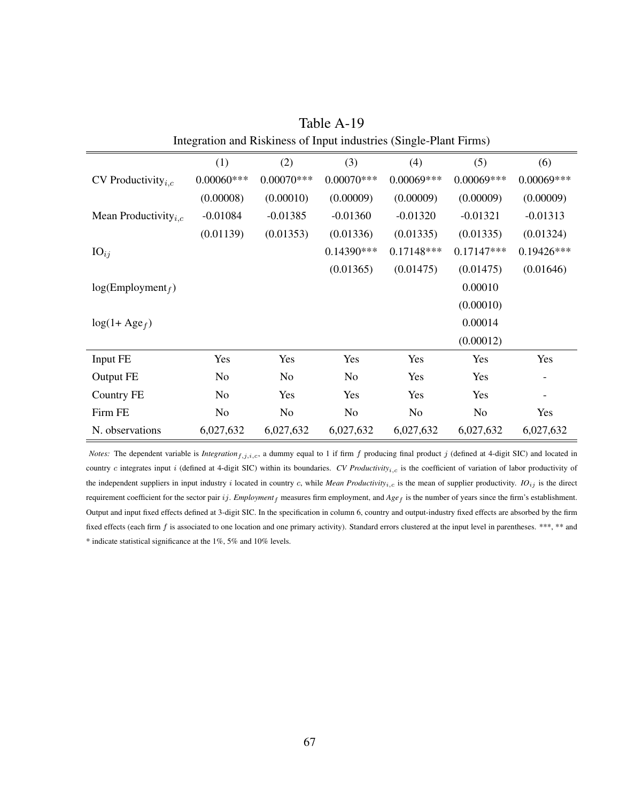|                                         | (1)           | (2)            | (3)            | (4)            | (5)            | (6)                      |
|-----------------------------------------|---------------|----------------|----------------|----------------|----------------|--------------------------|
| CV Productivity <sub><i>i.c</i></sub>   | $0.00060$ *** | $0.00070$ ***  | $0.00070$ ***  | $0.00069***$   | $0.00069***$   | 0.00069***               |
|                                         | (0.00008)     | (0.00010)      | (0.00009)      | (0.00009)      | (0.00009)      | (0.00009)                |
| Mean Productivity <sub><i>i.c</i></sub> | $-0.01084$    | $-0.01385$     | $-0.01360$     | $-0.01320$     | $-0.01321$     | $-0.01313$               |
|                                         | (0.01139)     | (0.01353)      | (0.01336)      | (0.01335)      | (0.01335)      | (0.01324)                |
| $IO_{ij}$                               |               |                | $0.14390***$   | $0.17148***$   | $0.17147***$   | 0.19426***               |
|                                         |               |                | (0.01365)      | (0.01475)      | (0.01475)      | (0.01646)                |
| $log(Employment_f)$                     |               |                |                |                | 0.00010        |                          |
|                                         |               |                |                |                | (0.00010)      |                          |
| $log(1 + Age_f)$                        |               |                |                |                | 0.00014        |                          |
|                                         |               |                |                |                | (0.00012)      |                          |
| Input FE                                | Yes           | Yes            | Yes            | Yes            | Yes            | Yes                      |
| Output FE                               | No            | N <sub>0</sub> | No             | Yes            | Yes            | $\overline{\phantom{a}}$ |
| Country FE                              | No            | Yes            | Yes            | Yes            | Yes            |                          |
| Firm FE                                 | No            | No             | N <sub>o</sub> | N <sub>o</sub> | N <sub>o</sub> | Yes                      |
| N. observations                         | 6,027,632     | 6,027,632      | 6,027,632      | 6,027,632      | 6,027,632      | 6,027,632                |

Table A-19 Integration and Riskiness of Input industries (Single-Plant Firms)

*Notes:* The dependent variable is *Integration*<sub>f,j,i,c</sub>, a dummy equal to 1 if firm  $f$  producing final product  $j$  (defined at 4-digit SIC) and located in country c integrates input i (defined at 4-digit SIC) within its boundaries. *CV Productivity<sub>i,c</sub>* is the coefficient of variation of labor productivity of the independent suppliers in input industry i located in country c, while *Mean Productivity*<sub>i,c</sub> is the mean of supplier productivity. *IO*<sub>ij</sub> is the direct requirement coefficient for the sector pair ij. *Employment* f measures firm employment, and  $Age_f$  is the number of years since the firm's establishment. Output and input fixed effects defined at 3-digit SIC. In the specification in column 6, country and output-industry fixed effects are absorbed by the firm fixed effects (each firm f is associated to one location and one primary activity). Standard errors clustered at the input level in parentheses. \*\*\*, \*\* and \* indicate statistical significance at the 1%, 5% and 10% levels.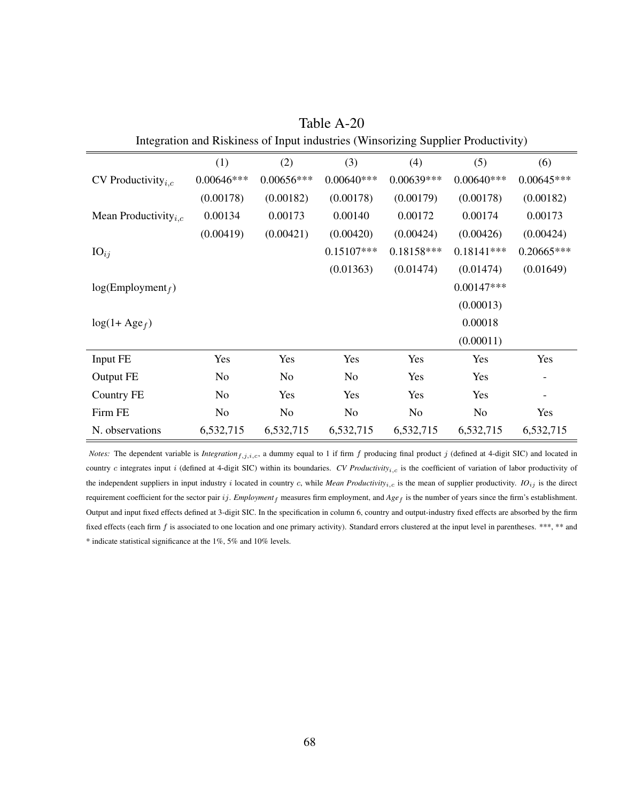| michanon and Kiskiness of Input muustries (Winsoftzing Supplier Froudentity) |                |                |              |                |                |                          |
|------------------------------------------------------------------------------|----------------|----------------|--------------|----------------|----------------|--------------------------|
|                                                                              | (1)            | (2)            | (3)          | (4)            | (5)            | (6)                      |
| CV Productivity <sub><i>i.c</i></sub>                                        | $0.00646***$   | $0.00656***$   | $0.00640***$ | $0.00639***$   | $0.00640***$   | $0.00645***$             |
|                                                                              | (0.00178)      | (0.00182)      | (0.00178)    | (0.00179)      | (0.00178)      | (0.00182)                |
| Mean Productivity <sub><i>i.c</i></sub>                                      | 0.00134        | 0.00173        | 0.00140      | 0.00172        | 0.00174        | 0.00173                  |
|                                                                              | (0.00419)      | (0.00421)      | (0.00420)    | (0.00424)      | (0.00426)      | (0.00424)                |
| $IO_{ij}$                                                                    |                |                | $0.15107***$ | $0.18158***$   | $0.18141***$   | $0.20665***$             |
|                                                                              |                |                | (0.01363)    | (0.01474)      | (0.01474)      | (0.01649)                |
| log(Employment <sub>f</sub> )                                                |                |                |              |                | $0.00147***$   |                          |
|                                                                              |                |                |              |                | (0.00013)      |                          |
| $log(1 + Age_f)$                                                             |                |                |              |                | 0.00018        |                          |
|                                                                              |                |                |              |                | (0.00011)      |                          |
| Input FE                                                                     | Yes            | Yes            | Yes          | Yes            | Yes            | Yes                      |
| Output FE                                                                    | N <sub>o</sub> | N <sub>0</sub> | No           | Yes            | Yes            |                          |
| Country FE                                                                   | No             | Yes            | Yes          | Yes            | Yes            | $\overline{\phantom{a}}$ |
| Firm FE                                                                      | N <sub>o</sub> | N <sub>o</sub> | No.          | N <sub>o</sub> | N <sub>o</sub> | Yes                      |
| N. observations                                                              | 6,532,715      | 6,532,715      | 6,532,715    | 6,532,715      | 6,532,715      | 6,532,715                |

Table A-20 Integration and Riskiness of Input industries (Winsorizing Supplier Productivity)

*Notes:* The dependent variable is *Integration*<sub>f,j,i,c</sub>, a dummy equal to 1 if firm  $f$  producing final product  $j$  (defined at 4-digit SIC) and located in country c integrates input i (defined at 4-digit SIC) within its boundaries. *CV Productivity<sub>i,c</sub>* is the coefficient of variation of labor productivity of the independent suppliers in input industry i located in country c, while *Mean Productivity*<sub>i,c</sub> is the mean of supplier productivity.  $IO_{ij}$  is the direct requirement coefficient for the sector pair ij. *Employment* f measures firm employment, and  $Age_f$  is the number of years since the firm's establishment. Output and input fixed effects defined at 3-digit SIC. In the specification in column 6, country and output-industry fixed effects are absorbed by the firm fixed effects (each firm f is associated to one location and one primary activity). Standard errors clustered at the input level in parentheses. \*\*\*, \*\* and \* indicate statistical significance at the 1%, 5% and 10% levels.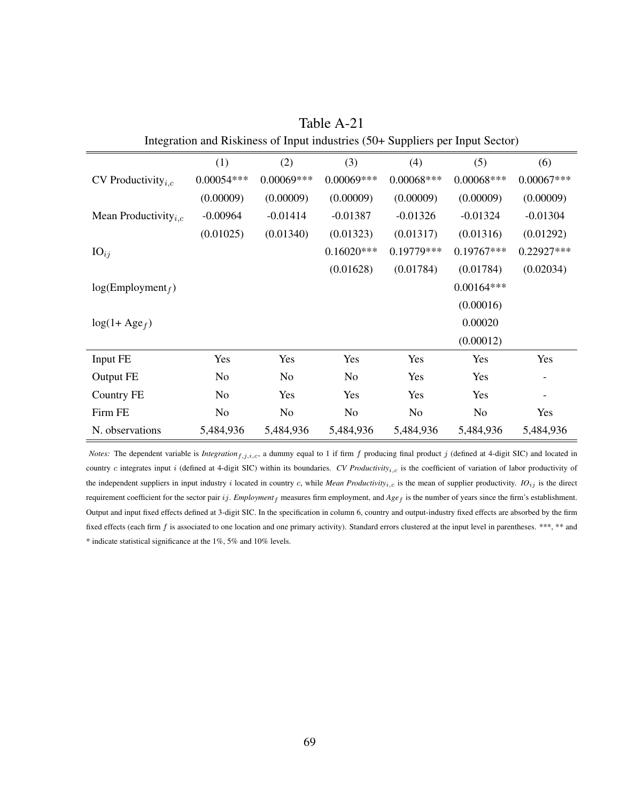<span id="page-70-0"></span>

| $\mu$ and $\mu$ and $\mu$ and $\mu$ and $\mu$ and $\mu$ and $\mu$ and $\mu$ and $\mu$ and $\mu$ and $\mu$ |                |              |              |              |                |              |
|-----------------------------------------------------------------------------------------------------------|----------------|--------------|--------------|--------------|----------------|--------------|
|                                                                                                           | (1)            | (2)          | (3)          | (4)          | (5)            | (6)          |
| CV Productivity $_{i,c}$                                                                                  | $0.00054***$   | $0.00069***$ | 0.00069***   | $0.00068***$ | $0.00068***$   | $0.00067***$ |
|                                                                                                           | (0.00009)      | (0.00009)    | (0.00009)    | (0.00009)    | (0.00009)      | (0.00009)    |
| Mean Productivity <sub><i>i.c</i></sub>                                                                   | $-0.00964$     | $-0.01414$   | $-0.01387$   | $-0.01326$   | $-0.01324$     | $-0.01304$   |
|                                                                                                           | (0.01025)      | (0.01340)    | (0.01323)    | (0.01317)    | (0.01316)      | (0.01292)    |
| $IO_{ij}$                                                                                                 |                |              | $0.16020***$ | 0.19779***   | $0.19767***$   | 0.22927***   |
|                                                                                                           |                |              | (0.01628)    | (0.01784)    | (0.01784)      | (0.02034)    |
| log(Employment <sub>f</sub> )                                                                             |                |              |              |              | $0.00164***$   |              |
|                                                                                                           |                |              |              |              | (0.00016)      |              |
| $log(1 + Age_f)$                                                                                          |                |              |              |              | 0.00020        |              |
|                                                                                                           |                |              |              |              | (0.00012)      |              |
| Input FE                                                                                                  | Yes            | Yes          | Yes          | Yes          | Yes            | Yes          |
| Output FE                                                                                                 | N <sub>o</sub> | No           | No.          | Yes          | Yes            |              |
| Country FE                                                                                                | No             | Yes          | Yes          | Yes          | Yes            |              |
| Firm FE                                                                                                   | No             | No           | No.          | No           | N <sub>o</sub> | Yes          |
| N. observations                                                                                           | 5,484,936      | 5,484,936    | 5,484,936    | 5,484,936    | 5,484,936      | 5,484,936    |

Table A-21 Integration and Riskiness of Input industries (50+ Suppliers per Input Sector)

*Notes:* The dependent variable is *Integration*<sub>f,j,i,c</sub>, a dummy equal to 1 if firm  $f$  producing final product  $j$  (defined at 4-digit SIC) and located in country c integrates input i (defined at 4-digit SIC) within its boundaries. *CV Productivity<sub>i,c</sub>* is the coefficient of variation of labor productivity of the independent suppliers in input industry i located in country c, while *Mean Productivity*<sub>i,c</sub> is the mean of supplier productivity.  $IO_{ij}$  is the direct requirement coefficient for the sector pair ij. *Employment* f measures firm employment, and  $Age_f$  is the number of years since the firm's establishment. Output and input fixed effects defined at 3-digit SIC. In the specification in column 6, country and output-industry fixed effects are absorbed by the firm fixed effects (each firm f is associated to one location and one primary activity). Standard errors clustered at the input level in parentheses. \*\*\*, \*\* and \* indicate statistical significance at the 1%, 5% and 10% levels.